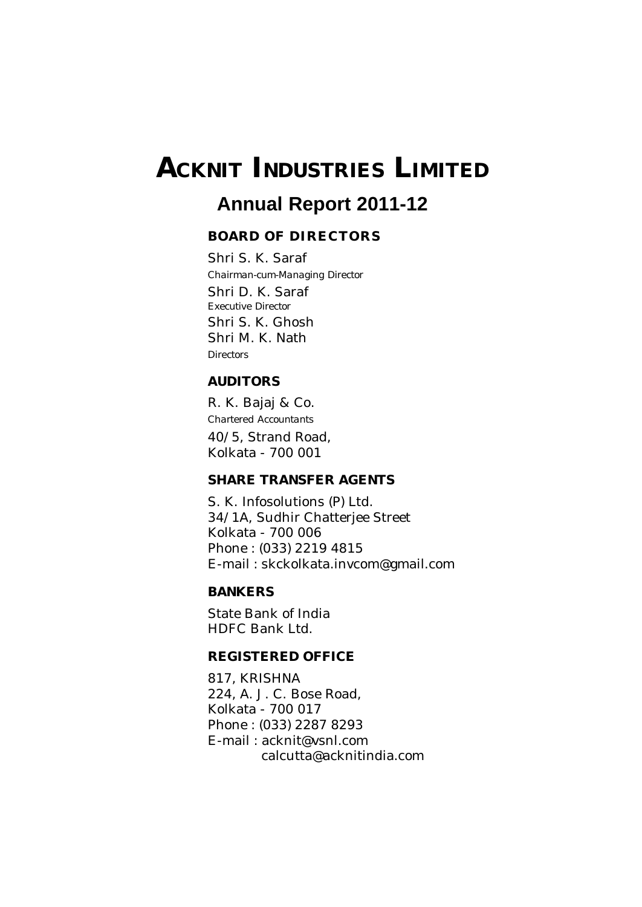# **ACKNIT INDUSTRIES LIMITED**

## **Annual Report 2011-12**

#### **BOARD OF DIRECTORS**

Shri S. K. Saraf *Chairman-cum-Managing Director* Shri D. K. Saraf *Executive Director* Shri S. K. Ghosh Shri M. K. Nath *Directors*

#### **AUDITORS**

R. K. Bajaj & Co. *Chartered Accountants* 40/5, Strand Road, Kolkata - 700 001

#### **SHARE TRANSFER AGENTS**

S. K. Infosolutions (P) Ltd. 34/1A, Sudhir Chatterjee Street Kolkata - 700 006 Phone : (033) 2219 4815 E-mail : skckolkata.invcom@gmail.com

#### **BANKERS**

State Bank of India HDFC Bank Ltd.

#### **REGISTERED OFFICE**

817, KRISHNA 224, A. J. C. Bose Road, Kolkata - 700 017 Phone : (033) 2287 8293 E-mail : acknit@vsnl.com calcutta@acknitindia.com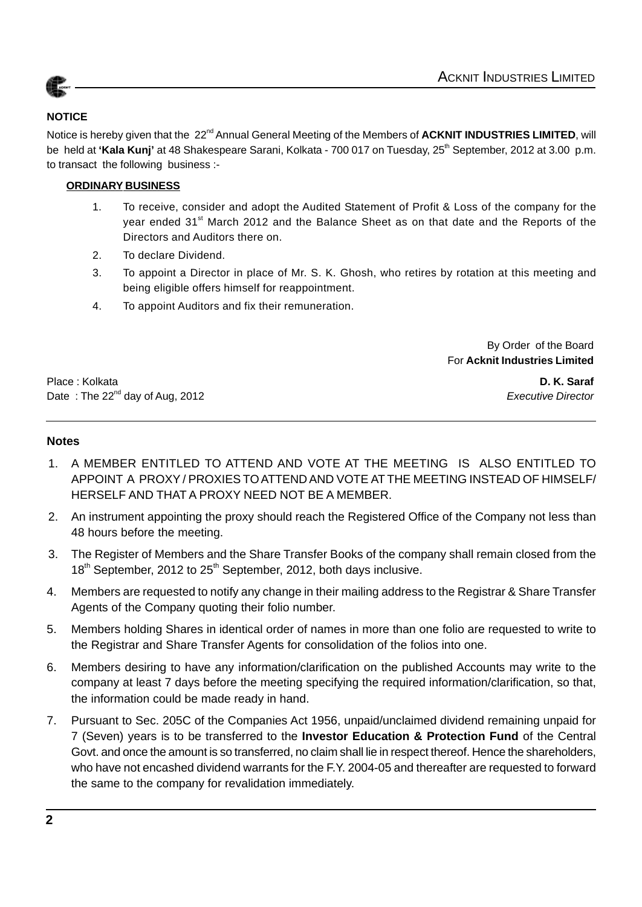

#### **NOTICE**

Notice is hereby given that the 22<sup>nd</sup> Annual General Meeting of the Members of **ACKNIT INDUSTRIES LIMITED**, will be held at 'Kala Kunj' at 48 Shakespeare Sarani, Kolkata - 700 017 on Tuesday, 25<sup>th</sup> September, 2012 at 3.00 p.m. to transact the following business :-

#### **ORDINARY BUSINESS**

- 1. To receive, consider and adopt the Audited Statement of Profit & Loss of the company for the year ended 31<sup>st</sup> March 2012 and the Balance Sheet as on that date and the Reports of the Directors and Auditors there on.
- 2. To declare Dividend.
- 3. To appoint a Director in place of Mr. S. K. Ghosh, who retires by rotation at this meeting and being eligible offers himself for reappointment.
- 4. To appoint Auditors and fix their remuneration.

By Order of the Board For **Acknit Industries Limited**

Place : Kolkata **D. K. Saraf** Date : The 22<sup>nd</sup> day of Aug, 2012 **Executive Director Executive Director** 

#### **Notes**

- 1. A MEMBER ENTITLED TO ATTEND AND VOTE AT THE MEETING IS ALSO ENTITLED TO APPOINT A PROXY / PROXIES TO ATTEND AND VOTE AT THE MEETING INSTEAD OF HIMSELF/ HERSELF AND THAT A PROXY NEED NOT BE A MEMBER.
- 2. An instrument appointing the proxy should reach the Registered Office of the Company not less than 48 hours before the meeting.
- 3. The Register of Members and the Share Transfer Books of the company shall remain closed from the  $18<sup>th</sup>$  September, 2012 to 25<sup>th</sup> September, 2012, both days inclusive.
- 4. Members are requested to notify any change in their mailing address to the Registrar & Share Transfer Agents of the Company quoting their folio number.
- 5. Members holding Shares in identical order of names in more than one folio are requested to write to the Registrar and Share Transfer Agents for consolidation of the folios into one.
- 6. Members desiring to have any information/clarification on the published Accounts may write to the company at least 7 days before the meeting specifying the required information/clarification, so that, the information could be made ready in hand.
- 7. Pursuant to Sec. 205C of the Companies Act 1956, unpaid/unclaimed dividend remaining unpaid for 7 (Seven) years is to be transferred to the **Investor Education & Protection Fund** of the Central Govt. and once the amount is so transferred, no claim shall lie in respect thereof. Hence the shareholders, who have not encashed dividend warrants for the F.Y. 2004-05 and thereafter are requested to forward the same to the company for revalidation immediately.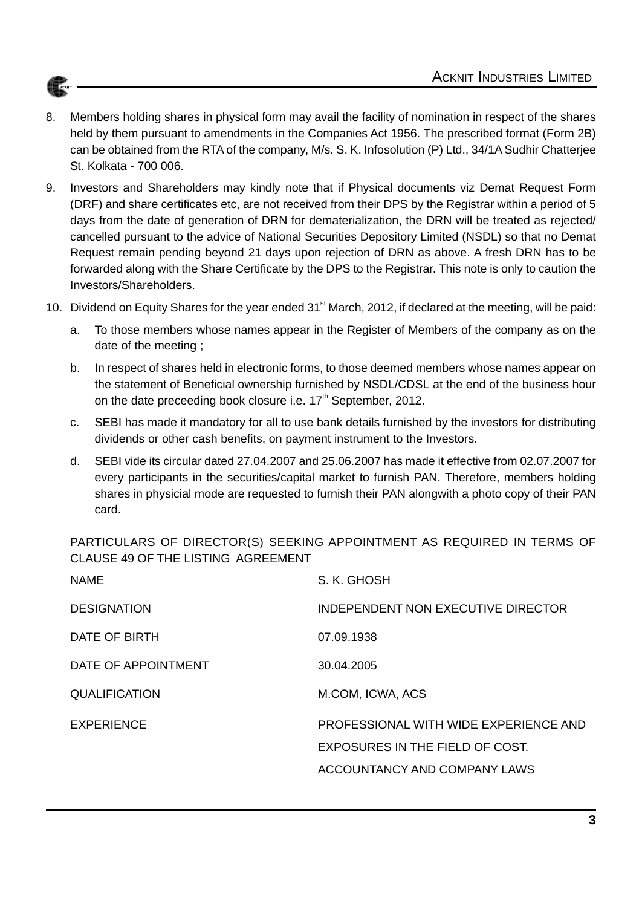

- 8. Members holding shares in physical form may avail the facility of nomination in respect of the shares held by them pursuant to amendments in the Companies Act 1956. The prescribed format (Form 2B) can be obtained from the RTA of the company, M/s. S. K. Infosolution (P) Ltd., 34/1A Sudhir Chatterjee St. Kolkata - 700 006.
- 9. Investors and Shareholders may kindly note that if Physical documents viz Demat Request Form (DRF) and share certificates etc, are not received from their DPS by the Registrar within a period of 5 days from the date of generation of DRN for dematerialization, the DRN will be treated as rejected/ cancelled pursuant to the advice of National Securities Depository Limited (NSDL) so that no Demat Request remain pending beyond 21 days upon rejection of DRN as above. A fresh DRN has to be forwarded along with the Share Certificate by the DPS to the Registrar. This note is only to caution the Investors/Shareholders.
- 10. Dividend on Equity Shares for the year ended 31<sup>st</sup> March, 2012, if declared at the meeting, will be paid:
	- a. To those members whose names appear in the Register of Members of the company as on the date of the meeting ;
	- b. In respect of shares held in electronic forms, to those deemed members whose names appear on the statement of Beneficial ownership furnished by NSDL/CDSL at the end of the business hour on the date preceeding book closure i.e.  $17<sup>th</sup>$  September, 2012.
	- c. SEBI has made it mandatory for all to use bank details furnished by the investors for distributing dividends or other cash benefits, on payment instrument to the Investors.
	- d. SEBI vide its circular dated 27.04.2007 and 25.06.2007 has made it effective from 02.07.2007 for every participants in the securities/capital market to furnish PAN. Therefore, members holding shares in physicial mode are requested to furnish their PAN alongwith a photo copy of their PAN card.

PARTICULARS OF DIRECTOR(S) SEEKING APPOINTMENT AS REQUIRED IN TERMS OF CLAUSE 49 OF THE LISTING AGREEMENT

| <b>NAME</b>          | S. K. GHOSH                               |
|----------------------|-------------------------------------------|
| <b>DESIGNATION</b>   | <b>INDEPENDENT NON EXECUTIVE DIRECTOR</b> |
| DATE OF BIRTH        | 07.09.1938                                |
| DATE OF APPOINTMENT  | 30.04.2005                                |
| <b>QUALIFICATION</b> | M.COM, ICWA, ACS                          |
| <b>EXPERIENCE</b>    | PROFESSIONAL WITH WIDE EXPERIENCE AND     |
|                      | EXPOSURES IN THE FIELD OF COST.           |
|                      | ACCOUNTANCY AND COMPANY LAWS              |
|                      |                                           |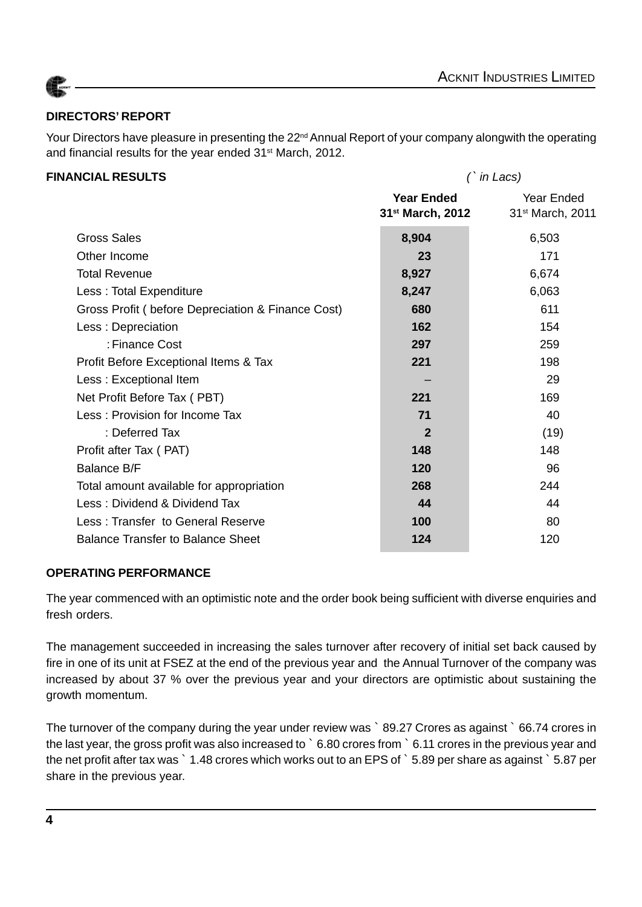

### **DIRECTORS' REPORT**

Your Directors have pleasure in presenting the 22<sup>nd</sup> Annual Report of your company alongwith the operating and financial results for the year ended 31<sup>st</sup> March, 2012.

#### **FINANCIAL RESULTS** *(*` *in Lacs)*

|                                                   | <b>Year Ended</b><br>31 <sup>st</sup> March, 2012 | Year Ended<br>31 <sup>st</sup> March, 2011 |
|---------------------------------------------------|---------------------------------------------------|--------------------------------------------|
| <b>Gross Sales</b>                                | 8,904                                             | 6,503                                      |
| Other Income                                      | 23                                                | 171                                        |
| <b>Total Revenue</b>                              | 8,927                                             | 6,674                                      |
| Less: Total Expenditure                           | 8,247                                             | 6,063                                      |
| Gross Profit (before Depreciation & Finance Cost) | 680                                               | 611                                        |
| Less: Depreciation                                | 162                                               | 154                                        |
| : Finance Cost                                    | 297                                               | 259                                        |
| Profit Before Exceptional Items & Tax             | 221                                               | 198                                        |
| Less: Exceptional Item                            |                                                   | 29                                         |
| Net Profit Before Tax (PBT)                       | 221                                               | 169                                        |
| Less: Provision for Income Tax                    | 71                                                | 40                                         |
| : Deferred Tax                                    | $\mathbf{2}$                                      | (19)                                       |
| Profit after Tax (PAT)                            | 148                                               | 148                                        |
| <b>Balance B/F</b>                                | 120                                               | 96                                         |
| Total amount available for appropriation          | 268                                               | 244                                        |
| Less: Dividend & Dividend Tax                     | 44                                                | 44                                         |
| Less: Transfer to General Reserve                 | 100                                               | 80                                         |
| <b>Balance Transfer to Balance Sheet</b>          | 124                                               | 120                                        |
|                                                   |                                                   |                                            |

#### **OPERATING PERFORMANCE**

The year commenced with an optimistic note and the order book being sufficient with diverse enquiries and fresh orders.

The management succeeded in increasing the sales turnover after recovery of initial set back caused by fire in one of its unit at FSEZ at the end of the previous year and the Annual Turnover of the company was increased by about 37 % over the previous year and your directors are optimistic about sustaining the growth momentum.

The turnover of the company during the year under review was `89.27 Crores as against `66.74 crores in the last year, the gross profit was also increased to ` 6.80 crores from ` 6.11 crores in the previous year and the net profit after tax was ` 1.48 crores which works out to an EPS of ` 5.89 per share as against ` 5.87 per share in the previous year.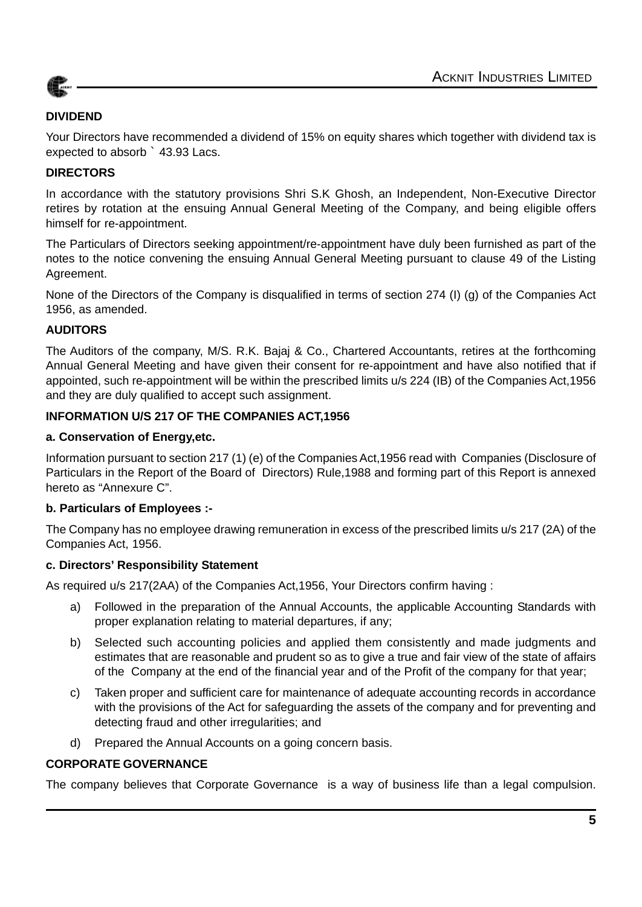

#### **DIVIDEND**

Your Directors have recommended a dividend of 15% on equity shares which together with dividend tax is expected to absorb ` 43.93 Lacs.

#### **DIRECTORS**

In accordance with the statutory provisions Shri S.K Ghosh, an Independent, Non-Executive Director retires by rotation at the ensuing Annual General Meeting of the Company, and being eligible offers himself for re-appointment.

The Particulars of Directors seeking appointment/re-appointment have duly been furnished as part of the notes to the notice convening the ensuing Annual General Meeting pursuant to clause 49 of the Listing Agreement.

None of the Directors of the Company is disqualified in terms of section 274 (I) (g) of the Companies Act 1956, as amended.

#### **AUDITORS**

The Auditors of the company, M/S. R.K. Bajaj & Co., Chartered Accountants, retires at the forthcoming Annual General Meeting and have given their consent for re-appointment and have also notified that if appointed, such re-appointment will be within the prescribed limits u/s 224 (IB) of the Companies Act,1956 and they are duly qualified to accept such assignment.

#### **INFORMATION U/S 217 OF THE COMPANIES ACT,1956**

#### **a. Conservation of Energy,etc.**

Information pursuant to section 217 (1) (e) of the Companies Act,1956 read with Companies (Disclosure of Particulars in the Report of the Board of Directors) Rule,1988 and forming part of this Report is annexed hereto as "Annexure C".

#### **b. Particulars of Employees :-**

The Company has no employee drawing remuneration in excess of the prescribed limits u/s 217 (2A) of the Companies Act, 1956.

#### **c. Directors' Responsibility Statement**

As required u/s 217(2AA) of the Companies Act,1956, Your Directors confirm having :

- a) Followed in the preparation of the Annual Accounts, the applicable Accounting Standards with proper explanation relating to material departures, if any;
- b) Selected such accounting policies and applied them consistently and made judgments and estimates that are reasonable and prudent so as to give a true and fair view of the state of affairs of the Company at the end of the financial year and of the Profit of the company for that year;
- c) Taken proper and sufficient care for maintenance of adequate accounting records in accordance with the provisions of the Act for safeguarding the assets of the company and for preventing and detecting fraud and other irregularities; and
- d) Prepared the Annual Accounts on a going concern basis.

#### **CORPORATE GOVERNANCE**

The company believes that Corporate Governance is a way of business life than a legal compulsion.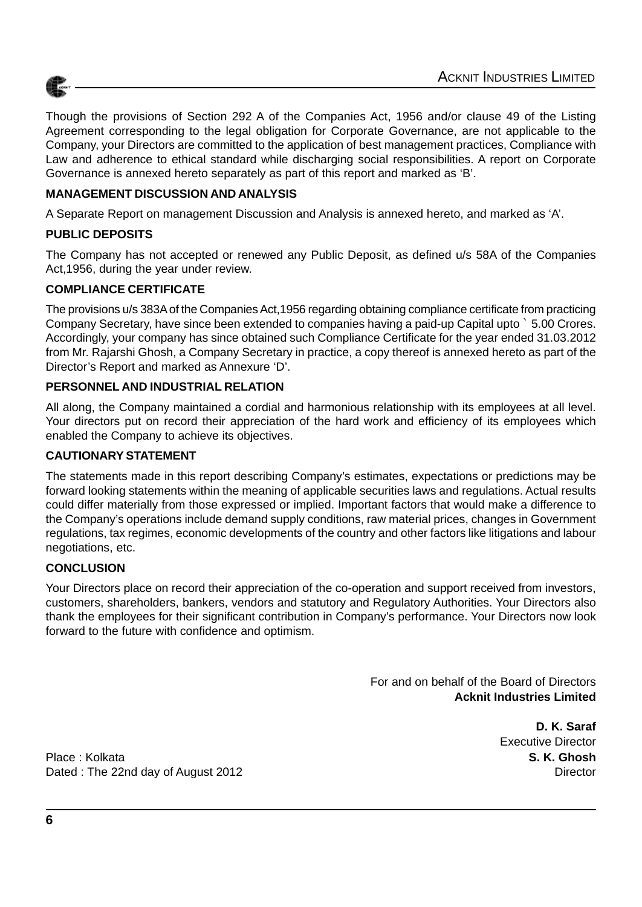

Though the provisions of Section 292 A of the Companies Act, 1956 and/or clause 49 of the Listing Agreement corresponding to the legal obligation for Corporate Governance, are not applicable to the Company, your Directors are committed to the application of best management practices, Compliance with Law and adherence to ethical standard while discharging social responsibilities. A report on Corporate Governance is annexed hereto separately as part of this report and marked as 'B'.

#### **MANAGEMENT DISCUSSION AND ANALYSIS**

A Separate Report on management Discussion and Analysis is annexed hereto, and marked as 'A'.

#### **PUBLIC DEPOSITS**

The Company has not accepted or renewed any Public Deposit, as defined u/s 58A of the Companies Act,1956, during the year under review.

#### **COMPLIANCE CERTIFICATE**

The provisions u/s 383A of the Companies Act,1956 regarding obtaining compliance certificate from practicing Company Secretary, have since been extended to companies having a paid-up Capital upto ` 5.00 Crores. Accordingly, your company has since obtained such Compliance Certificate for the year ended 31.03.2012 from Mr. Rajarshi Ghosh, a Company Secretary in practice, a copy thereof is annexed hereto as part of the Director's Report and marked as Annexure 'D'.

#### **PERSONNEL AND INDUSTRIAL RELATION**

All along, the Company maintained a cordial and harmonious relationship with its employees at all level. Your directors put on record their appreciation of the hard work and efficiency of its employees which enabled the Company to achieve its objectives.

#### **CAUTIONARY STATEMENT**

The statements made in this report describing Company's estimates, expectations or predictions may be forward looking statements within the meaning of applicable securities laws and regulations. Actual results could differ materially from those expressed or implied. Important factors that would make a difference to the Company's operations include demand supply conditions, raw material prices, changes in Government regulations, tax regimes, economic developments of the country and other factors like litigations and labour negotiations, etc.

#### **CONCLUSION**

Your Directors place on record their appreciation of the co-operation and support received from investors, customers, shareholders, bankers, vendors and statutory and Regulatory Authorities. Your Directors also thank the employees for their significant contribution in Company's performance. Your Directors now look forward to the future with confidence and optimism.

> For and on behalf of the Board of Directors **Acknit Industries Limited**

> > **D. K. Saraf** Executive Director

Place : Kolkata **S. K. Ghosh** Dated : The 22nd day of August 2012 Director and the United States of August 2012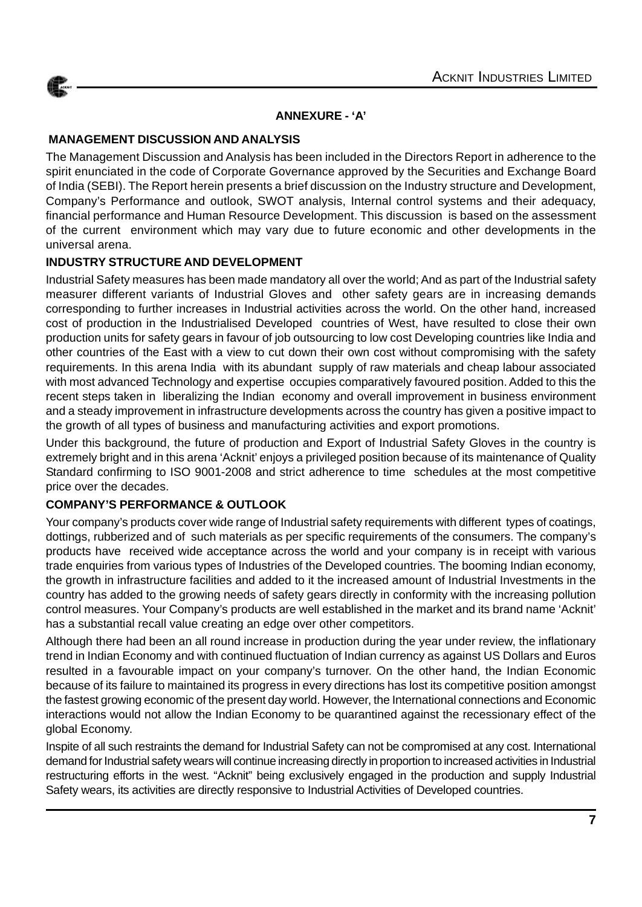

#### **ANNEXURE - 'A'**

#### **MANAGEMENT DISCUSSION AND ANALYSIS**

The Management Discussion and Analysis has been included in the Directors Report in adherence to the spirit enunciated in the code of Corporate Governance approved by the Securities and Exchange Board of India (SEBI). The Report herein presents a brief discussion on the Industry structure and Development, Company's Performance and outlook, SWOT analysis, Internal control systems and their adequacy, financial performance and Human Resource Development. This discussion is based on the assessment of the current environment which may vary due to future economic and other developments in the universal arena.

#### **INDUSTRY STRUCTURE AND DEVELOPMENT**

Industrial Safety measures has been made mandatory all over the world; And as part of the Industrial safety measurer different variants of Industrial Gloves and other safety gears are in increasing demands corresponding to further increases in Industrial activities across the world. On the other hand, increased cost of production in the Industrialised Developed countries of West, have resulted to close their own production units for safety gears in favour of job outsourcing to low cost Developing countries like India and other countries of the East with a view to cut down their own cost without compromising with the safety requirements. In this arena India with its abundant supply of raw materials and cheap labour associated with most advanced Technology and expertise occupies comparatively favoured position. Added to this the recent steps taken in liberalizing the Indian economy and overall improvement in business environment and a steady improvement in infrastructure developments across the country has given a positive impact to the growth of all types of business and manufacturing activities and export promotions.

Under this background, the future of production and Export of Industrial Safety Gloves in the country is extremely bright and in this arena 'Acknit' enjoys a privileged position because of its maintenance of Quality Standard confirming to ISO 9001-2008 and strict adherence to time schedules at the most competitive price over the decades.

#### **COMPANY'S PERFORMANCE & OUTLOOK**

Your company's products cover wide range of Industrial safety requirements with different types of coatings, dottings, rubberized and of such materials as per specific requirements of the consumers. The company's products have received wide acceptance across the world and your company is in receipt with various trade enquiries from various types of Industries of the Developed countries. The booming Indian economy, the growth in infrastructure facilities and added to it the increased amount of Industrial Investments in the country has added to the growing needs of safety gears directly in conformity with the increasing pollution control measures. Your Company's products are well established in the market and its brand name 'Acknit' has a substantial recall value creating an edge over other competitors.

Although there had been an all round increase in production during the year under review, the inflationary trend in Indian Economy and with continued fluctuation of Indian currency as against US Dollars and Euros resulted in a favourable impact on your company's turnover. On the other hand, the Indian Economic because of its failure to maintained its progress in every directions has lost its competitive position amongst the fastest growing economic of the present day world. However, the International connections and Economic interactions would not allow the Indian Economy to be quarantined against the recessionary effect of the global Economy.

Inspite of all such restraints the demand for Industrial Safety can not be compromised at any cost. International demand for Industrial safety wears will continue increasing directly in proportion to increased activities in Industrial restructuring efforts in the west. "Acknit" being exclusively engaged in the production and supply Industrial Safety wears, its activities are directly responsive to Industrial Activities of Developed countries.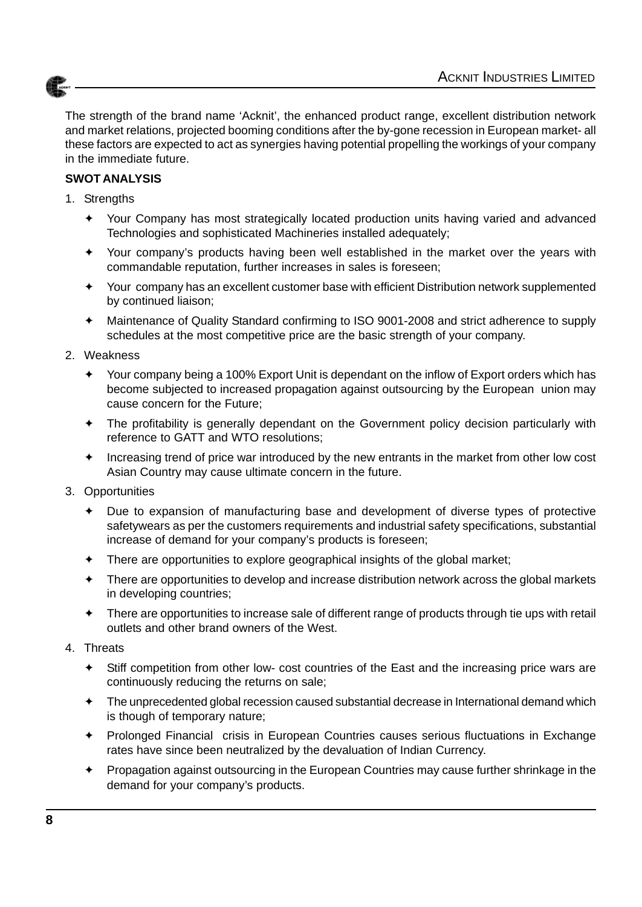

The strength of the brand name 'Acknit', the enhanced product range, excellent distribution network and market relations, projected booming conditions after the by-gone recession in European market- all these factors are expected to act as synergies having potential propelling the workings of your company in the immediate future.

#### **SWOT ANALYSIS**

- 1. Strengths
	- ✦ Your Company has most strategically located production units having varied and advanced Technologies and sophisticated Machineries installed adequately;
	- Your company's products having been well established in the market over the years with commandable reputation, further increases in sales is foreseen;
	- Your company has an excellent customer base with efficient Distribution network supplemented by continued liaison;
	- ✦ Maintenance of Quality Standard confirming to ISO 9001-2008 and strict adherence to supply schedules at the most competitive price are the basic strength of your company.
- 2. Weakness
	- ✦ Your company being a 100% Export Unit is dependant on the inflow of Export orders which has become subjected to increased propagation against outsourcing by the European union may cause concern for the Future;
	- ✦ The profitability is generally dependant on the Government policy decision particularly with reference to GATT and WTO resolutions;
	- Increasing trend of price war introduced by the new entrants in the market from other low cost Asian Country may cause ultimate concern in the future.
- 3. Opportunities
	- Due to expansion of manufacturing base and development of diverse types of protective safetywears as per the customers requirements and industrial safety specifications, substantial increase of demand for your company's products is foreseen;
	- ✦ There are opportunities to explore geographical insights of the global market;
	- ✦ There are opportunities to develop and increase distribution network across the global markets in developing countries;
	- There are opportunities to increase sale of different range of products through tie ups with retail outlets and other brand owners of the West.
- 4. Threats
	- ✦ Stiff competition from other low- cost countries of the East and the increasing price wars are continuously reducing the returns on sale;
	- ✦ The unprecedented global recession caused substantial decrease in International demand which is though of temporary nature;
	- Prolonged Financial crisis in European Countries causes serious fluctuations in Exchange rates have since been neutralized by the devaluation of Indian Currency.
	- ✦ Propagation against outsourcing in the European Countries may cause further shrinkage in the demand for your company's products.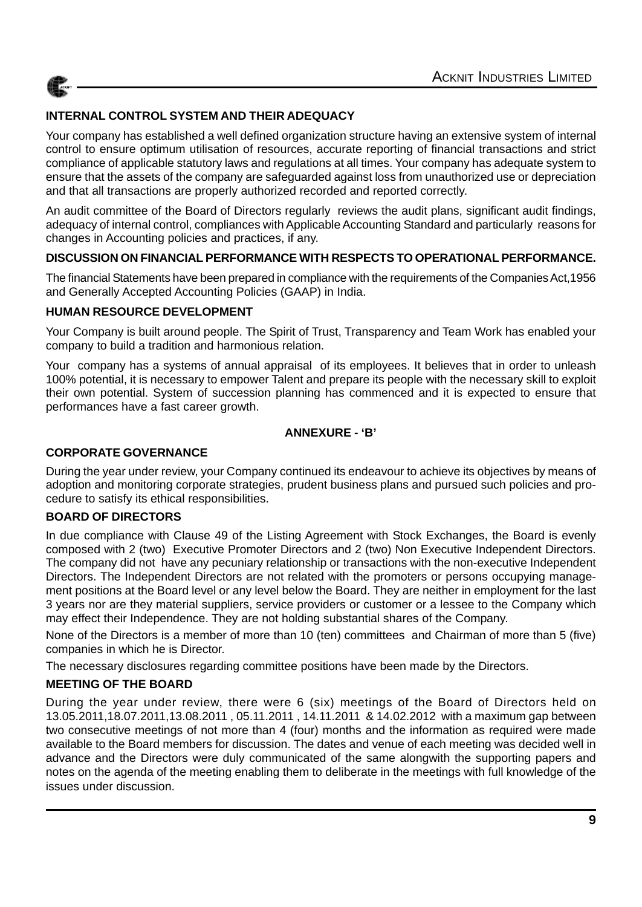

#### **INTERNAL CONTROL SYSTEM AND THEIR ADEQUACY**

Your company has established a well defined organization structure having an extensive system of internal control to ensure optimum utilisation of resources, accurate reporting of financial transactions and strict compliance of applicable statutory laws and regulations at all times. Your company has adequate system to ensure that the assets of the company are safeguarded against loss from unauthorized use or depreciation and that all transactions are properly authorized recorded and reported correctly.

An audit committee of the Board of Directors regularly reviews the audit plans, significant audit findings, adequacy of internal control, compliances with Applicable Accounting Standard and particularly reasons for changes in Accounting policies and practices, if any.

#### **DISCUSSION ON FINANCIAL PERFORMANCE WITH RESPECTS TO OPERATIONAL PERFORMANCE.**

The financial Statements have been prepared in compliance with the requirements of the Companies Act,1956 and Generally Accepted Accounting Policies (GAAP) in India.

#### **HUMAN RESOURCE DEVELOPMENT**

Your Company is built around people. The Spirit of Trust, Transparency and Team Work has enabled your company to build a tradition and harmonious relation.

Your company has a systems of annual appraisal of its employees. It believes that in order to unleash 100% potential, it is necessary to empower Talent and prepare its people with the necessary skill to exploit their own potential. System of succession planning has commenced and it is expected to ensure that performances have a fast career growth.

#### **ANNEXURE - 'B'**

#### **CORPORATE GOVERNANCE**

During the year under review, your Company continued its endeavour to achieve its objectives by means of adoption and monitoring corporate strategies, prudent business plans and pursued such policies and procedure to satisfy its ethical responsibilities.

#### **BOARD OF DIRECTORS**

In due compliance with Clause 49 of the Listing Agreement with Stock Exchanges, the Board is evenly composed with 2 (two) Executive Promoter Directors and 2 (two) Non Executive Independent Directors. The company did not have any pecuniary relationship or transactions with the non-executive Independent Directors. The Independent Directors are not related with the promoters or persons occupying management positions at the Board level or any level below the Board. They are neither in employment for the last 3 years nor are they material suppliers, service providers or customer or a lessee to the Company which may effect their Independence. They are not holding substantial shares of the Company.

None of the Directors is a member of more than 10 (ten) committees and Chairman of more than 5 (five) companies in which he is Director.

The necessary disclosures regarding committee positions have been made by the Directors.

#### **MEETING OF THE BOARD**

During the year under review, there were 6 (six) meetings of the Board of Directors held on 13.05.2011,18.07.2011,13.08.2011 , 05.11.2011 , 14.11.2011 & 14.02.2012 with a maximum gap between two consecutive meetings of not more than 4 (four) months and the information as required were made available to the Board members for discussion. The dates and venue of each meeting was decided well in advance and the Directors were duly communicated of the same alongwith the supporting papers and notes on the agenda of the meeting enabling them to deliberate in the meetings with full knowledge of the issues under discussion.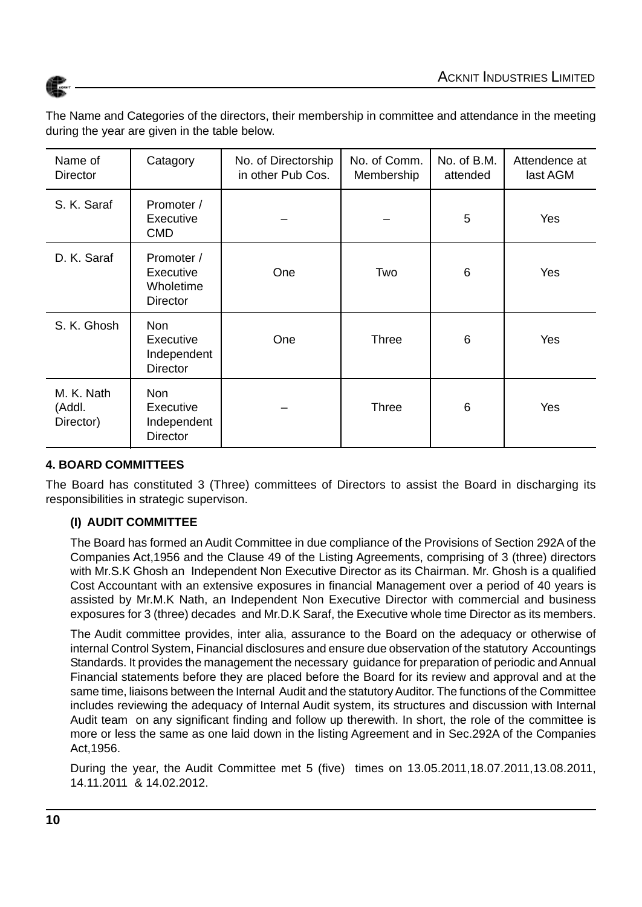



The Name and Categories of the directors, their membership in committee and attendance in the meeting during the year are given in the table below.

| Name of<br><b>Director</b>        | Catagory                                                  | No. of Directorship<br>in other Pub Cos. | No. of Comm.<br>Membership | No. of B.M.<br>attended | Attendence at<br>last AGM |
|-----------------------------------|-----------------------------------------------------------|------------------------------------------|----------------------------|-------------------------|---------------------------|
| S. K. Saraf                       | Promoter /<br>Executive<br><b>CMD</b>                     |                                          |                            | 5                       | Yes                       |
| D. K. Saraf                       | Promoter /<br>Executive<br>Wholetime<br>Director          | One                                      | Two                        | 6                       | Yes                       |
| S. K. Ghosh                       | <b>Non</b><br>Executive<br>Independent<br><b>Director</b> | One                                      | <b>Three</b>               | 6                       | Yes                       |
| M. K. Nath<br>(Addl.<br>Director) | <b>Non</b><br>Executive<br>Independent<br><b>Director</b> |                                          | Three                      | 6                       | Yes                       |

#### **4. BOARD COMMITTEES**

The Board has constituted 3 (Three) committees of Directors to assist the Board in discharging its responsibilities in strategic supervison.

#### **(I) AUDIT COMMITTEE**

The Board has formed an Audit Committee in due compliance of the Provisions of Section 292A of the Companies Act,1956 and the Clause 49 of the Listing Agreements, comprising of 3 (three) directors with Mr.S.K Ghosh an Independent Non Executive Director as its Chairman. Mr. Ghosh is a qualified Cost Accountant with an extensive exposures in financial Management over a period of 40 years is assisted by Mr.M.K Nath, an Independent Non Executive Director with commercial and business exposures for 3 (three) decades and Mr.D.K Saraf, the Executive whole time Director as its members.

The Audit committee provides, inter alia, assurance to the Board on the adequacy or otherwise of internal Control System, Financial disclosures and ensure due observation of the statutory Accountings Standards. It provides the management the necessary guidance for preparation of periodic and Annual Financial statements before they are placed before the Board for its review and approval and at the same time, liaisons between the Internal Audit and the statutory Auditor. The functions of the Committee includes reviewing the adequacy of Internal Audit system, its structures and discussion with Internal Audit team on any significant finding and follow up therewith. In short, the role of the committee is more or less the same as one laid down in the listing Agreement and in Sec.292A of the Companies Act,1956.

During the year, the Audit Committee met 5 (five) times on 13.05.2011,18.07.2011,13.08.2011, 14.11.2011 & 14.02.2012.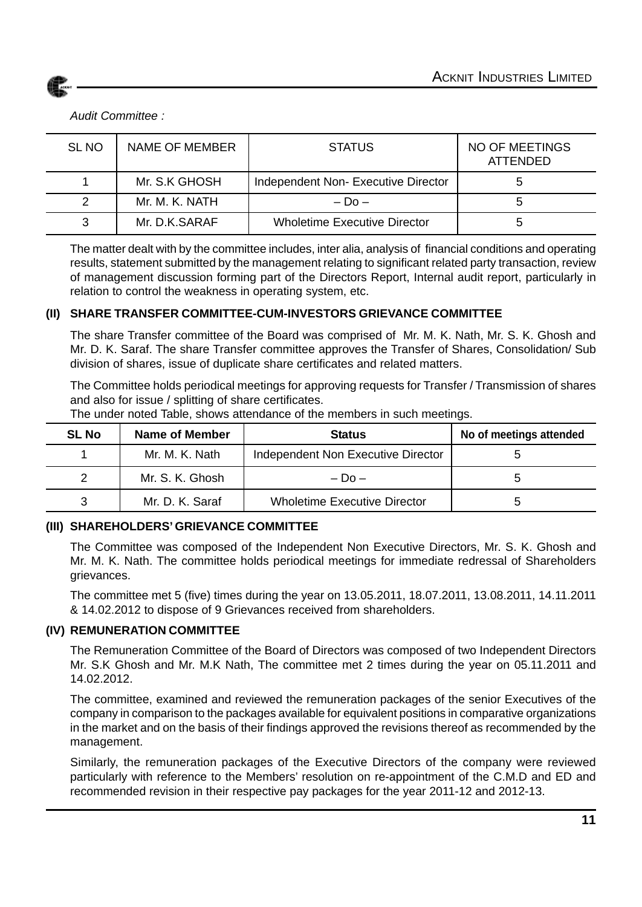

#### *Audit Committee :*

| SL NO | NAME OF MEMBER | <b>STATUS</b>                       | NO OF MEETINGS<br>ATTENDED |
|-------|----------------|-------------------------------------|----------------------------|
|       | Mr. S.K GHOSH  | Independent Non-Executive Director  |                            |
|       | Mr. M. K. NATH | $-$ Do $-$                          |                            |
| 3     | Mr. D.K.SARAF  | <b>Wholetime Executive Director</b> |                            |

The matter dealt with by the committee includes, inter alia, analysis of financial conditions and operating results, statement submitted by the management relating to significant related party transaction, review of management discussion forming part of the Directors Report, Internal audit report, particularly in relation to control the weakness in operating system, etc.

#### **(II) SHARE TRANSFER COMMITTEE-CUM-INVESTORS GRIEVANCE COMMITTEE**

The share Transfer committee of the Board was comprised of Mr. M. K. Nath, Mr. S. K. Ghosh and Mr. D. K. Saraf. The share Transfer committee approves the Transfer of Shares, Consolidation/ Sub division of shares, issue of duplicate share certificates and related matters.

The Committee holds periodical meetings for approving requests for Transfer / Transmission of shares and also for issue / splitting of share certificates.

| <b>SL No</b> | Name of Member  | <b>Status</b>                       | No of meetings attended |
|--------------|-----------------|-------------------------------------|-------------------------|
|              | Mr. M. K. Nath  | Independent Non Executive Director  |                         |
|              | Mr. S. K. Ghosh | $-$ Do $-$                          |                         |
|              | Mr. D. K. Saraf | <b>Wholetime Executive Director</b> | 5                       |

The under noted Table, shows attendance of the members in such meetings.

#### **(III) SHAREHOLDERS' GRIEVANCE COMMITTEE**

The Committee was composed of the Independent Non Executive Directors, Mr. S. K. Ghosh and Mr. M. K. Nath. The committee holds periodical meetings for immediate redressal of Shareholders grievances.

The committee met 5 (five) times during the year on 13.05.2011, 18.07.2011, 13.08.2011, 14.11.2011 & 14.02.2012 to dispose of 9 Grievances received from shareholders.

#### **(IV) REMUNERATION COMMITTEE**

The Remuneration Committee of the Board of Directors was composed of two Independent Directors Mr. S.K Ghosh and Mr. M.K Nath, The committee met 2 times during the year on 05.11.2011 and 14.02.2012.

The committee, examined and reviewed the remuneration packages of the senior Executives of the company in comparison to the packages available for equivalent positions in comparative organizations in the market and on the basis of their findings approved the revisions thereof as recommended by the management.

Similarly, the remuneration packages of the Executive Directors of the company were reviewed particularly with reference to the Members' resolution on re-appointment of the C.M.D and ED and recommended revision in their respective pay packages for the year 2011-12 and 2012-13.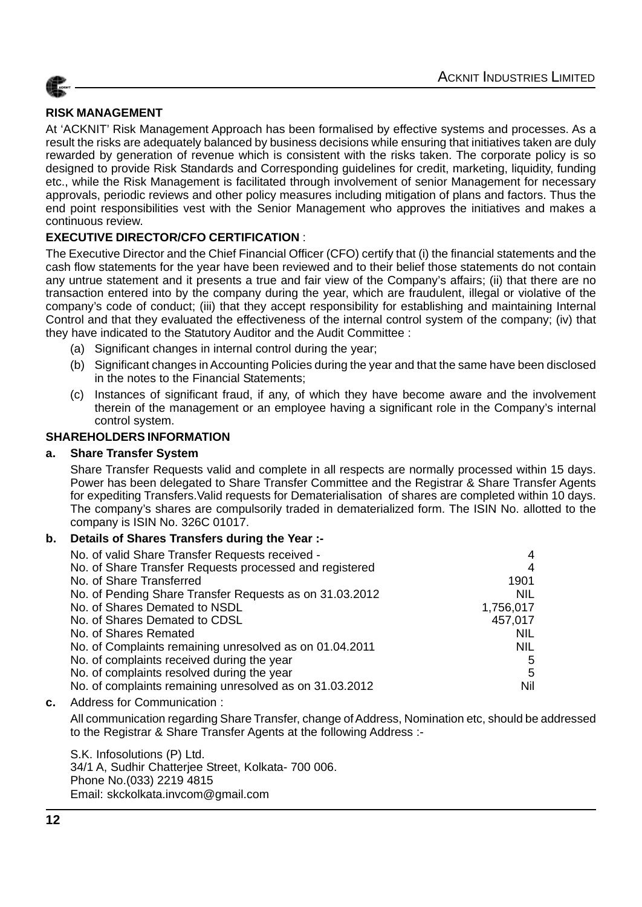

#### **RISK MANAGEMENT**

At 'ACKNIT' Risk Management Approach has been formalised by effective systems and processes. As a result the risks are adequately balanced by business decisions while ensuring that initiatives taken are duly rewarded by generation of revenue which is consistent with the risks taken. The corporate policy is so designed to provide Risk Standards and Corresponding guidelines for credit, marketing, liquidity, funding etc., while the Risk Management is facilitated through involvement of senior Management for necessary approvals, periodic reviews and other policy measures including mitigation of plans and factors. Thus the end point responsibilities vest with the Senior Management who approves the initiatives and makes a continuous review.

#### **EXECUTIVE DIRECTOR/CFO CERTIFICATION** :

The Executive Director and the Chief Financial Officer (CFO) certify that (i) the financial statements and the cash flow statements for the year have been reviewed and to their belief those statements do not contain any untrue statement and it presents a true and fair view of the Company's affairs; (ii) that there are no transaction entered into by the company during the year, which are fraudulent, illegal or violative of the company's code of conduct; (iii) that they accept responsibility for establishing and maintaining Internal Control and that they evaluated the effectiveness of the internal control system of the company; (iv) that they have indicated to the Statutory Auditor and the Audit Committee :

- (a) Significant changes in internal control during the year;
- (b) Significant changes in Accounting Policies during the year and that the same have been disclosed in the notes to the Financial Statements;
- (c) Instances of significant fraud, if any, of which they have become aware and the involvement therein of the management or an employee having a significant role in the Company's internal control system.

#### **SHAREHOLDERS INFORMATION**

#### **a. Share Transfer System**

Share Transfer Requests valid and complete in all respects are normally processed within 15 days. Power has been delegated to Share Transfer Committee and the Registrar & Share Transfer Agents for expediting Transfers.Valid requests for Dematerialisation of shares are completed within 10 days. The company's shares are compulsorily traded in dematerialized form. The ISIN No. allotted to the company is ISIN No. 326C 01017.

#### **b. Details of Shares Transfers during the Year :-**

| No. of valid Share Transfer Requests received -         | 4          |
|---------------------------------------------------------|------------|
| No. of Share Transfer Requests processed and registered | 4          |
| No. of Share Transferred                                | 1901       |
| No. of Pending Share Transfer Requests as on 31.03.2012 | <b>NIL</b> |
| No. of Shares Demated to NSDL                           | 1,756,017  |
| No. of Shares Demated to CDSL                           | 457,017    |
| No. of Shares Remated                                   | <b>NIL</b> |
| No. of Complaints remaining unresolved as on 01.04.2011 | <b>NIL</b> |
| No. of complaints received during the year              | 5          |
| No. of complaints resolved during the year              | 5          |
| No. of complaints remaining unresolved as on 31.03.2012 | Nil        |

**c.** Address for Communication :

All communication regarding Share Transfer, change of Address, Nomination etc, should be addressed to the Registrar & Share Transfer Agents at the following Address :-

S.K. Infosolutions (P) Ltd. 34/1 A, Sudhir Chatterjee Street, Kolkata- 700 006. Phone No.(033) 2219 4815 Email: skckolkata.invcom@gmail.com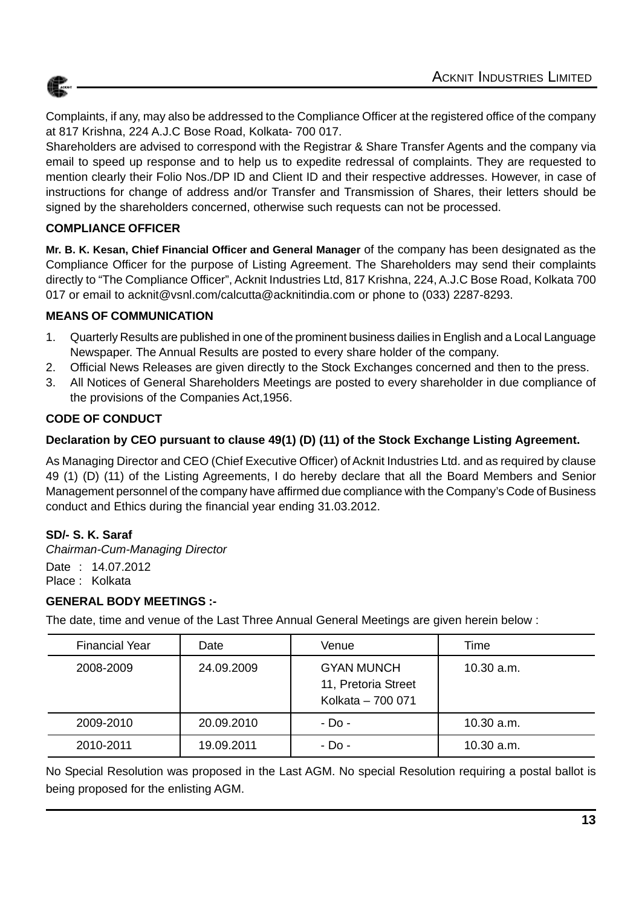

Complaints, if any, may also be addressed to the Compliance Officer at the registered office of the company at 817 Krishna, 224 A.J.C Bose Road, Kolkata- 700 017.

Shareholders are advised to correspond with the Registrar & Share Transfer Agents and the company via email to speed up response and to help us to expedite redressal of complaints. They are requested to mention clearly their Folio Nos./DP ID and Client ID and their respective addresses. However, in case of instructions for change of address and/or Transfer and Transmission of Shares, their letters should be signed by the shareholders concerned, otherwise such requests can not be processed.

#### **COMPLIANCE OFFICER**

**Mr. B. K. Kesan, Chief Financial Officer and General Manager** of the company has been designated as the Compliance Officer for the purpose of Listing Agreement. The Shareholders may send their complaints directly to "The Compliance Officer", Acknit Industries Ltd, 817 Krishna, 224, A.J.C Bose Road, Kolkata 700 017 or email to acknit@vsnl.com/calcutta@acknitindia.com or phone to (033) 2287-8293.

#### **MEANS OF COMMUNICATION**

- 1. Quarterly Results are published in one of the prominent business dailies in English and a Local Language Newspaper. The Annual Results are posted to every share holder of the company.
- 2. Official News Releases are given directly to the Stock Exchanges concerned and then to the press.
- 3. All Notices of General Shareholders Meetings are posted to every shareholder in due compliance of the provisions of the Companies Act,1956.

### **CODE OF CONDUCT**

#### **Declaration by CEO pursuant to clause 49(1) (D) (11) of the Stock Exchange Listing Agreement.**

As Managing Director and CEO (Chief Executive Officer) of Acknit Industries Ltd. and as required by clause 49 (1) (D) (11) of the Listing Agreements, I do hereby declare that all the Board Members and Senior Management personnel of the company have affirmed due compliance with the Company's Code of Business conduct and Ethics during the financial year ending 31.03.2012.

### **SD/- S. K. Saraf**

*Chairman-Cum-Managing Director* Date : 14.07.2012 Place : Kolkata

#### **GENERAL BODY MEETINGS :-**

The date, time and venue of the Last Three Annual General Meetings are given herein below :

| <b>Financial Year</b> | Date       | Venue                                                         | Time       |
|-----------------------|------------|---------------------------------------------------------------|------------|
| 2008-2009             | 24.09.2009 | <b>GYAN MUNCH</b><br>11, Pretoria Street<br>Kolkata - 700 071 | 10.30 a.m. |
| 2009-2010             | 20.09.2010 | - Do -                                                        | 10.30 a.m. |
| 2010-2011             | 19.09.2011 | $-D0$ -                                                       | 10.30 a.m. |

No Special Resolution was proposed in the Last AGM. No special Resolution requiring a postal ballot is being proposed for the enlisting AGM.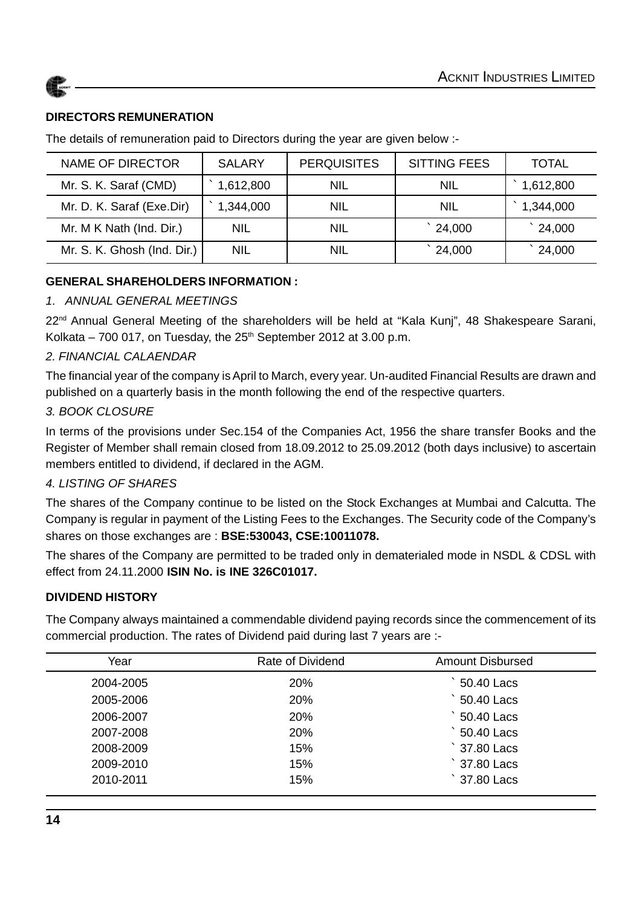



#### **DIRECTORS REMUNERATION**

The details of remuneration paid to Directors during the year are given below :-

| <b>NAME OF DIRECTOR</b>     | <b>SALARY</b> | <b>PERQUISITES</b> | <b>SITTING FEES</b> | <b>TOTAL</b>     |
|-----------------------------|---------------|--------------------|---------------------|------------------|
| Mr. S. K. Saraf (CMD)       | 1,612,800     | <b>NIL</b>         | <b>NIL</b>          | 1,612,800        |
| Mr. D. K. Saraf (Exe.Dir)   | 1,344,000     | <b>NIL</b>         | <b>NIL</b>          | 1,344,000        |
| Mr. M K Nath (Ind. Dir.)    | <b>NIL</b>    | NIL                | $\degree$ 24,000    | $\degree$ 24,000 |
| Mr. S. K. Ghosh (Ind. Dir.) | <b>NIL</b>    | NIL                | 24,000              | 24,000           |

#### **GENERAL SHAREHOLDERS INFORMATION :**

#### *1. ANNUAL GENERAL MEETINGS*

22<sup>nd</sup> Annual General Meeting of the shareholders will be held at "Kala Kunj", 48 Shakespeare Sarani, Kolkata – 700 017, on Tuesday, the  $25<sup>th</sup>$  September 2012 at 3.00 p.m.

#### *2. FINANCIAL CALAENDAR*

The financial year of the company is April to March, every year. Un-audited Financial Results are drawn and published on a quarterly basis in the month following the end of the respective quarters.

#### *3. BOOK CLOSURE*

In terms of the provisions under Sec.154 of the Companies Act, 1956 the share transfer Books and the Register of Member shall remain closed from 18.09.2012 to 25.09.2012 (both days inclusive) to ascertain members entitled to dividend, if declared in the AGM.

#### *4. LISTING OF SHARES*

The shares of the Company continue to be listed on the Stock Exchanges at Mumbai and Calcutta. The Company is regular in payment of the Listing Fees to the Exchanges. The Security code of the Company's shares on those exchanges are : **BSE:530043, CSE:10011078.**

The shares of the Company are permitted to be traded only in dematerialed mode in NSDL & CDSL with effect from 24.11.2000 **ISIN No. is INE 326C01017.**

#### **DIVIDEND HISTORY**

The Company always maintained a commendable dividend paying records since the commencement of its commercial production. The rates of Dividend paid during last 7 years are :-

| Year      | Rate of Dividend | <b>Amount Disbursed</b> |
|-----------|------------------|-------------------------|
| 2004-2005 | 20%              | 50.40 Lacs              |
| 2005-2006 | <b>20%</b>       | 50.40 Lacs              |
| 2006-2007 | <b>20%</b>       | 50.40 Lacs              |
| 2007-2008 | 20%              | 50.40 Lacs              |
| 2008-2009 | 15%              | $\degree$ 37.80 Lacs    |
| 2009-2010 | 15%              | $\degree$ 37.80 Lacs    |
| 2010-2011 | 15%              | $\degree$ 37.80 Lacs    |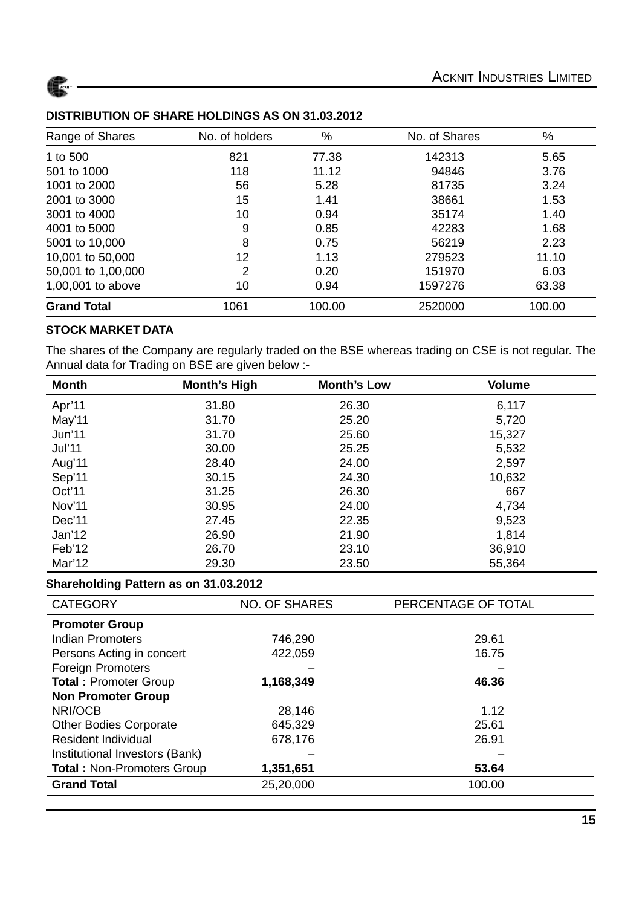

| Range of Shares    | No. of holders | %      | No. of Shares | $\%$   |
|--------------------|----------------|--------|---------------|--------|
| 1 to 500           | 821            | 77.38  | 142313        | 5.65   |
| 501 to 1000        | 118            | 11.12  | 94846         | 3.76   |
| 1001 to 2000       | 56             | 5.28   | 81735         | 3.24   |
| 2001 to 3000       | 15             | 1.41   | 38661         | 1.53   |
| 3001 to 4000       | 10             | 0.94   | 35174         | 1.40   |
| 4001 to 5000       | 9              | 0.85   | 42283         | 1.68   |
| 5001 to 10,000     | 8              | 0.75   | 56219         | 2.23   |
| 10,001 to 50,000   | 12             | 1.13   | 279523        | 11.10  |
| 50,001 to 1,00,000 | 2              | 0.20   | 151970        | 6.03   |
| 1,00,001 to above  | 10             | 0.94   | 1597276       | 63.38  |
| <b>Grand Total</b> | 1061           | 100.00 | 2520000       | 100.00 |

#### **DISTRIBUTION OF SHARE HOLDINGS AS ON 31.03.2012**

#### **STOCK MARKET DATA**

The shares of the Company are regularly traded on the BSE whereas trading on CSE is not regular. The Annual data for Trading on BSE are given below :-

| <b>Month</b>  | <b>Month's High</b> | <b>Month's Low</b> | <b>Volume</b> |
|---------------|---------------------|--------------------|---------------|
| Apr'11        | 31.80               | 26.30              | 6,117         |
| May'11        | 31.70               | 25.20              | 5,720         |
| Jun'11        | 31.70               | 25.60              | 15,327        |
| <b>Jul'11</b> | 30.00               | 25.25              | 5,532         |
| Aug'11        | 28.40               | 24.00              | 2,597         |
| Sep'11        | 30.15               | 24.30              | 10,632        |
| Oct'11        | 31.25               | 26.30              | 667           |
| Nov'11        | 30.95               | 24.00              | 4,734         |
| Dec'11        | 27.45               | 22.35              | 9,523         |
| Jan'12        | 26.90               | 21.90              | 1,814         |
| Feb'12        | 26.70               | 23.10              | 36,910        |
| Mar'12        | 29.30               | 23.50              | 55,364        |

#### **Shareholding Pattern as on 31.03.2012**

| <b>CATEGORY</b>                   | <b>NO. OF SHARES</b> | PERCENTAGE OF TOTAL |
|-----------------------------------|----------------------|---------------------|
| <b>Promoter Group</b>             |                      |                     |
| Indian Promoters                  | 746,290              | 29.61               |
| Persons Acting in concert         | 422,059              | 16.75               |
| <b>Foreign Promoters</b>          |                      |                     |
| <b>Total: Promoter Group</b>      | 1,168,349            | 46.36               |
| <b>Non Promoter Group</b>         |                      |                     |
| NRI/OCB                           | 28,146               | 1.12                |
| <b>Other Bodies Corporate</b>     | 645,329              | 25.61               |
| <b>Resident Individual</b>        | 678,176              | 26.91               |
| Institutional Investors (Bank)    |                      |                     |
| <b>Total: Non-Promoters Group</b> | 1,351,651            | 53.64               |
| <b>Grand Total</b>                | 25,20,000            | 100.00              |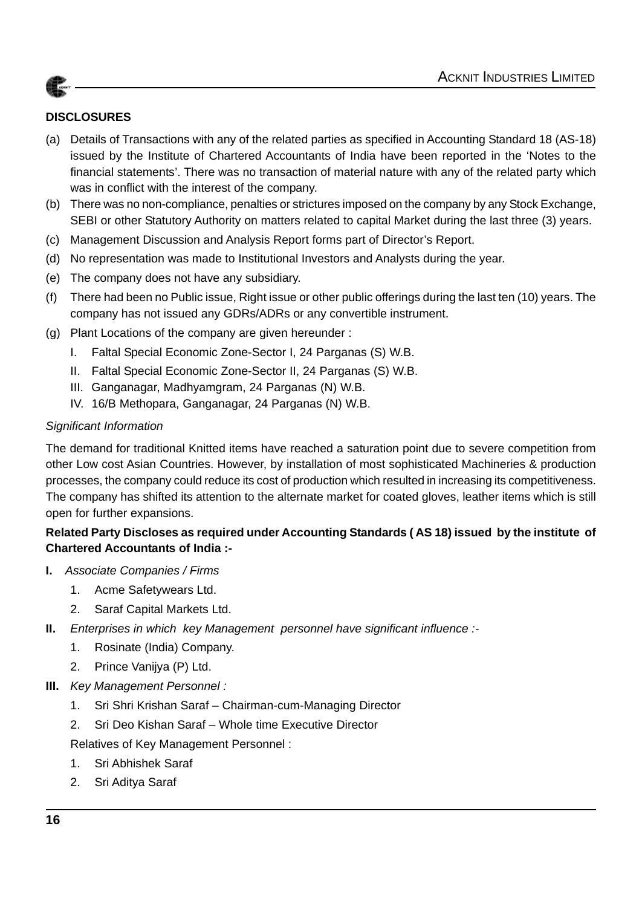

### **DISCLOSURES**

- (a) Details of Transactions with any of the related parties as specified in Accounting Standard 18 (AS-18) issued by the Institute of Chartered Accountants of India have been reported in the 'Notes to the financial statements'. There was no transaction of material nature with any of the related party which was in conflict with the interest of the company.
- (b) There was no non-compliance, penalties or strictures imposed on the company by any Stock Exchange, SEBI or other Statutory Authority on matters related to capital Market during the last three (3) years.
- (c) Management Discussion and Analysis Report forms part of Director's Report.
- (d) No representation was made to Institutional Investors and Analysts during the year.
- (e) The company does not have any subsidiary.
- (f) There had been no Public issue, Right issue or other public offerings during the last ten (10) years. The company has not issued any GDRs/ADRs or any convertible instrument.
- (g) Plant Locations of the company are given hereunder :
	- I. Faltal Special Economic Zone-Sector I, 24 Parganas (S) W.B.
	- II. Faltal Special Economic Zone-Sector II, 24 Parganas (S) W.B.
	- III. Ganganagar, Madhyamgram, 24 Parganas (N) W.B.
	- IV. 16/B Methopara, Ganganagar, 24 Parganas (N) W.B.

#### *Significant Information*

The demand for traditional Knitted items have reached a saturation point due to severe competition from other Low cost Asian Countries. However, by installation of most sophisticated Machineries & production processes, the company could reduce its cost of production which resulted in increasing its competitiveness. The company has shifted its attention to the alternate market for coated gloves, leather items which is still open for further expansions.

### **Related Party Discloses as required under Accounting Standards ( AS 18) issued by the institute of Chartered Accountants of India :-**

- **I.** *Associate Companies / Firms*
	- 1. Acme Safetywears Ltd.
	- 2. Saraf Capital Markets Ltd.
- **II.** *Enterprises in which key Management personnel have significant influence :-*
	- 1. Rosinate (India) Company.
	- 2. Prince Vanijya (P) Ltd.
- **III.** *Key Management Personnel :*
	- 1. Sri Shri Krishan Saraf Chairman-cum-Managing Director
	- 2. Sri Deo Kishan Saraf Whole time Executive Director

Relatives of Key Management Personnel :

- 1. Sri Abhishek Saraf
- 2. Sri Aditya Saraf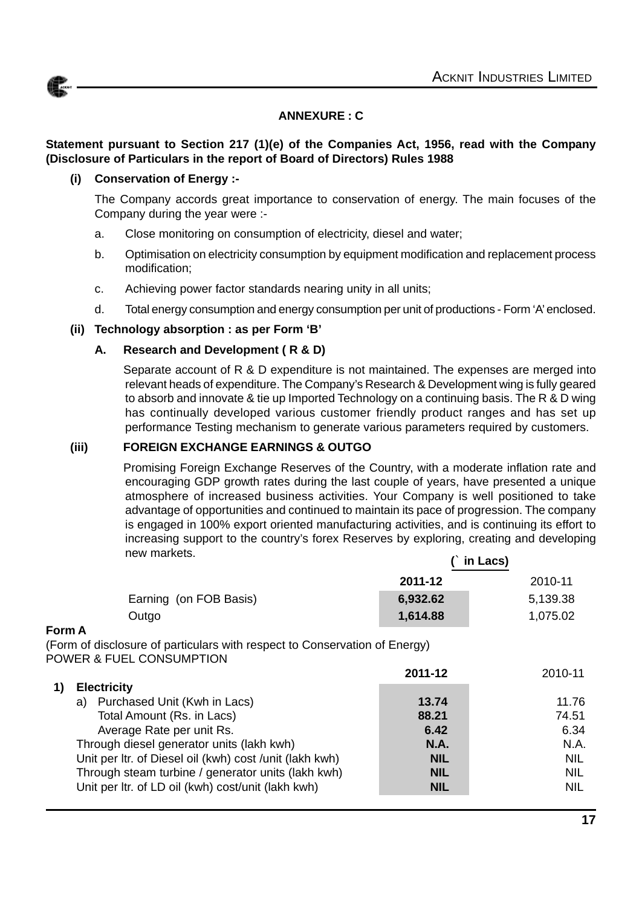

#### **ANNEXURE : C**

#### **Statement pursuant to Section 217 (1)(e) of the Companies Act, 1956, read with the Company (Disclosure of Particulars in the report of Board of Directors) Rules 1988**

#### **(i) Conservation of Energy :-**

The Company accords great importance to conservation of energy. The main focuses of the Company during the year were :-

- a. Close monitoring on consumption of electricity, diesel and water;
- b. Optimisation on electricity consumption by equipment modification and replacement process modification;
- c. Achieving power factor standards nearing unity in all units;
- d. Total energy consumption and energy consumption per unit of productions Form 'A' enclosed.

#### **(ii) Technology absorption : as per Form 'B'**

#### **A. Research and Development ( R & D)**

Separate account of R & D expenditure is not maintained. The expenses are merged into relevant heads of expenditure. The Company's Research & Development wing is fully geared to absorb and innovate & tie up Imported Technology on a continuing basis. The R & D wing has continually developed various customer friendly product ranges and has set up performance Testing mechanism to generate various parameters required by customers.

#### **(iii) FOREIGN EXCHANGE EARNINGS & OUTGO**

Promising Foreign Exchange Reserves of the Country, with a moderate inflation rate and encouraging GDP growth rates during the last couple of years, have presented a unique atmosphere of increased business activities. Your Company is well positioned to take advantage of opportunities and continued to maintain its pace of progression. The company is engaged in 100% export oriented manufacturing activities, and is continuing its effort to increasing support to the country's forex Reserves by exploring, creating and developing new markets.  **(**` **in Lacs)**

|                        | 2011-12  | 2010-11  |
|------------------------|----------|----------|
| Earning (on FOB Basis) | 6,932.62 | 5,139.38 |
| Outgo                  | 1,614.88 | 1,075.02 |

#### **Form A**

(Form of disclosure of particulars with respect to Conservation of Energy) POWER & FUEL CONSUMPTION

|    |                                                         | 2011-12     | 2010-11    |
|----|---------------------------------------------------------|-------------|------------|
|    | <b>Electricity</b>                                      |             |            |
| a) | Purchased Unit (Kwh in Lacs)                            | 13.74       | 11.76      |
|    | Total Amount (Rs. in Lacs)                              | 88.21       | 74.51      |
|    | Average Rate per unit Rs.                               | 6.42        | 6.34       |
|    | Through diesel generator units (lakh kwh)               | <b>N.A.</b> | N.A.       |
|    | Unit per Itr. of Diesel oil (kwh) cost /unit (lakh kwh) | <b>NIL</b>  | <b>NIL</b> |
|    | Through steam turbine / generator units (lakh kwh)      | <b>NIL</b>  | <b>NIL</b> |
|    | Unit per Itr. of LD oil (kwh) cost/unit (lakh kwh)      | <b>NIL</b>  | <b>NIL</b> |
|    |                                                         |             |            |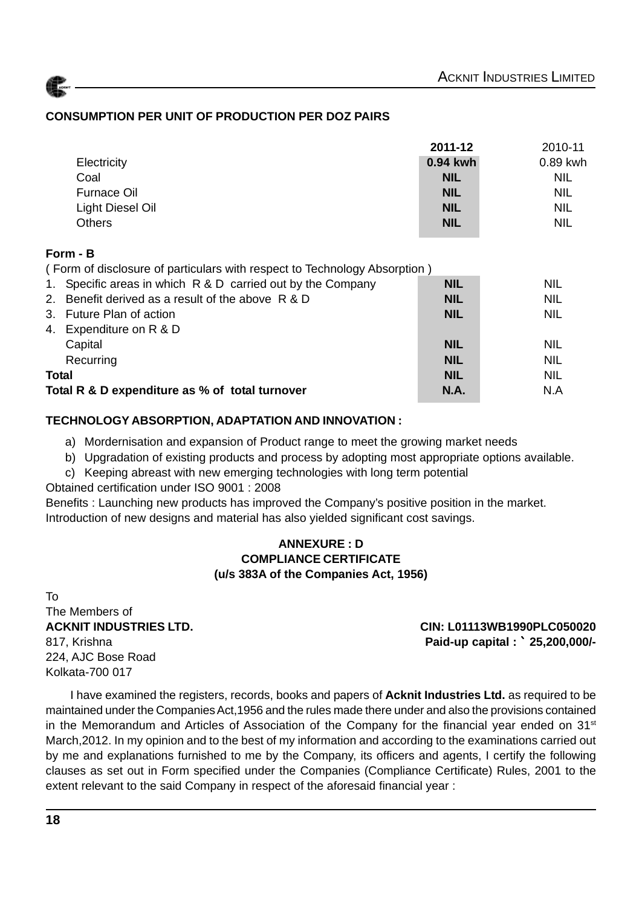#### **CONSUMPTION PER UNIT OF PRODUCTION PER DOZ PAIRS**

|                    | 2011-12    | 2010-11    |
|--------------------|------------|------------|
| Electricity        | 0.94 kwh   | 0.89 kwh   |
| Coal               | <b>NIL</b> | <b>NIL</b> |
| <b>Furnace Oil</b> | <b>NIL</b> | <b>NIL</b> |
| Light Diesel Oil   | <b>NIL</b> | <b>NIL</b> |
| <b>Others</b>      | <b>NIL</b> | <b>NIL</b> |

#### **Form - B**

( Form of disclosure of particulars with respect to Technology Absorption )

|              | 1. Specific areas in which R & D carried out by the Company | <b>NIL</b>  | <b>NIL</b> |
|--------------|-------------------------------------------------------------|-------------|------------|
|              | 2. Benefit derived as a result of the above R & D           | <b>NIL</b>  | <b>NIL</b> |
|              | 3. Future Plan of action                                    | <b>NIL</b>  | <b>NIL</b> |
| 4.           | Expenditure on R & D                                        |             |            |
|              | Capital                                                     | <b>NIL</b>  | <b>NIL</b> |
|              | Recurring                                                   | <b>NIL</b>  | <b>NIL</b> |
| <b>Total</b> |                                                             | <b>NIL</b>  | <b>NIL</b> |
|              | Total R & D expenditure as % of total turnover              | <b>N.A.</b> | N.A        |

#### **TECHNOLOGY ABSORPTION, ADAPTATION AND INNOVATION :**

- a) Mordernisation and expansion of Product range to meet the growing market needs
- b) Upgradation of existing products and process by adopting most appropriate options available.
- c) Keeping abreast with new emerging technologies with long term potential

Obtained certification under ISO 9001 : 2008

Benefits : Launching new products has improved the Company's positive position in the market. Introduction of new designs and material has also yielded significant cost savings.

#### **ANNEXURE : D COMPLIANCE CERTIFICATE (u/s 383A of the Companies Act, 1956)**

To The Members of 224, AJC Bose Road Kolkata-700 017

**ACKNIT INDUSTRIES LTD. CIN: L01113WB1990PLC050020** 817, Krishna **Paid-up capital :** ` **25,200,000/-**

I have examined the registers, records, books and papers of **Acknit Industries Ltd.** as required to be maintained under the Companies Act,1956 and the rules made there under and also the provisions contained in the Memorandum and Articles of Association of the Company for the financial year ended on  $31<sup>st</sup>$ March,2012. In my opinion and to the best of my information and according to the examinations carried out by me and explanations furnished to me by the Company, its officers and agents, I certify the following clauses as set out in Form specified under the Companies (Compliance Certificate) Rules, 2001 to the extent relevant to the said Company in respect of the aforesaid financial year :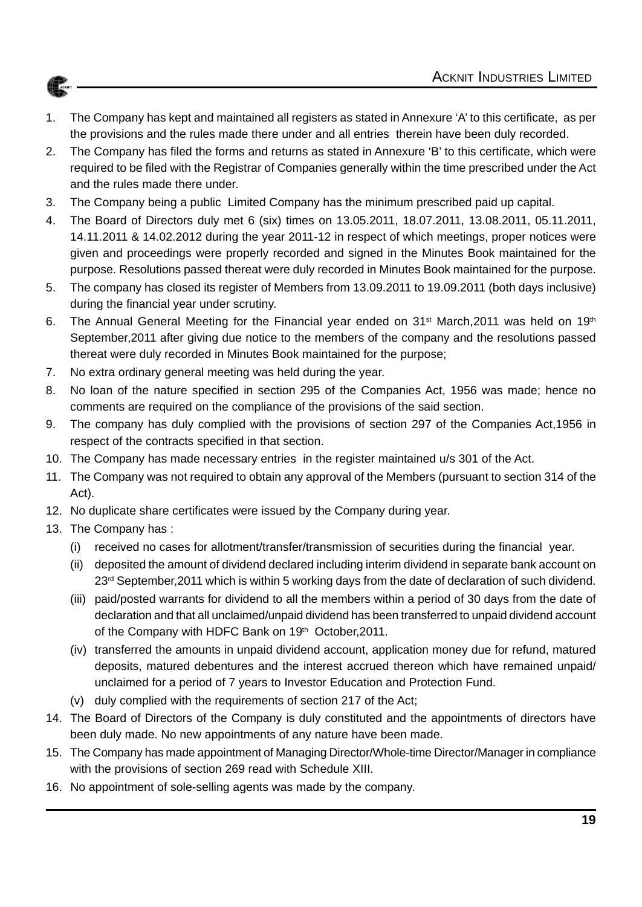- 1. The Company has kept and maintained all registers as stated in Annexure 'A' to this certificate, as per the provisions and the rules made there under and all entries therein have been duly recorded.
- 2. The Company has filed the forms and returns as stated in Annexure 'B' to this certificate, which were required to be filed with the Registrar of Companies generally within the time prescribed under the Act and the rules made there under.
- 3. The Company being a public Limited Company has the minimum prescribed paid up capital.
- 4. The Board of Directors duly met 6 (six) times on 13.05.2011, 18.07.2011, 13.08.2011, 05.11.2011, 14.11.2011 & 14.02.2012 during the year 2011-12 in respect of which meetings, proper notices were given and proceedings were properly recorded and signed in the Minutes Book maintained for the purpose. Resolutions passed thereat were duly recorded in Minutes Book maintained for the purpose.
- 5. The company has closed its register of Members from 13.09.2011 to 19.09.2011 (both days inclusive) during the financial year under scrutiny.
- 6. The Annual General Meeting for the Financial year ended on 31<sup>st</sup> March, 2011 was held on 19<sup>th</sup> September,2011 after giving due notice to the members of the company and the resolutions passed thereat were duly recorded in Minutes Book maintained for the purpose;
- 7. No extra ordinary general meeting was held during the year.
- 8. No loan of the nature specified in section 295 of the Companies Act, 1956 was made; hence no comments are required on the compliance of the provisions of the said section.
- 9. The company has duly complied with the provisions of section 297 of the Companies Act,1956 in respect of the contracts specified in that section.
- 10. The Company has made necessary entries in the register maintained u/s 301 of the Act.
- 11. The Company was not required to obtain any approval of the Members (pursuant to section 314 of the Act).
- 12. No duplicate share certificates were issued by the Company during year.
- 13. The Company has :
	- (i) received no cases for allotment/transfer/transmission of securities during the financial year.
	- (ii) deposited the amount of dividend declared including interim dividend in separate bank account on 23<sup>rd</sup> September, 2011 which is within 5 working days from the date of declaration of such dividend.
	- (iii) paid/posted warrants for dividend to all the members within a period of 30 days from the date of declaration and that all unclaimed/unpaid dividend has been transferred to unpaid dividend account of the Company with HDFC Bank on 19<sup>th</sup> October, 2011.
	- (iv) transferred the amounts in unpaid dividend account, application money due for refund, matured deposits, matured debentures and the interest accrued thereon which have remained unpaid/ unclaimed for a period of 7 years to Investor Education and Protection Fund.
	- (v) duly complied with the requirements of section 217 of the Act;
- 14. The Board of Directors of the Company is duly constituted and the appointments of directors have been duly made. No new appointments of any nature have been made.
- 15. The Company has made appointment of Managing Director/Whole-time Director/Manager in compliance with the provisions of section 269 read with Schedule XIII.
- 16. No appointment of sole-selling agents was made by the company.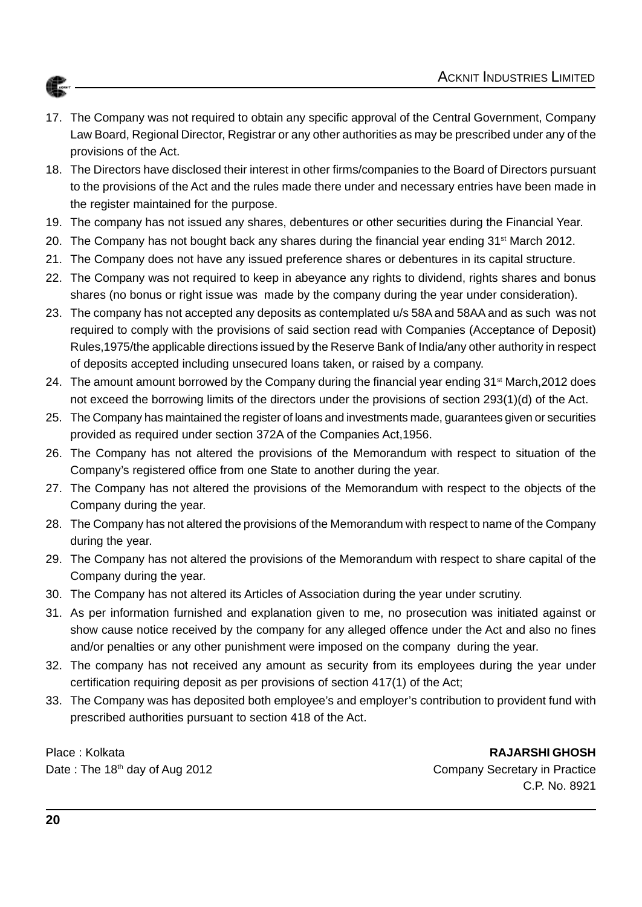

- 17. The Company was not required to obtain any specific approval of the Central Government, Company Law Board, Regional Director, Registrar or any other authorities as may be prescribed under any of the provisions of the Act.
- 18. The Directors have disclosed their interest in other firms/companies to the Board of Directors pursuant to the provisions of the Act and the rules made there under and necessary entries have been made in the register maintained for the purpose.
- 19. The company has not issued any shares, debentures or other securities during the Financial Year.
- 20. The Company has not bought back any shares during the financial year ending  $31<sup>st</sup>$  March 2012.
- 21. The Company does not have any issued preference shares or debentures in its capital structure.
- 22. The Company was not required to keep in abeyance any rights to dividend, rights shares and bonus shares (no bonus or right issue was made by the company during the year under consideration).
- 23. The company has not accepted any deposits as contemplated u/s 58A and 58AA and as such was not required to comply with the provisions of said section read with Companies (Acceptance of Deposit) Rules,1975/the applicable directions issued by the Reserve Bank of India/any other authority in respect of deposits accepted including unsecured loans taken, or raised by a company.
- 24. The amount amount borrowed by the Company during the financial year ending  $31^{st}$  March, 2012 does not exceed the borrowing limits of the directors under the provisions of section 293(1)(d) of the Act.
- 25. The Company has maintained the register of loans and investments made, guarantees given or securities provided as required under section 372A of the Companies Act,1956.
- 26. The Company has not altered the provisions of the Memorandum with respect to situation of the Company's registered office from one State to another during the year.
- 27. The Company has not altered the provisions of the Memorandum with respect to the objects of the Company during the year.
- 28. The Company has not altered the provisions of the Memorandum with respect to name of the Company during the year.
- 29. The Company has not altered the provisions of the Memorandum with respect to share capital of the Company during the year.
- 30. The Company has not altered its Articles of Association during the year under scrutiny.
- 31. As per information furnished and explanation given to me, no prosecution was initiated against or show cause notice received by the company for any alleged offence under the Act and also no fines and/or penalties or any other punishment were imposed on the company during the year.
- 32. The company has not received any amount as security from its employees during the year under certification requiring deposit as per provisions of section 417(1) of the Act;
- 33. The Company was has deposited both employee's and employer's contribution to provident fund with prescribed authorities pursuant to section 418 of the Act.

Place : Kolkata **RAJARSHI GHOSH**

Date : The 18<sup>th</sup> day of Aug 2012 Company Secretary in Practice C.P. No. 8921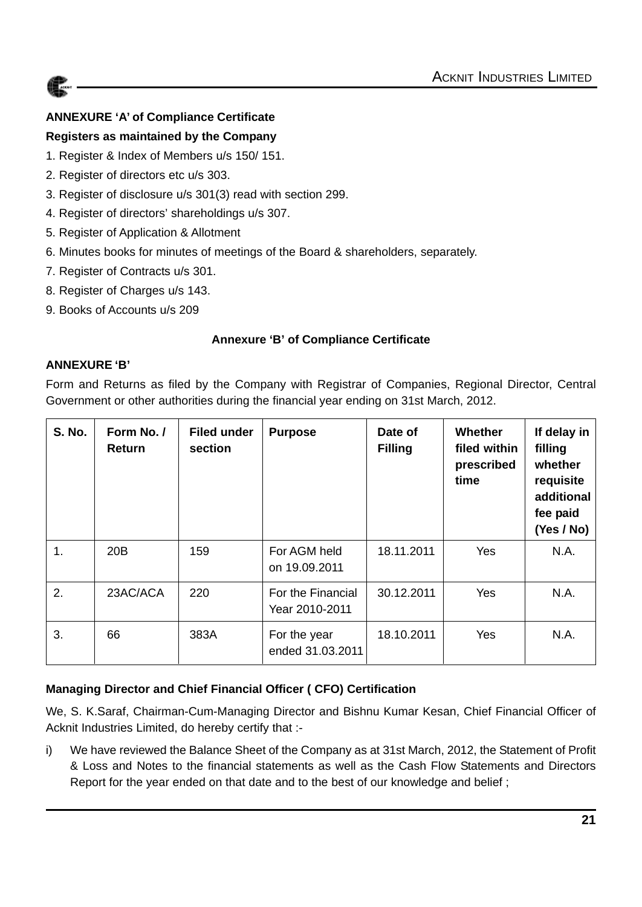

#### **ANNEXURE 'A' of Compliance Certificate**

#### **Registers as maintained by the Company**

- 1. Register & Index of Members u/s 150/ 151.
- 2. Register of directors etc u/s 303.
- 3. Register of disclosure u/s 301(3) read with section 299.
- 4. Register of directors' shareholdings u/s 307.
- 5. Register of Application & Allotment
- 6. Minutes books for minutes of meetings of the Board & shareholders, separately.
- 7. Register of Contracts u/s 301.
- 8. Register of Charges u/s 143.
- 9. Books of Accounts u/s 209

#### **Annexure 'B' of Compliance Certificate**

#### **ANNEXURE 'B'**

Form and Returns as filed by the Company with Registrar of Companies, Regional Director, Central Government or other authorities during the financial year ending on 31st March, 2012.

| <b>S. No.</b> | Form No. /<br>Return | <b>Filed under</b><br>section | <b>Purpose</b>                      | Date of<br><b>Filling</b> | Whether<br>filed within<br>prescribed<br>time | If delay in<br>filling<br>whether<br>requisite<br>additional<br>fee paid<br>(Yes / No) |
|---------------|----------------------|-------------------------------|-------------------------------------|---------------------------|-----------------------------------------------|----------------------------------------------------------------------------------------|
| 1.            | 20B                  | 159                           | For AGM held<br>on 19.09.2011       | 18.11.2011                | <b>Yes</b>                                    | N.A.                                                                                   |
| 2.            | 23AC/ACA             | 220                           | For the Financial<br>Year 2010-2011 | 30.12.2011                | <b>Yes</b>                                    | N.A.                                                                                   |
| 3.            | 66                   | 383A                          | For the year<br>ended 31.03.2011    | 18.10.2011                | Yes                                           | N.A.                                                                                   |

#### **Managing Director and Chief Financial Officer ( CFO) Certification**

We, S. K.Saraf, Chairman-Cum-Managing Director and Bishnu Kumar Kesan, Chief Financial Officer of Acknit Industries Limited, do hereby certify that :-

i) We have reviewed the Balance Sheet of the Company as at 31st March, 2012, the Statement of Profit & Loss and Notes to the financial statements as well as the Cash Flow Statements and Directors Report for the year ended on that date and to the best of our knowledge and belief ;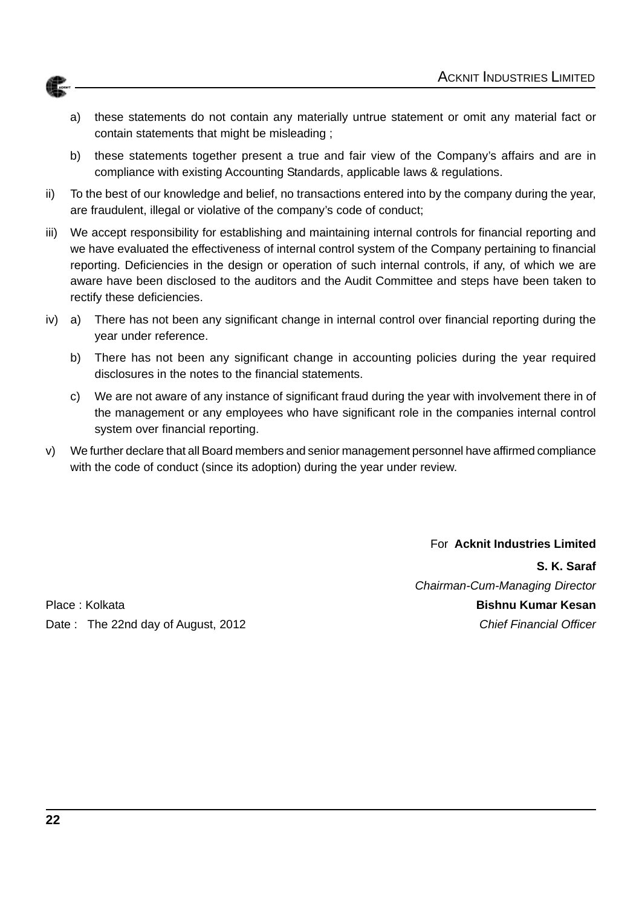- a) these statements do not contain any materially untrue statement or omit any material fact or contain statements that might be misleading ;
- b) these statements together present a true and fair view of the Company's affairs and are in compliance with existing Accounting Standards, applicable laws & regulations.
- ii) To the best of our knowledge and belief, no transactions entered into by the company during the year, are fraudulent, illegal or violative of the company's code of conduct;
- iii) We accept responsibility for establishing and maintaining internal controls for financial reporting and we have evaluated the effectiveness of internal control system of the Company pertaining to financial reporting. Deficiencies in the design or operation of such internal controls, if any, of which we are aware have been disclosed to the auditors and the Audit Committee and steps have been taken to rectify these deficiencies.
- iv) a) There has not been any significant change in internal control over financial reporting during the year under reference.
	- b) There has not been any significant change in accounting policies during the year required disclosures in the notes to the financial statements.
	- c) We are not aware of any instance of significant fraud during the year with involvement there in of the management or any employees who have significant role in the companies internal control system over financial reporting.
- v) We further declare that all Board members and senior management personnel have affirmed compliance with the code of conduct (since its adoption) during the year under review.

For **Acknit Industries Limited**

Place : Kolkata **Bishnu Kumar Kesan** Date : The 22nd day of August, 2012 **Chief Financial Officer** Chief Financial Officer

**S. K. Saraf** *Chairman-Cum-Managing Director*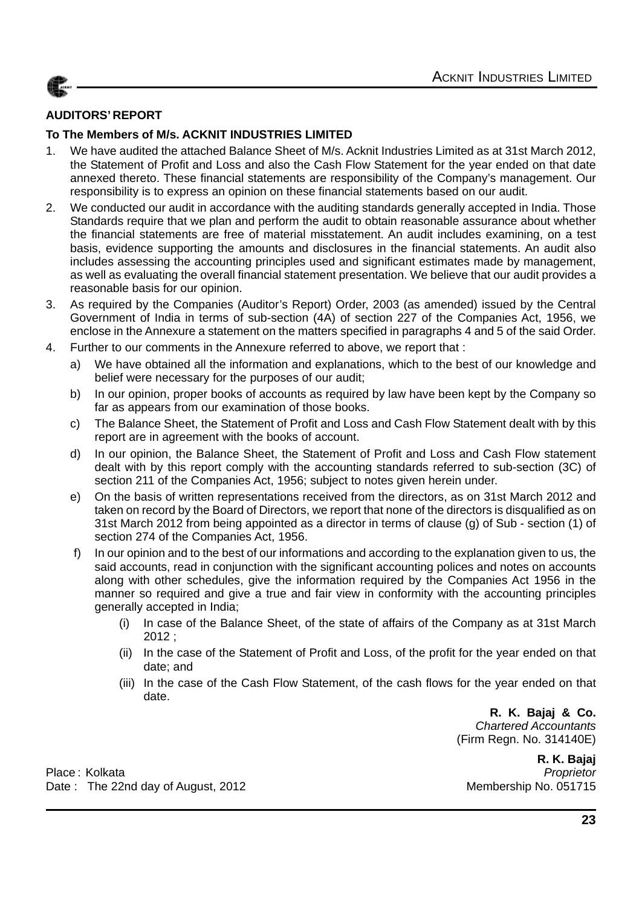#### **AUDITORS' REPORT**

#### **To The Members of M/s. ACKNIT INDUSTRIES LIMITED**

- 1. We have audited the attached Balance Sheet of M/s. Acknit Industries Limited as at 31st March 2012, the Statement of Profit and Loss and also the Cash Flow Statement for the year ended on that date annexed thereto. These financial statements are responsibility of the Company's management. Our responsibility is to express an opinion on these financial statements based on our audit.
- 2. We conducted our audit in accordance with the auditing standards generally accepted in India. Those Standards require that we plan and perform the audit to obtain reasonable assurance about whether the financial statements are free of material misstatement. An audit includes examining, on a test basis, evidence supporting the amounts and disclosures in the financial statements. An audit also includes assessing the accounting principles used and significant estimates made by management, as well as evaluating the overall financial statement presentation. We believe that our audit provides a reasonable basis for our opinion.
- 3. As required by the Companies (Auditor's Report) Order, 2003 (as amended) issued by the Central Government of India in terms of sub-section (4A) of section 227 of the Companies Act, 1956, we enclose in the Annexure a statement on the matters specified in paragraphs 4 and 5 of the said Order.
- 4. Further to our comments in the Annexure referred to above, we report that :
	- a) We have obtained all the information and explanations, which to the best of our knowledge and belief were necessary for the purposes of our audit;
	- b) In our opinion, proper books of accounts as required by law have been kept by the Company so far as appears from our examination of those books.
	- c) The Balance Sheet, the Statement of Profit and Loss and Cash Flow Statement dealt with by this report are in agreement with the books of account.
	- d) In our opinion, the Balance Sheet, the Statement of Profit and Loss and Cash Flow statement dealt with by this report comply with the accounting standards referred to sub-section (3C) of section 211 of the Companies Act, 1956; subject to notes given herein under.
	- e) On the basis of written representations received from the directors, as on 31st March 2012 and taken on record by the Board of Directors, we report that none of the directors is disqualified as on 31st March 2012 from being appointed as a director in terms of clause (g) of Sub - section (1) of section 274 of the Companies Act, 1956.
	- f) In our opinion and to the best of our informations and according to the explanation given to us, the said accounts, read in conjunction with the significant accounting polices and notes on accounts along with other schedules, give the information required by the Companies Act 1956 in the manner so required and give a true and fair view in conformity with the accounting principles generally accepted in India;
		- (i) In case of the Balance Sheet, of the state of affairs of the Company as at 31st March 2012 ;
		- (ii) In the case of the Statement of Profit and Loss, of the profit for the year ended on that date; and
		- (iii) In the case of the Cash Flow Statement, of the cash flows for the year ended on that date.

**R. K. Bajaj & Co.** *Chartered Accountants* (Firm Regn. No. 314140E)

 **R. K. Bajaj**

Place : Kolkata *Proprietor* Date: The 22nd day of August, 2012 Membership No. 051715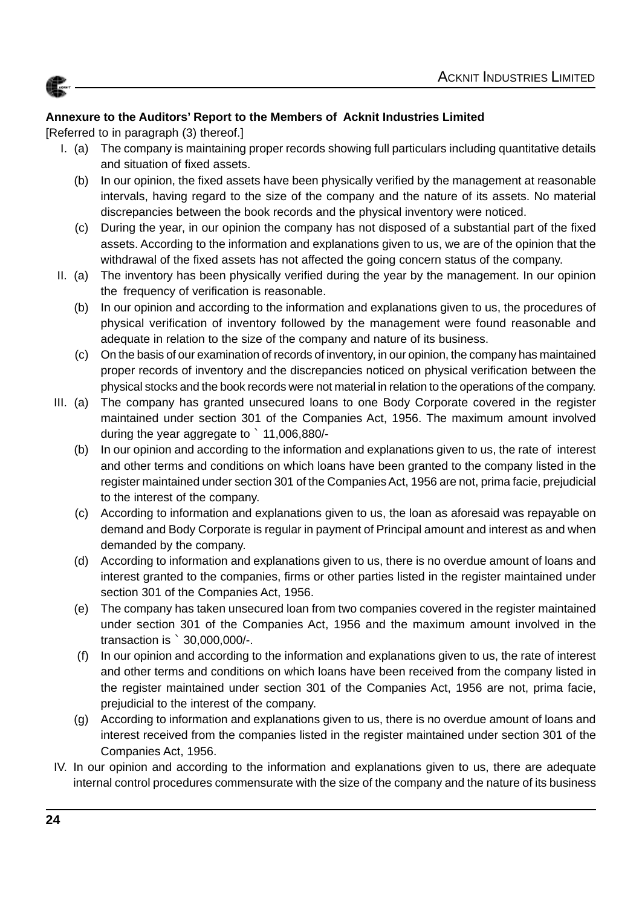

### **Annexure to the Auditors' Report to the Members of Acknit Industries Limited**

[Referred to in paragraph (3) thereof.]

- I. (a) The company is maintaining proper records showing full particulars including quantitative details and situation of fixed assets.
	- (b) In our opinion, the fixed assets have been physically verified by the management at reasonable intervals, having regard to the size of the company and the nature of its assets. No material discrepancies between the book records and the physical inventory were noticed.
	- (c) During the year, in our opinion the company has not disposed of a substantial part of the fixed assets. According to the information and explanations given to us, we are of the opinion that the withdrawal of the fixed assets has not affected the going concern status of the company.
- II. (a) The inventory has been physically verified during the year by the management. In our opinion the frequency of verification is reasonable.
	- (b) In our opinion and according to the information and explanations given to us, the procedures of physical verification of inventory followed by the management were found reasonable and adequate in relation to the size of the company and nature of its business.
	- (c) On the basis of our examination of records of inventory, in our opinion, the company has maintained proper records of inventory and the discrepancies noticed on physical verification between the physical stocks and the book records were not material in relation to the operations of the company.
- III. (a) The company has granted unsecured loans to one Body Corporate covered in the register maintained under section 301 of the Companies Act, 1956. The maximum amount involved during the year aggregate to ` 11,006,880/-
	- (b) In our opinion and according to the information and explanations given to us, the rate of interest and other terms and conditions on which loans have been granted to the company listed in the register maintained under section 301 of the Companies Act, 1956 are not, prima facie, prejudicial to the interest of the company.
	- (c) According to information and explanations given to us, the loan as aforesaid was repayable on demand and Body Corporate is regular in payment of Principal amount and interest as and when demanded by the company.
	- (d) According to information and explanations given to us, there is no overdue amount of loans and interest granted to the companies, firms or other parties listed in the register maintained under section 301 of the Companies Act, 1956.
	- (e) The company has taken unsecured loan from two companies covered in the register maintained under section 301 of the Companies Act, 1956 and the maximum amount involved in the transaction is ` 30,000,000/-.
	- (f) In our opinion and according to the information and explanations given to us, the rate of interest and other terms and conditions on which loans have been received from the company listed in the register maintained under section 301 of the Companies Act, 1956 are not, prima facie, prejudicial to the interest of the company.
	- (g) According to information and explanations given to us, there is no overdue amount of loans and interest received from the companies listed in the register maintained under section 301 of the Companies Act, 1956.
- IV. In our opinion and according to the information and explanations given to us, there are adequate internal control procedures commensurate with the size of the company and the nature of its business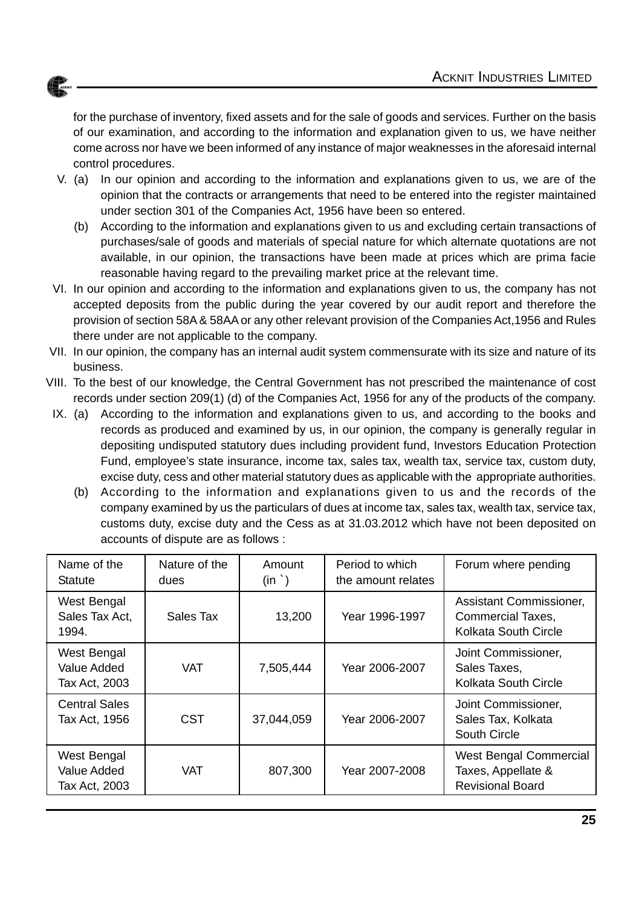

for the purchase of inventory, fixed assets and for the sale of goods and services. Further on the basis of our examination, and according to the information and explanation given to us, we have neither come across nor have we been informed of any instance of major weaknesses in the aforesaid internal control procedures.

- V. (a) In our opinion and according to the information and explanations given to us, we are of the opinion that the contracts or arrangements that need to be entered into the register maintained under section 301 of the Companies Act, 1956 have been so entered.
	- (b) According to the information and explanations given to us and excluding certain transactions of purchases/sale of goods and materials of special nature for which alternate quotations are not available, in our opinion, the transactions have been made at prices which are prima facie reasonable having regard to the prevailing market price at the relevant time.
- VI. In our opinion and according to the information and explanations given to us, the company has not accepted deposits from the public during the year covered by our audit report and therefore the provision of section 58A & 58AA or any other relevant provision of the Companies Act,1956 and Rules there under are not applicable to the company.
- VII. In our opinion, the company has an internal audit system commensurate with its size and nature of its business.
- VIII. To the best of our knowledge, the Central Government has not prescribed the maintenance of cost records under section 209(1) (d) of the Companies Act, 1956 for any of the products of the company.
	- IX. (a) According to the information and explanations given to us, and according to the books and records as produced and examined by us, in our opinion, the company is generally regular in depositing undisputed statutory dues including provident fund, Investors Education Protection Fund, employee's state insurance, income tax, sales tax, wealth tax, service tax, custom duty, excise duty, cess and other material statutory dues as applicable with the appropriate authorities.
		- (b) According to the information and explanations given to us and the records of the company examined by us the particulars of dues at income tax, sales tax, wealth tax, service tax, customs duty, excise duty and the Cess as at 31.03.2012 which have not been deposited on accounts of dispute are as follows :

| Name of the<br><b>Statute</b>                      | Nature of the<br>dues | Amount<br>$(in^{\frown})$ | Period to which<br>the amount relates | Forum where pending                                                            |
|----------------------------------------------------|-----------------------|---------------------------|---------------------------------------|--------------------------------------------------------------------------------|
| West Bengal<br>Sales Tax Act,<br>1994.             | Sales Tax             | 13,200                    | Year 1996-1997                        | Assistant Commissioner,<br>Commercial Taxes,<br>Kolkata South Circle           |
| West Bengal<br><b>Value Added</b><br>Tax Act, 2003 | VAT                   | 7,505,444                 | Year 2006-2007                        | Joint Commissioner,<br>Sales Taxes,<br>Kolkata South Circle                    |
| <b>Central Sales</b><br>Tax Act, 1956              | <b>CST</b>            | 37,044,059                | Year 2006-2007                        | Joint Commissioner,<br>Sales Tax, Kolkata<br><b>South Circle</b>               |
| West Bengal<br><b>Value Added</b><br>Tax Act, 2003 | <b>VAT</b>            | 807,300                   | Year 2007-2008                        | <b>West Bengal Commercial</b><br>Taxes, Appellate &<br><b>Revisional Board</b> |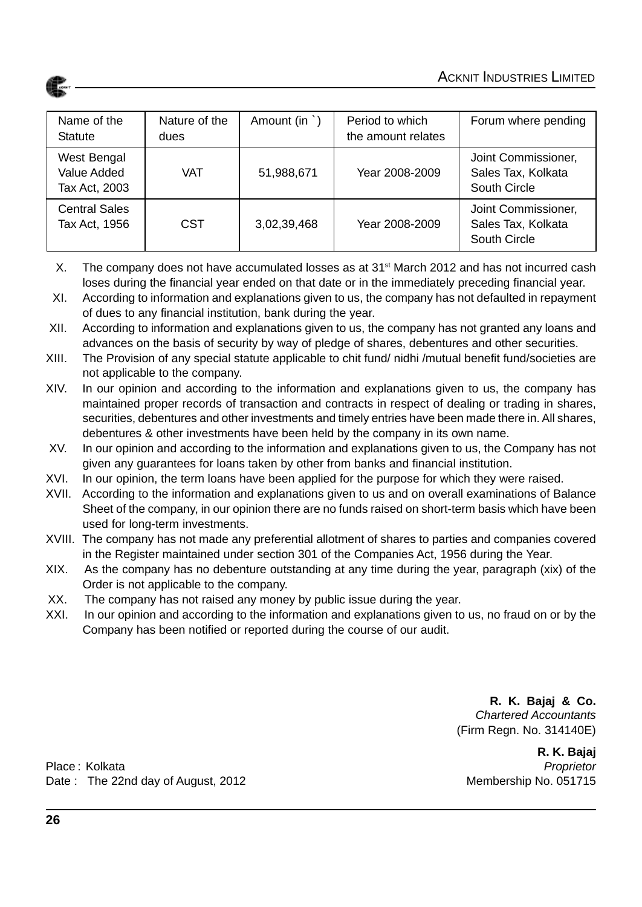| Name of the<br><b>Statute</b>                      | Nature of the<br>dues | Amount (in `) | Period to which<br>the amount relates | Forum where pending                                              |
|----------------------------------------------------|-----------------------|---------------|---------------------------------------|------------------------------------------------------------------|
| West Bengal<br><b>Value Added</b><br>Tax Act, 2003 | VAT                   | 51,988,671    | Year 2008-2009                        | Joint Commissioner,<br>Sales Tax, Kolkata<br><b>South Circle</b> |
| <b>Central Sales</b><br>Tax Act, 1956              | <b>CST</b>            | 3,02,39,468   | Year 2008-2009                        | Joint Commissioner,<br>Sales Tax, Kolkata<br>South Circle        |

- X. The company does not have accumulated losses as at 31<sup>st</sup> March 2012 and has not incurred cash loses during the financial year ended on that date or in the immediately preceding financial year.
- XI. According to information and explanations given to us, the company has not defaulted in repayment of dues to any financial institution, bank during the year.
- XII. According to information and explanations given to us, the company has not granted any loans and advances on the basis of security by way of pledge of shares, debentures and other securities.
- XIII. The Provision of any special statute applicable to chit fund/ nidhi /mutual benefit fund/societies are not applicable to the company.
- XIV. In our opinion and according to the information and explanations given to us, the company has maintained proper records of transaction and contracts in respect of dealing or trading in shares, securities, debentures and other investments and timely entries have been made there in. All shares, debentures & other investments have been held by the company in its own name.
- XV. In our opinion and according to the information and explanations given to us, the Company has not given any guarantees for loans taken by other from banks and financial institution.
- XVI. In our opinion, the term loans have been applied for the purpose for which they were raised.
- XVII. According to the information and explanations given to us and on overall examinations of Balance Sheet of the company, in our opinion there are no funds raised on short-term basis which have been used for long-term investments.
- XVIII. The company has not made any preferential allotment of shares to parties and companies covered in the Register maintained under section 301 of the Companies Act, 1956 during the Year.
- XIX. As the company has no debenture outstanding at any time during the year, paragraph (xix) of the Order is not applicable to the company.
- XX. The company has not raised any money by public issue during the year.
- XXI. In our opinion and according to the information and explanations given to us, no fraud on or by the Company has been notified or reported during the course of our audit.

**R. K. Bajaj & Co.** *Chartered Accountants* (Firm Regn. No. 314140E)

 **R. K. Bajaj**

Place : Kolkata *Proprietor* Date : The 22nd day of August, 2012 Membership No. 051715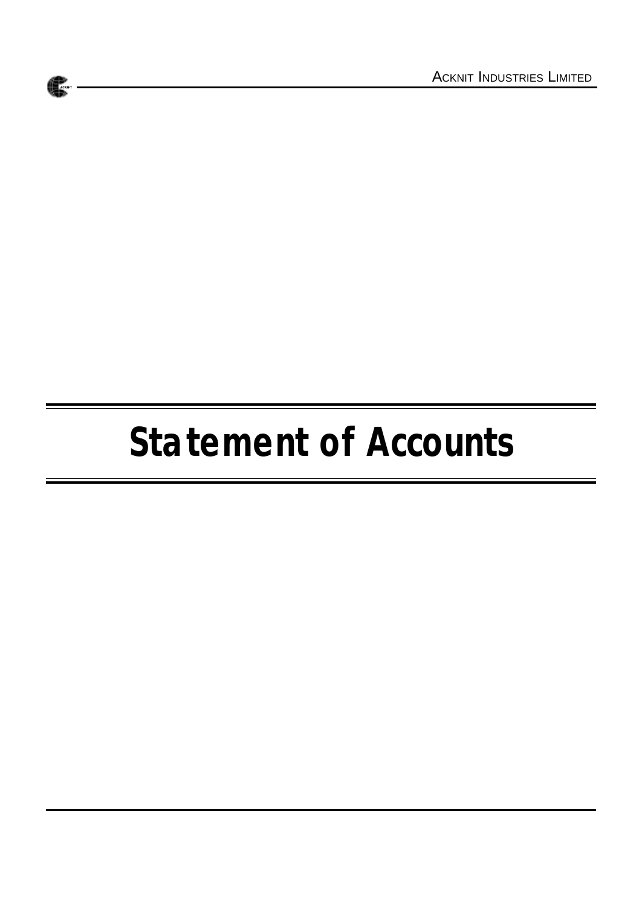# **Statement of Accounts**

**ACKNIT**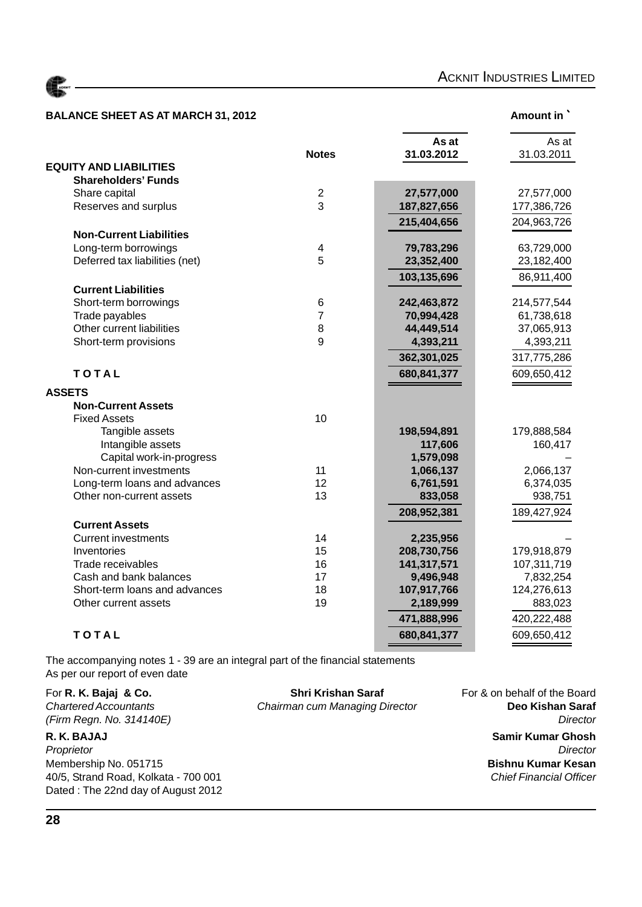

### **BALANCE SHEET AS AT MARCH 31, 2012** Amount in `

|--|

|                                |                         | As at       | As at       |
|--------------------------------|-------------------------|-------------|-------------|
|                                | <b>Notes</b>            | 31.03.2012  | 31.03.2011  |
| <b>EQUITY AND LIABILITIES</b>  |                         |             |             |
| <b>Shareholders' Funds</b>     |                         |             |             |
| Share capital                  | $\overline{2}$          | 27,577,000  | 27,577,000  |
| Reserves and surplus           | 3                       | 187,827,656 | 177,386,726 |
|                                |                         | 215,404,656 | 204,963,726 |
| <b>Non-Current Liabilities</b> |                         |             |             |
| Long-term borrowings           | $\overline{\mathbf{4}}$ | 79,783,296  | 63,729,000  |
| Deferred tax liabilities (net) | 5                       | 23,352,400  | 23,182,400  |
|                                |                         | 103,135,696 | 86,911,400  |
| <b>Current Liabilities</b>     |                         |             |             |
| Short-term borrowings          | $6\phantom{1}6$         | 242,463,872 | 214,577,544 |
| Trade payables                 | $\overline{7}$          | 70,994,428  | 61,738,618  |
| Other current liabilities      | 8                       | 44,449,514  | 37,065,913  |
| Short-term provisions          | 9                       | 4,393,211   | 4,393,211   |
|                                |                         | 362,301,025 | 317,775,286 |
| <b>TOTAL</b>                   |                         | 680,841,377 | 609,650,412 |
| <b>ASSETS</b>                  |                         |             |             |
| <b>Non-Current Assets</b>      |                         |             |             |
| <b>Fixed Assets</b>            | 10                      |             |             |
| Tangible assets                |                         | 198,594,891 | 179,888,584 |
| Intangible assets              |                         | 117,606     | 160,417     |
| Capital work-in-progress       |                         | 1,579,098   |             |
| Non-current investments        | 11                      | 1,066,137   | 2,066,137   |
| Long-term loans and advances   | 12                      | 6,761,591   | 6,374,035   |
| Other non-current assets       | 13                      | 833,058     | 938,751     |
|                                |                         | 208,952,381 | 189,427,924 |
| <b>Current Assets</b>          |                         |             |             |
| <b>Current investments</b>     | 14                      | 2,235,956   |             |
| Inventories                    | 15                      | 208,730,756 | 179,918,879 |
| Trade receivables              | 16                      | 141,317,571 | 107,311,719 |
| Cash and bank balances         | 17                      | 9,496,948   | 7,832,254   |
| Short-term loans and advances  | 18                      | 107,917,766 | 124,276,613 |
| Other current assets           | 19                      | 2,189,999   | 883,023     |
|                                |                         | 471,888,996 | 420,222,488 |
| TOTAL                          |                         | 680,841,377 | 609,650,412 |
|                                |                         |             |             |

The accompanying notes 1 - 39 are an integral part of the financial statements As per our report of even date

*Proprietor Director* Membership No. 051715 **Bishnu Kumar Kesan** 40/5, Strand Road, Kolkata - 700 001 *Chief Financial Officer* Dated : The 22nd day of August 2012

For **R. K. Bajaj & Co.** Shri Krishan Saraf For R. K. Bajaj & Co. Shri Krishan Saraf For & on behalf of the Board<br>Chairman cum Managing Director **Deo Kishan Saraf Chairman cum Managing Director** 

*(Firm Regn. No. 314140E) Director* **R. K. BAJAJ Samir Kumar Ghosh**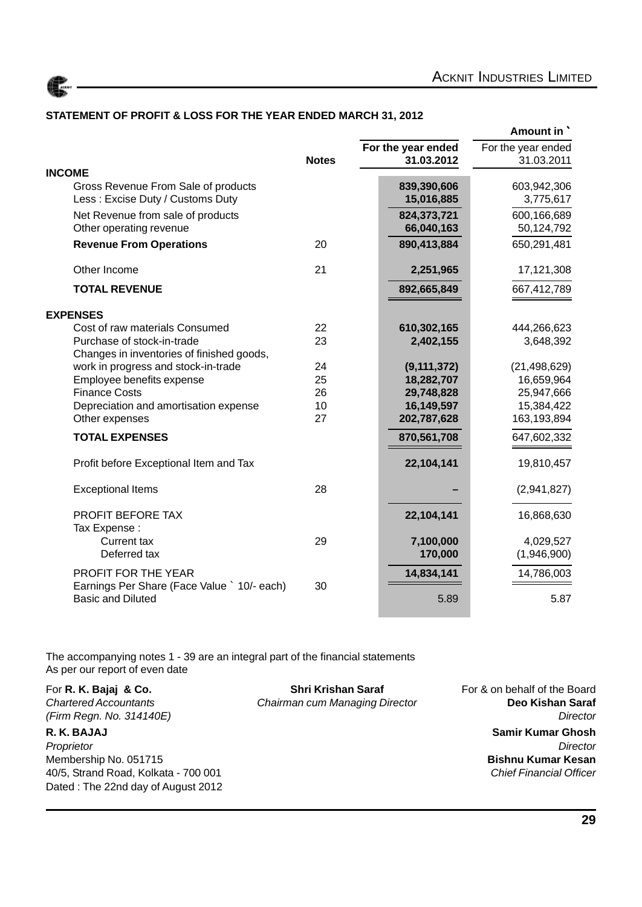

#### **STATEMENT OF PROFIT & LOSS FOR THE YEAR ENDED MARCH 31, 2012**

|                                                                                  |              |                    | Amount in          |
|----------------------------------------------------------------------------------|--------------|--------------------|--------------------|
|                                                                                  |              | For the year ended | For the year ended |
|                                                                                  | <b>Notes</b> | 31.03.2012         | 31.03.2011         |
| <b>INCOME</b><br>Gross Revenue From Sale of products                             |              | 839,390,606        | 603,942,306        |
| Less: Excise Duty / Customs Duty                                                 |              | 15,016,885         | 3,775,617          |
| Net Revenue from sale of products                                                |              | 824,373,721        | 600,166,689        |
| Other operating revenue                                                          |              | 66,040,163         | 50,124,792         |
| <b>Revenue From Operations</b>                                                   | 20           | 890,413,884        | 650,291,481        |
| Other Income                                                                     | 21           | 2,251,965          | 17,121,308         |
| <b>TOTAL REVENUE</b>                                                             |              | 892,665,849        | 667,412,789        |
| <b>EXPENSES</b>                                                                  |              |                    |                    |
| Cost of raw materials Consumed                                                   | 22           | 610,302,165        | 444,266,623        |
| Purchase of stock-in-trade                                                       | 23           | 2,402,155          | 3,648,392          |
| Changes in inventories of finished goods,<br>work in progress and stock-in-trade | 24           | (9, 111, 372)      | (21, 498, 629)     |
| Employee benefits expense                                                        | 25           | 18,282,707         | 16,659,964         |
| <b>Finance Costs</b>                                                             | 26           | 29,748,828         | 25,947,666         |
| Depreciation and amortisation expense                                            | 10           | 16,149,597         | 15,384,422         |
| Other expenses                                                                   | 27           | 202,787,628        | 163,193,894        |
| <b>TOTAL EXPENSES</b>                                                            |              | 870,561,708        | 647,602,332        |
| Profit before Exceptional Item and Tax                                           |              | 22,104,141         | 19,810,457         |
| <b>Exceptional Items</b>                                                         | 28           |                    | (2,941,827)        |
| <b>PROFIT BEFORE TAX</b>                                                         |              | 22,104,141         | 16,868,630         |
| Tax Expense:<br><b>Current tax</b>                                               | 29           | 7,100,000          | 4,029,527          |
| Deferred tax                                                                     |              | 170,000            | (1,946,900)        |
| PROFIT FOR THE YEAR                                                              |              | 14,834,141         | 14,786,003         |
| Earnings Per Share (Face Value ` 10/- each)                                      | 30           |                    |                    |
| <b>Basic and Diluted</b>                                                         |              | 5.89               | 5.87               |

The accompanying notes 1 - 39 are an integral part of the financial statements As per our report of even date

*Proprietor Director* Membership No. 051715 **Bishnu Kumar Kesan** 40/5, Strand Road, Kolkata - 700 001 *Chief Financial Officer* Dated : The 22nd day of August 2012

For **R. K. Bajaj & Co.** Shri Krishan Saraf For & on behalf of the Board *Chartered Accountants Chairman cum Managing Director* **Deo Kishan Saraf** *(Firm Regn. No. 314140E) Director* **R. K. BAJAJ Samir Kumar Ghosh**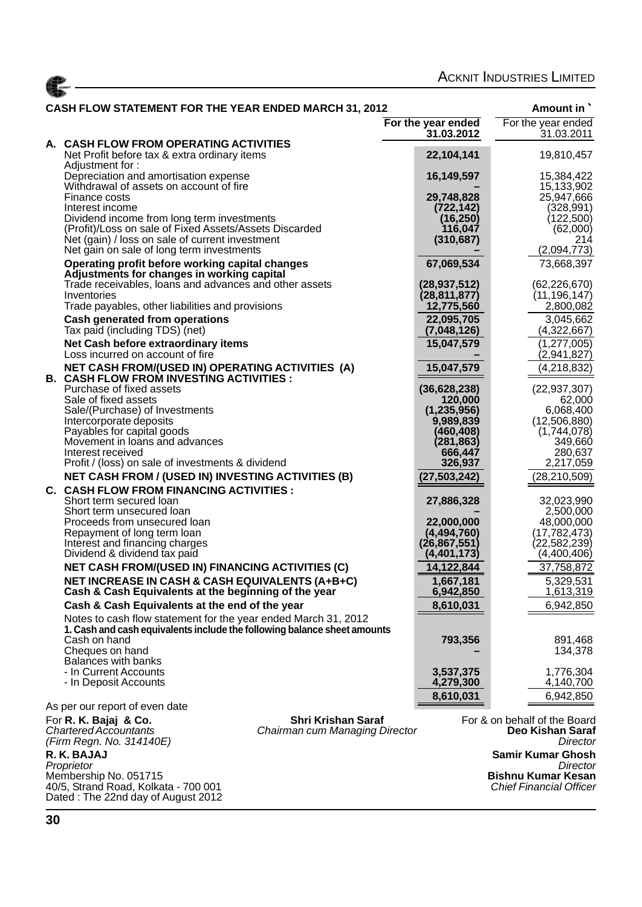|  | <b>ACKNIT INDUSTRIES LIMITED</b> |  |
|--|----------------------------------|--|
|--|----------------------------------|--|

| <b>CASH FLOW STATEMENT FOR THE YEAR ENDED MARCH 31, 2012</b>                                                                               |                          | Amount in                                        |
|--------------------------------------------------------------------------------------------------------------------------------------------|--------------------------|--------------------------------------------------|
|                                                                                                                                            | For the year ended       | For the year ended                               |
| A. CASH FLOW FROM OPERATING ACTIVITIES                                                                                                     | 31.03.2012               | 31.03.2011                                       |
| Net Profit before tax & extra ordinary items<br>Adjustment for:                                                                            | 22,104,141               | 19,810,457                                       |
| Depreciation and amortisation expense                                                                                                      | 16,149,597               | 15,384,422                                       |
| Withdrawal of assets on account of fire                                                                                                    |                          | 15,133,902                                       |
| Finance costs<br>Interest income                                                                                                           | 29,748,828<br>(722, 142) | 25,947,666<br>(328, 991)                         |
| Dividend income from long term investments                                                                                                 | (16, 250)                | (122,500)                                        |
| (Profit)/Loss on sale of Fixed Assets/Assets Discarded                                                                                     | 116,047                  | (62,000)                                         |
| Net (gain) / loss on sale of current investment                                                                                            | (310, 687)               | 214                                              |
| Net gain on sale of long term investments                                                                                                  |                          | (2,094,773)                                      |
| Operating profit before working capital changes<br>Adjustments for changes in working capital                                              | 67,069,534               | 73,668,397                                       |
| Trade receivables, loans and advances and other assets                                                                                     | (28, 937, 512)           | (62, 226, 670)                                   |
| Inventories                                                                                                                                | (28, 811, 877)           | (11, 196, 147)                                   |
| Trade payables, other liabilities and provisions                                                                                           | 12,775,560               | 2,800,082                                        |
| <b>Cash generated from operations</b>                                                                                                      | 22,095,705               | 3,045,662                                        |
| Tax paid (including TDS) (net)                                                                                                             | (7,048,126)              | (4,322,667)                                      |
| Net Cash before extraordinary items<br>Loss incurred on account of fire                                                                    | 15,047,579               | (1, 277, 005)<br>(2,941,827)                     |
| NET CASH FROM/(USED IN) OPERATING ACTIVITIES (A)<br><b>B. CASH FLOW FROM INVESTING ACTIVITIES :</b>                                        | 15,047,579               | (4,218,832)                                      |
| Purchase of fixed assets                                                                                                                   | (36, 628, 238)           | (22, 937, 307)                                   |
| Sale of fixed assets                                                                                                                       | 120,000                  | 62,000                                           |
| Sale/(Purchase) of Investments                                                                                                             | (1, 235, 956)            | 6,068,400                                        |
| Intercorporate deposits<br>Payables for capital goods                                                                                      | 9,989,839<br>(460,408)   | (12,506,880)<br>(1,744,078)                      |
| Movement in loans and advances                                                                                                             | (281, 863)               | 349,660                                          |
| Interest received                                                                                                                          | 666,447                  | 280,637                                          |
| Profit / (loss) on sale of investments & dividend                                                                                          | 326,937                  | 2,217,059                                        |
| <b>NET CASH FROM / (USED IN) INVESTING ACTIVITIES (B)</b>                                                                                  | (27, 503, 242)           | (28,210,509)                                     |
| <b>C. CASH FLOW FROM FINANCING ACTIVITIES:</b>                                                                                             |                          |                                                  |
| Short term secured loan<br>Short term unsecured loan                                                                                       | 27,886,328               | 32,023,990<br>2,500,000                          |
| Proceeds from unsecured loan                                                                                                               | 22,000,000               | 48,000,000                                       |
| Repayment of long term loan                                                                                                                | (4,494,760)              | (17,782,473)                                     |
| Interest and financing charges                                                                                                             | (26, 867, 551)           | (22,582,239)                                     |
| Dividend & dividend tax paid                                                                                                               | (4, 401, 173)            | (4,400,406)                                      |
| <b>NET CASH FROM/(USED IN) FINANCING ACTIVITIES (C)</b>                                                                                    | 14,122,844               | 37,758,872                                       |
| NET INCREASE IN CASH & CASH EQUIVALENTS (A+B+C)<br>Cash & Cash Equivalents at the beginning of the year                                    | 1,667,181<br>6,942,850   | 5,329,531<br>1,613,319                           |
| Cash & Cash Equivalents at the end of the year                                                                                             | 8,610,031                | 6,942,850                                        |
| Notes to cash flow statement for the year ended March 31, 2012<br>1. Cash and cash equivalents include the following balance sheet amounts |                          |                                                  |
| Cash on hand                                                                                                                               | 793,356                  | 891,468                                          |
| Cheques on hand                                                                                                                            |                          | 134,378                                          |
| <b>Balances with banks</b><br>- In Current Accounts                                                                                        | 3,537,375                | 1,776,304                                        |
| - In Deposit Accounts                                                                                                                      | 4,279,300                | 4,140,700                                        |
|                                                                                                                                            | 8,610,031                | 6,942,850                                        |
| As per our report of even date                                                                                                             |                          |                                                  |
| <b>Shri Krishan Saraf</b><br>For R. K. Bajaj & Co.<br><b>Chartered Accountants</b><br>Chairman cum Managing Director                       |                          | For & on behalf of the Board<br>Deo Kishan Saraf |
| (Firm Regn. No. 314140E)                                                                                                                   |                          | Director                                         |
| R. K. BAJAJ                                                                                                                                |                          | <b>Samir Kumar Ghosh</b>                         |
| Proprietor<br>Membership No. 051715                                                                                                        |                          | Director<br><b>Bishnu Kumar Kesan</b>            |
| 40/5, Strand Road, Kolkata - 700 001                                                                                                       |                          | <b>Chief Financial Officer</b>                   |

ACKNT

Dated : The 22nd day of August 2012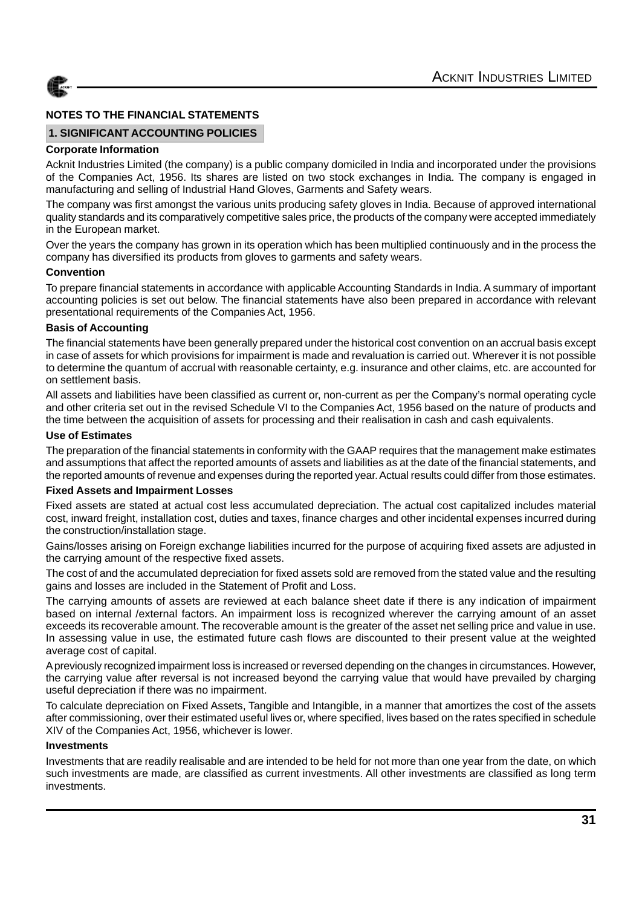

#### **1. SIGNIFICANT ACCOUNTING POLICIES**

#### **Corporate Information**

Acknit Industries Limited (the company) is a public company domiciled in India and incorporated under the provisions of the Companies Act, 1956. Its shares are listed on two stock exchanges in India. The company is engaged in manufacturing and selling of Industrial Hand Gloves, Garments and Safety wears.

The company was first amongst the various units producing safety gloves in India. Because of approved international quality standards and its comparatively competitive sales price, the products of the company were accepted immediately in the European market.

Over the years the company has grown in its operation which has been multiplied continuously and in the process the company has diversified its products from gloves to garments and safety wears.

#### **Convention**

To prepare financial statements in accordance with applicable Accounting Standards in India. A summary of important accounting policies is set out below. The financial statements have also been prepared in accordance with relevant presentational requirements of the Companies Act, 1956.

#### **Basis of Accounting**

The financial statements have been generally prepared under the historical cost convention on an accrual basis except in case of assets for which provisions for impairment is made and revaluation is carried out. Wherever it is not possible to determine the quantum of accrual with reasonable certainty, e.g. insurance and other claims, etc. are accounted for on settlement basis.

All assets and liabilities have been classified as current or, non-current as per the Company's normal operating cycle and other criteria set out in the revised Schedule VI to the Companies Act, 1956 based on the nature of products and the time between the acquisition of assets for processing and their realisation in cash and cash equivalents.

#### **Use of Estimates**

The preparation of the financial statements in conformity with the GAAP requires that the management make estimates and assumptions that affect the reported amounts of assets and liabilities as at the date of the financial statements, and the reported amounts of revenue and expenses during the reported year. Actual results could differ from those estimates.

#### **Fixed Assets and Impairment Losses**

Fixed assets are stated at actual cost less accumulated depreciation. The actual cost capitalized includes material cost, inward freight, installation cost, duties and taxes, finance charges and other incidental expenses incurred during the construction/installation stage.

Gains/losses arising on Foreign exchange liabilities incurred for the purpose of acquiring fixed assets are adjusted in the carrying amount of the respective fixed assets.

The cost of and the accumulated depreciation for fixed assets sold are removed from the stated value and the resulting gains and losses are included in the Statement of Profit and Loss.

The carrying amounts of assets are reviewed at each balance sheet date if there is any indication of impairment based on internal /external factors. An impairment loss is recognized wherever the carrying amount of an asset exceeds its recoverable amount. The recoverable amount is the greater of the asset net selling price and value in use. In assessing value in use, the estimated future cash flows are discounted to their present value at the weighted average cost of capital.

A previously recognized impairment loss is increased or reversed depending on the changes in circumstances. However, the carrying value after reversal is not increased beyond the carrying value that would have prevailed by charging useful depreciation if there was no impairment.

To calculate depreciation on Fixed Assets, Tangible and Intangible, in a manner that amortizes the cost of the assets after commissioning, over their estimated useful lives or, where specified, lives based on the rates specified in schedule XIV of the Companies Act, 1956, whichever is lower.

#### **Investments**

Investments that are readily realisable and are intended to be held for not more than one year from the date, on which such investments are made, are classified as current investments. All other investments are classified as long term investments.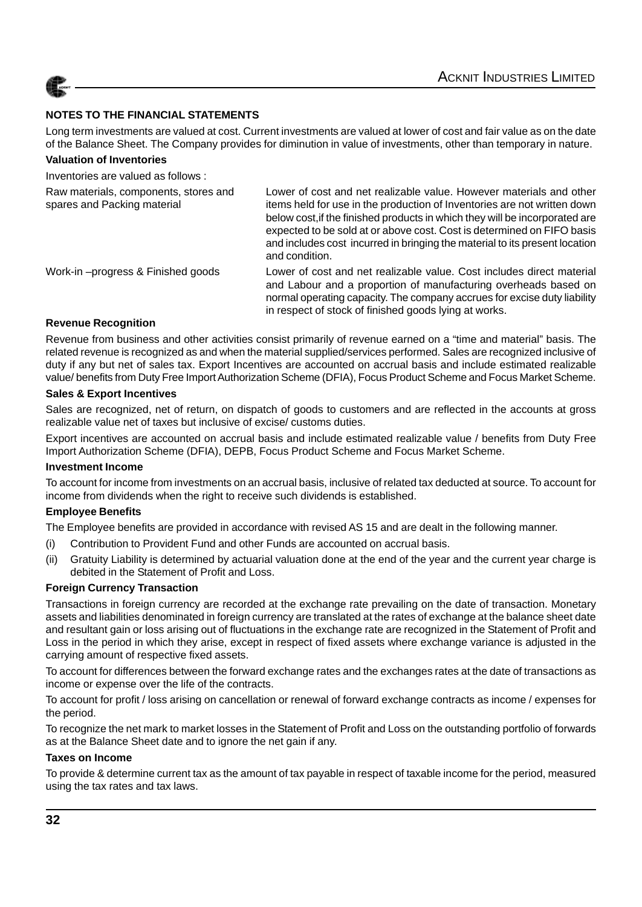

Long term investments are valued at cost. Current investments are valued at lower of cost and fair value as on the date of the Balance Sheet. The Company provides for diminution in value of investments, other than temporary in nature.

#### **Valuation of Inventories**

Inventories are valued as follows :

| Raw materials, components, stores and<br>spares and Packing material | Lower of cost and net realizable value. However materials and other<br>items held for use in the production of Inventories are not written down<br>below cost, if the finished products in which they will be incorporated are<br>expected to be sold at or above cost. Cost is determined on FIFO basis<br>and includes cost incurred in bringing the material to its present location<br>and condition. |
|----------------------------------------------------------------------|-----------------------------------------------------------------------------------------------------------------------------------------------------------------------------------------------------------------------------------------------------------------------------------------------------------------------------------------------------------------------------------------------------------|
| Work-in-progress & Finished goods                                    | Lower of cost and net realizable value. Cost includes direct material<br>and Labour and a proportion of manufacturing overheads based on<br>normal operating capacity. The company accrues for excise duty liability<br>in respect of stock of finished goods lying at works.                                                                                                                             |

#### **Revenue Recognition**

Revenue from business and other activities consist primarily of revenue earned on a "time and material" basis. The related revenue is recognized as and when the material supplied/services performed. Sales are recognized inclusive of duty if any but net of sales tax. Export Incentives are accounted on accrual basis and include estimated realizable value/ benefits from Duty Free Import Authorization Scheme (DFIA), Focus Product Scheme and Focus Market Scheme.

#### **Sales & Export Incentives**

Sales are recognized, net of return, on dispatch of goods to customers and are reflected in the accounts at gross realizable value net of taxes but inclusive of excise/ customs duties.

Export incentives are accounted on accrual basis and include estimated realizable value / benefits from Duty Free Import Authorization Scheme (DFIA), DEPB, Focus Product Scheme and Focus Market Scheme.

#### **Investment Income**

To account for income from investments on an accrual basis, inclusive of related tax deducted at source. To account for income from dividends when the right to receive such dividends is established.

#### **Employee Benefits**

The Employee benefits are provided in accordance with revised AS 15 and are dealt in the following manner.

- (i) Contribution to Provident Fund and other Funds are accounted on accrual basis.
- (ii) Gratuity Liability is determined by actuarial valuation done at the end of the year and the current year charge is debited in the Statement of Profit and Loss.

#### **Foreign Currency Transaction**

Transactions in foreign currency are recorded at the exchange rate prevailing on the date of transaction. Monetary assets and liabilities denominated in foreign currency are translated at the rates of exchange at the balance sheet date and resultant gain or loss arising out of fluctuations in the exchange rate are recognized in the Statement of Profit and Loss in the period in which they arise, except in respect of fixed assets where exchange variance is adjusted in the carrying amount of respective fixed assets.

To account for differences between the forward exchange rates and the exchanges rates at the date of transactions as income or expense over the life of the contracts.

To account for profit / loss arising on cancellation or renewal of forward exchange contracts as income / expenses for the period.

To recognize the net mark to market losses in the Statement of Profit and Loss on the outstanding portfolio of forwards as at the Balance Sheet date and to ignore the net gain if any.

#### **Taxes on Income**

To provide & determine current tax as the amount of tax payable in respect of taxable income for the period, measured using the tax rates and tax laws.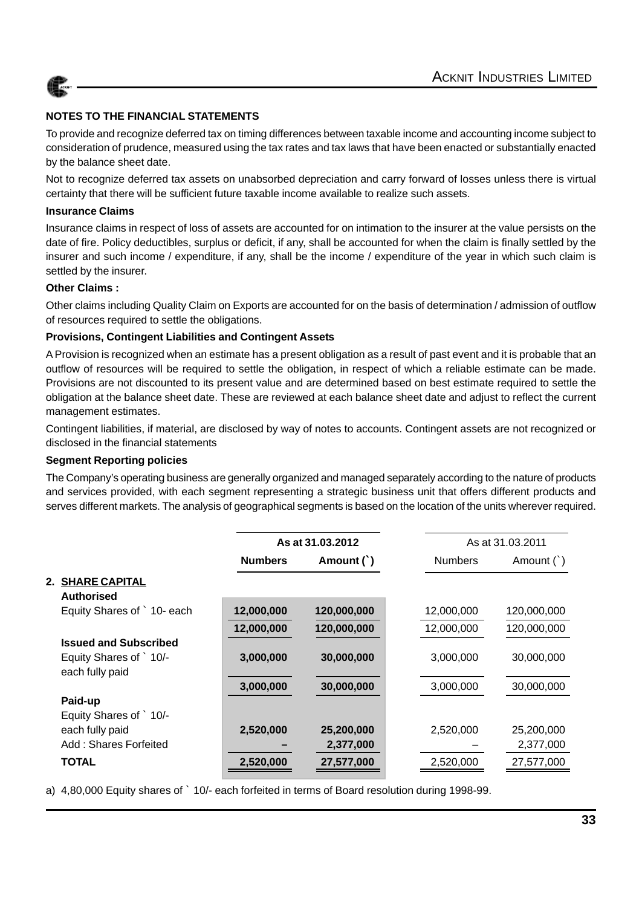

To provide and recognize deferred tax on timing differences between taxable income and accounting income subject to consideration of prudence, measured using the tax rates and tax laws that have been enacted or substantially enacted by the balance sheet date.

Not to recognize deferred tax assets on unabsorbed depreciation and carry forward of losses unless there is virtual certainty that there will be sufficient future taxable income available to realize such assets.

#### **Insurance Claims**

Insurance claims in respect of loss of assets are accounted for on intimation to the insurer at the value persists on the date of fire. Policy deductibles, surplus or deficit, if any, shall be accounted for when the claim is finally settled by the insurer and such income / expenditure, if any, shall be the income / expenditure of the year in which such claim is settled by the insurer.

#### **Other Claims :**

Other claims including Quality Claim on Exports are accounted for on the basis of determination / admission of outflow of resources required to settle the obligations.

#### **Provisions, Contingent Liabilities and Contingent Assets**

A Provision is recognized when an estimate has a present obligation as a result of past event and it is probable that an outflow of resources will be required to settle the obligation, in respect of which a reliable estimate can be made. Provisions are not discounted to its present value and are determined based on best estimate required to settle the obligation at the balance sheet date. These are reviewed at each balance sheet date and adjust to reflect the current management estimates.

Contingent liabilities, if material, are disclosed by way of notes to accounts. Contingent assets are not recognized or disclosed in the financial statements

#### **Segment Reporting policies**

The Company's operating business are generally organized and managed separately according to the nature of products and services provided, with each segment representing a strategic business unit that offers different products and serves different markets. The analysis of geographical segments is based on the location of the units wherever required.

|                                          |                | As at 31.03.2012 |                | As at 31.03.2011 |
|------------------------------------------|----------------|------------------|----------------|------------------|
|                                          | <b>Numbers</b> | Amount (`)       | <b>Numbers</b> | Amount $( )$     |
| <b>2. SHARE CAPITAL</b>                  |                |                  |                |                  |
| <b>Authorised</b>                        |                |                  |                |                  |
| Equity Shares of ` 10- each              | 12,000,000     | 120,000,000      | 12,000,000     | 120,000,000      |
|                                          | 12,000,000     | 120,000,000      | 12,000,000     | 120,000,000      |
| <b>Issued and Subscribed</b>             |                |                  |                |                  |
| Equity Shares of 10/-<br>each fully paid | 3,000,000      | 30,000,000       | 3,000,000      | 30,000,000       |
|                                          | 3,000,000      | 30,000,000       | 3,000,000      | 30,000,000       |
| Paid-up                                  |                |                  |                |                  |
| Equity Shares of ` 10/-                  |                |                  |                |                  |
| each fully paid                          | 2,520,000      | 25,200,000       | 2,520,000      | 25,200,000       |
| Add: Shares Forfeited                    |                | 2,377,000        |                | 2,377,000        |
| TOTAL                                    | 2,520,000      | 27,577,000       | 2,520,000      | 27,577,000       |
|                                          |                |                  |                |                  |

a) 4,80,000 Equity shares of ` 10/- each forfeited in terms of Board resolution during 1998-99.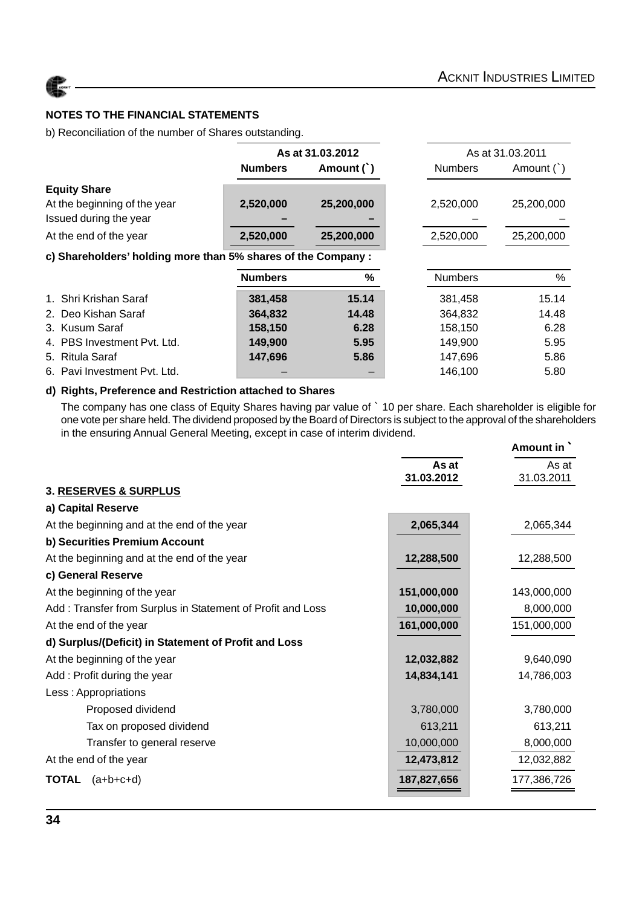

b) Reconciliation of the number of Shares outstanding.

|                                                               | As at 31.03.2012 |            |                | As at 31.03.2011 |
|---------------------------------------------------------------|------------------|------------|----------------|------------------|
|                                                               | <b>Numbers</b>   | Amount (`) | <b>Numbers</b> | Amount $($ $)$   |
| <b>Equity Share</b>                                           |                  |            |                |                  |
| At the beginning of the year                                  | 2,520,000        | 25,200,000 | 2,520,000      | 25,200,000       |
| Issued during the year                                        |                  |            |                |                  |
| At the end of the year                                        | 2,520,000        | 25,200,000 | 2,520,000      | 25,200,000       |
| c) Shareholders' holding more than 5% shares of the Company : |                  |            |                |                  |
|                                                               | <b>Numbers</b>   | %          | <b>Numbers</b> | %                |
| 1. Shri Krishan Saraf                                         | 381,458          | 15.14      | 381,458        | 15.14            |
| 2. Deo Kishan Saraf                                           | 364,832          | 14.48      | 364,832        | 14.48            |
| 3. Kusum Saraf                                                | 158,150          | 6.28       | 158.150        | 6.28             |
| 4. PBS Investment Pvt. Ltd.                                   | 149,900          | 5.95       | 149,900        | 5.95             |
| 5. Ritula Saraf                                               | 147,696          | 5.86       | 147,696        | 5.86             |
| 6. Pavi Investment Pvt. Ltd.                                  |                  |            | 146,100        | 5.80             |

#### **d) Rights, Preference and Restriction attached to Shares**

The company has one class of Equity Shares having par value of ` 10 per share. Each shareholder is eligible for one vote per share held. The dividend proposed by the Board of Directors is subject to the approval of the shareholders in the ensuring Annual General Meeting, except in case of interim dividend. **Amount in** `

|                                                            |             | Amount in   |
|------------------------------------------------------------|-------------|-------------|
|                                                            | As at       | As at       |
|                                                            | 31.03.2012  | 31.03.2011  |
| <b>3. RESERVES &amp; SURPLUS</b>                           |             |             |
| a) Capital Reserve                                         |             |             |
| At the beginning and at the end of the year                | 2,065,344   | 2,065,344   |
| b) Securities Premium Account                              |             |             |
| At the beginning and at the end of the year                | 12,288,500  | 12,288,500  |
| c) General Reserve                                         |             |             |
| At the beginning of the year                               | 151,000,000 | 143,000,000 |
| Add: Transfer from Surplus in Statement of Profit and Loss | 10,000,000  | 8,000,000   |
| At the end of the year                                     | 161,000,000 | 151,000,000 |
| d) Surplus/(Deficit) in Statement of Profit and Loss       |             |             |
| At the beginning of the year                               | 12,032,882  | 9,640,090   |
| Add: Profit during the year                                | 14,834,141  | 14,786,003  |
| Less: Appropriations                                       |             |             |
| Proposed dividend                                          | 3,780,000   | 3,780,000   |
| Tax on proposed dividend                                   | 613,211     | 613,211     |
| Transfer to general reserve                                | 10,000,000  | 8,000,000   |
| At the end of the year                                     | 12,473,812  | 12,032,882  |
| <b>TOTAL</b><br>$(a+b+c+d)$                                | 187,827,656 | 177,386,726 |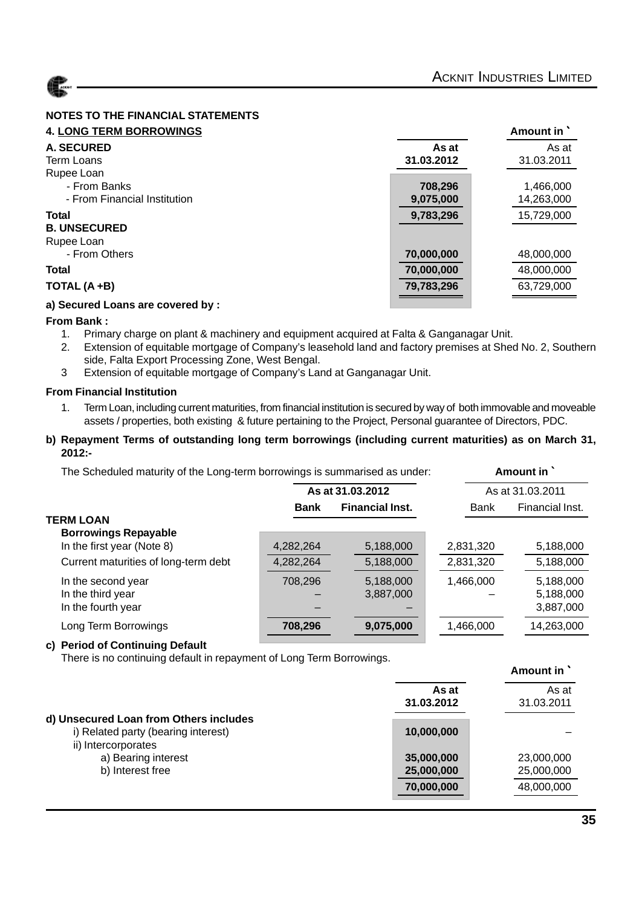

| <b>4. LONG TERM BORROWINGS</b>    |            | Amount in  |
|-----------------------------------|------------|------------|
| <b>A. SECURED</b>                 | As at      | As at      |
| Term Loans                        | 31.03.2012 | 31.03.2011 |
| Rupee Loan                        |            |            |
| - From Banks                      | 708,296    | 1,466,000  |
| - From Financial Institution      | 9,075,000  | 14,263,000 |
| <b>Total</b>                      | 9,783,296  | 15,729,000 |
| <b>B. UNSECURED</b>               |            |            |
| Rupee Loan                        |            |            |
| - From Others                     | 70,000,000 | 48,000,000 |
| <b>Total</b>                      | 70,000,000 | 48,000,000 |
| TOTAL (A+B)                       | 79,783,296 | 63,729,000 |
| a) Secured Loans are covered by : |            |            |

#### **From Bank :**

- 1. Primary charge on plant & machinery and equipment acquired at Falta & Ganganagar Unit.
- 2. Extension of equitable mortgage of Company's leasehold land and factory premises at Shed No. 2, Southern side, Falta Export Processing Zone, West Bengal.
- 3 Extension of equitable mortgage of Company's Land at Ganganagar Unit.

#### **From Financial Institution**

1. Term Loan, including current maturities, from financial institution is secured by way of both immovable and moveable assets / properties, both existing & future pertaining to the Project, Personal guarantee of Directors, PDC.

#### **b) Repayment Terms of outstanding long term borrowings (including current maturities) as on March 31, 2012:-**

The Scheduled maturity of the Long-term borrowings is summarised as under: **Amount in** `

|                                      |             | As at 31.03.2012       |             | As at 31.03.2011 |  |
|--------------------------------------|-------------|------------------------|-------------|------------------|--|
|                                      | <b>Bank</b> | <b>Financial Inst.</b> | <b>Bank</b> | Financial Inst.  |  |
| <b>TERM LOAN</b>                     |             |                        |             |                  |  |
| <b>Borrowings Repayable</b>          |             |                        |             |                  |  |
| In the first year (Note 8)           | 4,282,264   | 5,188,000              | 2,831,320   | 5,188,000        |  |
| Current maturities of long-term debt | 4,282,264   | 5,188,000              | 2,831,320   | 5,188,000        |  |
| In the second year                   | 708,296     | 5,188,000              | 1,466,000   | 5,188,000        |  |
| In the third year                    |             | 3,887,000              |             | 5,188,000        |  |
| In the fourth year                   |             |                        |             | 3,887,000        |  |
| Long Term Borrowings                 | 708,296     | 9,075,000              | 1,466,000   | 14,263,000       |  |
|                                      |             |                        |             |                  |  |

#### **c) Period of Continuing Default**

There is no continuing default in repayment of Long Term Borrowings.

|                                                                                                      |                                        | Amount in `                            |
|------------------------------------------------------------------------------------------------------|----------------------------------------|----------------------------------------|
|                                                                                                      | As at<br>31.03.2012                    | As at<br>31.03.2011                    |
| d) Unsecured Loan from Others includes<br>i) Related party (bearing interest)<br>ii) Intercorporates | 10,000,000                             |                                        |
| a) Bearing interest<br>b) Interest free                                                              | 35,000,000<br>25,000,000<br>70,000,000 | 23,000,000<br>25,000,000<br>48,000,000 |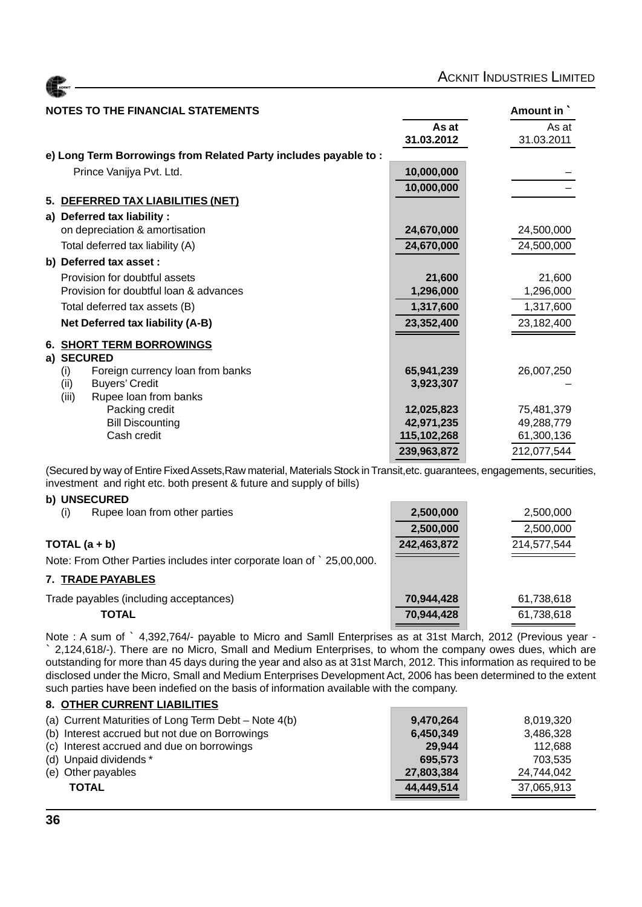| <b>ACKNIT</b> |  |
|---------------|--|
|               |  |

| NOTES TO THE FINANCIAL STATEMENTS | Amount in ` |
|-----------------------------------|-------------|
|-----------------------------------|-------------|

|                                                                 | As at       | As at       |
|-----------------------------------------------------------------|-------------|-------------|
|                                                                 | 31.03.2012  | 31.03.2011  |
| e) Long Term Borrowings from Related Party includes payable to: |             |             |
| Prince Vanijya Pvt. Ltd.                                        | 10,000,000  |             |
|                                                                 | 10,000,000  |             |
| 5. DEFERRED TAX LIABILITIES (NET)                               |             |             |
| a) Deferred tax liability :                                     |             |             |
| on depreciation & amortisation                                  | 24,670,000  | 24,500,000  |
| Total deferred tax liability (A)                                | 24,670,000  | 24,500,000  |
| b) Deferred tax asset :                                         |             |             |
| Provision for doubtful assets                                   | 21,600      | 21,600      |
| Provision for doubtful loan & advances                          | 1,296,000   | 1,296,000   |
| Total deferred tax assets (B)                                   | 1,317,600   | 1,317,600   |
| Net Deferred tax liability (A-B)                                | 23,352,400  | 23,182,400  |
| <b>6. SHORT TERM BORROWINGS</b>                                 |             |             |
| a) SECURED                                                      |             |             |
| Foreign currency loan from banks<br>(i)                         | 65,941,239  | 26,007,250  |
| (ii)<br><b>Buyers' Credit</b>                                   | 3,923,307   |             |
| (iii)<br>Rupee loan from banks                                  |             |             |
| Packing credit                                                  | 12,025,823  | 75,481,379  |
| <b>Bill Discounting</b><br>Cash credit                          | 42,971,235  | 49,288,779  |
|                                                                 | 115,102,268 | 61,300,136  |
|                                                                 | 239,963,872 | 212,077,544 |

(Secured by way of Entire Fixed Assets,Raw material, Materials Stock in Transit,etc. guarantees, engagements, securities, investment and right etc. both present & future and supply of bills)

#### **b) UNSECURED**

| Rupee loan from other parties<br>(i)                                 | 2,500,000   | 2,500,000   |
|----------------------------------------------------------------------|-------------|-------------|
|                                                                      | 2,500,000   | 2,500,000   |
| TOTAL $(a + b)$                                                      | 242,463,872 | 214,577,544 |
| Note: From Other Parties includes inter corporate loan of 25,00,000. |             |             |
| 7. TRADE PAYABLES                                                    |             |             |
| Trade payables (including acceptances)                               | 70,944,428  | 61,738,618  |
| <b>TOTAL</b>                                                         | 70,944,428  | 61,738,618  |

Note : A sum of ` 4,392,764/- payable to Micro and Samll Enterprises as at 31st March, 2012 (Previous year - ` 2,124,618/-). There are no Micro, Small and Medium Enterprises, to whom the company owes dues, which are outstanding for more than 45 days during the year and also as at 31st March, 2012. This information as required to be disclosed under the Micro, Small and Medium Enterprises Development Act, 2006 has been determined to the extent such parties have been indefied on the basis of information available with the company.

#### **8. OTHER CURRENT LIABILITIES**

| (a) Current Maturities of Long Term Debt - Note 4(b) | 9,470,264  | 8,019,320  |
|------------------------------------------------------|------------|------------|
| (b) Interest accrued but not due on Borrowings       | 6,450,349  | 3,486,328  |
| (c) Interest accrued and due on borrowings           | 29.944     | 112.688    |
| (d) Unpaid dividends *                               | 695.573    | 703.535    |
| (e) Other payables                                   | 27,803,384 | 24.744.042 |
| <b>TOTAL</b>                                         | 44,449,514 | 37,065,913 |
|                                                      |            |            |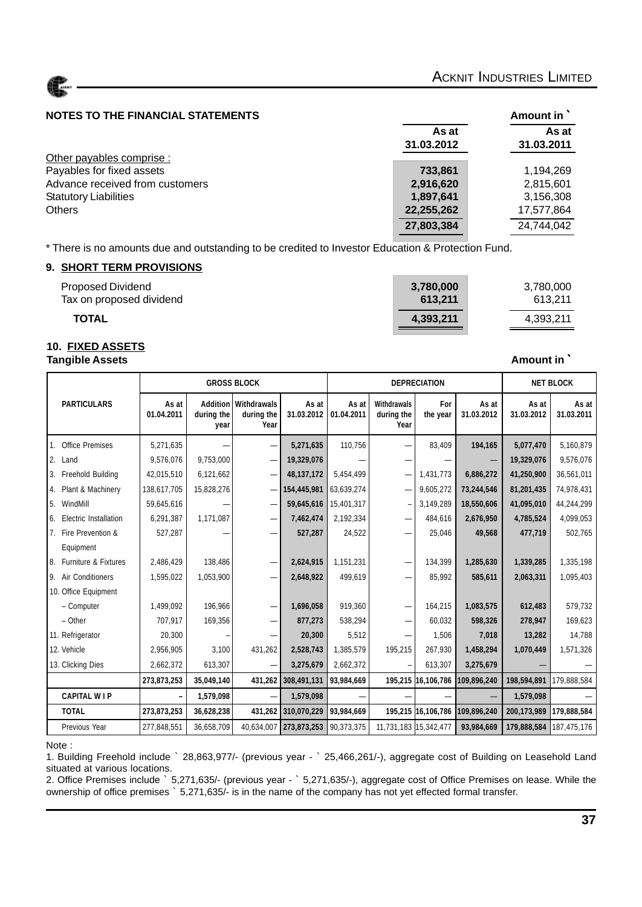

#### **NOTES TO THE FINANCIAL STATEMENTS AMOUNT IN AMOUNT AMOUNT AMOUNT AMOUNT IN**

|                                 | As at<br>31.03.2012 | As at<br>31.03.2011 |
|---------------------------------|---------------------|---------------------|
| Other payables comprise :       |                     |                     |
| Payables for fixed assets       | 733.861             | 1,194,269           |
| Advance received from customers | 2,916,620           | 2,815,601           |
| <b>Statutory Liabilities</b>    | 1,897,641           | 3,156,308           |
| <b>Others</b>                   | 22,255,262          | 17,577,864          |
|                                 | 27,803,384          | 24,744,042          |

\* There is no amounts due and outstanding to be credited to Investor Education & Protection Fund.

#### **9. SHORT TERM PROVISIONS**

| <b>Proposed Dividend</b> | 3,780,000 | 3,780,000 |
|--------------------------|-----------|-----------|
| Tax on proposed dividend | 613.211   | 613.211   |
| <b>TOTAL</b>             | 4,393,211 | 4,393,211 |

#### **10. FIXED ASSETS Tangible Assets Amount in Amount in Amount in Amount in Amount in Amount in Amount in Amount in Amount in Amount in Amount in Amount in Amount in 1**

|                          |                     |                                       | <b>GROSS BLOCK</b><br><b>DEPRECIATION</b><br><b>NET BLOCK</b> |                     |                     |                                   |                    |                     |                     |                     |
|--------------------------|---------------------|---------------------------------------|---------------------------------------------------------------|---------------------|---------------------|-----------------------------------|--------------------|---------------------|---------------------|---------------------|
| <b>PARTICULARS</b>       | As at<br>01.04.2011 | <b>Addition</b><br>during the<br>year | Withdrawals<br>during the<br>Year                             | As at<br>31.03.2012 | As at<br>01.04.2011 | Withdrawals<br>during the<br>Year | For<br>the year    | As at<br>31.03.2012 | As at<br>31.03.2012 | As at<br>31.03.2011 |
| 1. Office Premises       | 5,271,635           |                                       |                                                               | 5,271,635           | 110,756             |                                   | 83,409             | 194,165             | 5,077,470           | 5,160,879           |
| 2. Land                  | 9,576,076           | 9,753,000                             | -                                                             | 19,329,076          |                     |                                   |                    |                     | 19,329,076          | 9,576,076           |
| 3. Freehold Building     | 42,015,510          | 6,121,662                             | $\overline{\phantom{0}}$                                      | 48,137,172          | 5,454,499           |                                   | 1,431,773          | 6,886,272           | 41,250,900          | 36,561,011          |
| 4. Plant & Machinery     | 138,617,705         | 15,828,276                            | -                                                             | 154,445,981         | 63,639,274          |                                   | 9,605,272          | 73,244,546          | 81,201,435          | 74,978,431          |
| 5. WindMill              | 59,645,616          |                                       |                                                               | 59,645,616          | 15,401,317          |                                   | 3,149,289          | 18,550,606          | 41,095,010          | 44,244,299          |
| 6. Electric Installation | 6,291,387           | 1,171,087                             | -                                                             | 7,462,474           | 2,192,334           |                                   | 484,616            | 2,676,950           | 4,785,524           | 4,099,053           |
| 7. Fire Prevention &     | 527,287             |                                       |                                                               | 527,287             | 24,522              |                                   | 25,046             | 49,568              | 477,719             | 502,765             |
| Equipment                |                     |                                       |                                                               |                     |                     |                                   |                    |                     |                     |                     |
| 8. Furniture & Fixtures  | 2,486,429           | 138,486                               |                                                               | 2,624,915           | 1,151,231           |                                   | 134,399            | 1,285,630           | 1,339,285           | 1,335,198           |
| 9. Air Conditioners      | 1,595,022           | 1,053,900                             |                                                               | 2,648,922           | 499,619             |                                   | 85,992             | 585,611             | 2,063,311           | 1,095,403           |
| 10. Office Equipment     |                     |                                       |                                                               |                     |                     |                                   |                    |                     |                     |                     |
| - Computer               | 1,499,092           | 196,966                               |                                                               | 1,696,058           | 919,360             |                                   | 164,215            | 1,083,575           | 612,483             | 579,732             |
| $-$ Other                | 707,917             | 169,356                               |                                                               | 877,273             | 538,294             |                                   | 60,032             | 598,326             | 278,947             | 169,623             |
| 11. Refrigerator         | 20,300              |                                       |                                                               | 20,300              | 5,512               |                                   | 1,506              | 7,018               | 13,282              | 14,788              |
| 12. Vehicle              | 2,956,905           | 3.100                                 | 431,262                                                       | 2,528,743           | 1,385,579           | 195,215                           | 267,930            | 1,458,294           | 1,070,449           | 1,571,326           |
| 13. Clicking Dies        | 2,662,372           | 613,307                               |                                                               | 3,275,679           | 2,662,372           |                                   | 613,307            | 3,275,679           |                     |                     |
|                          | 273,873,253         | 35,049,140                            | 431,262                                                       | 308,491,131         | 93,984,669          |                                   | 195,215 16,106,786 | 109,896,240         | 198,594,891         | 179,888,584         |
| <b>CAPITAL WIP</b>       |                     | 1,579,098                             |                                                               | 1,579,098           |                     |                                   |                    |                     | 1,579,098           |                     |
| <b>TOTAL</b>             | 273,873,253         | 36,628,238                            | 431,262                                                       | 310,070,229         | 93,984,669          |                                   | 195,215 16,106,786 | 109,896,240         | 200,173,989         | 179,888,584         |
| Previous Year            | 277,848,551         | 36,658,709                            | 40,634,007                                                    | 273,873,253         | 90,373,375          | 11,731,183 15,342,477             |                    | 93,984,669          | 179,888,584         | 187,475,176         |

#### Note :

1. Building Freehold include ` 28,863,977/- (previous year - ` 25,466,261/-), aggregate cost of Building on Leasehold Land situated at various locations.

2. Office Premises include ` 5,271,635/- (previous year - ` 5,271,635/-), aggregate cost of Office Premises on lease. While the ownership of office premises ` 5,271,635/- is in the name of the company has not yet effected formal transfer.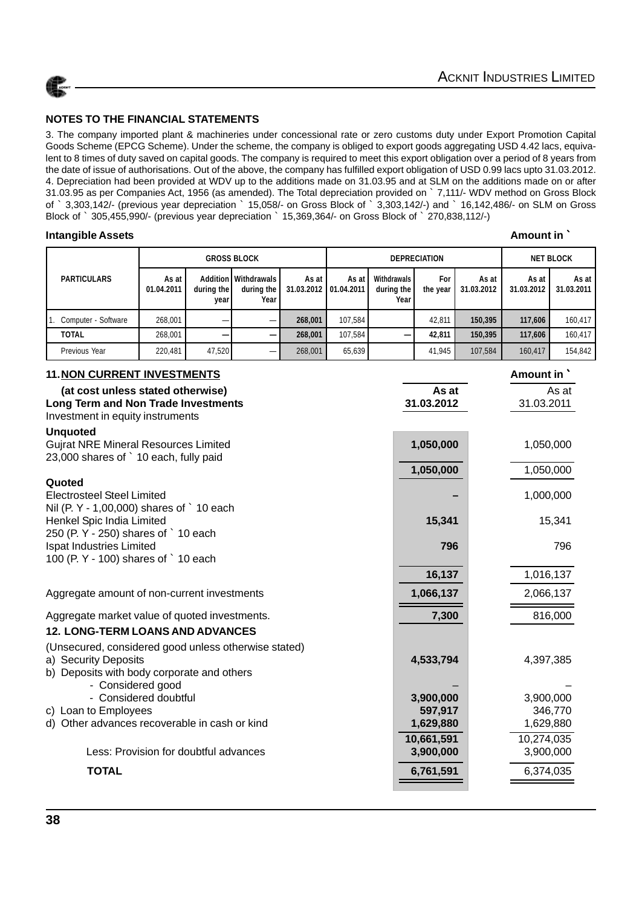

3. The company imported plant & machineries under concessional rate or zero customs duty under Export Promotion Capital Goods Scheme (EPCG Scheme). Under the scheme, the company is obliged to export goods aggregating USD 4.42 lacs, equivalent to 8 times of duty saved on capital goods. The company is required to meet this export obligation over a period of 8 years from the date of issue of authorisations. Out of the above, the company has fulfilled export obligation of USD 0.99 lacs upto 31.03.2012. 4. Depreciation had been provided at WDV up to the additions made on 31.03.95 and at SLM on the additions made on or after 31.03.95 as per Companies Act, 1956 (as amended). The Total depreciation provided on ` 7,111/- WDV method on Gross Block of ` 3,303,142/- (previous year depreciation ` 15,058/- on Gross Block of ` 3,303,142/-) and ` 16,142,486/- on SLM on Gross Block of ` 305,455,990/- (previous year depreciation ` 15,369,364/- on Gross Block of ` 270,838,112/-)

#### **Intangible Assets Amount in Amount in Amount in Amount in Amount in Amount in**

ACKNET

|                     |                     |                    | <b>GROSS BLOCK</b>                                      |                       | <b>DEPRECIATION</b>   |                                          |                 | <b>NET BLOCK</b>    |                     |                     |
|---------------------|---------------------|--------------------|---------------------------------------------------------|-----------------------|-----------------------|------------------------------------------|-----------------|---------------------|---------------------|---------------------|
| <b>PARTICULARS</b>  | As at<br>01.04.2011 | during the<br>vear | <b>Addition   Withdrawals  </b><br>during the I<br>Year | As at<br>31.03.2012 l | As at<br>  01.04.2011 | <b>Withdrawals</b><br>during the<br>Year | For<br>the year | As at<br>31.03.2012 | As at<br>31.03.2012 | As at<br>31.03.2011 |
| Computer - Software | 268,001             |                    |                                                         | 268,001               | 107.584               |                                          | 42.811          | 150,395             | 117.606             | 160,417             |
| <b>TOTAL</b>        | 268.001             |                    |                                                         | 268.001               | 107.584               |                                          | 42.811          | 150.395             | 117.606             | 160.417             |
| Previous Year       | 220,481             | 47,520             |                                                         | 268,001               | 65,639                |                                          | 41,945          | 107,584             | 160,417             | 154,842             |

| <b>11. NON CURRENT INVESTMENTS</b>                                             |            | Amount in  |
|--------------------------------------------------------------------------------|------------|------------|
| (at cost unless stated otherwise)                                              | As at      | As at      |
| Long Term and Non Trade Investments                                            | 31.03.2012 | 31.03.2011 |
| Investment in equity instruments                                               |            |            |
| <b>Unquoted</b><br><b>Gujrat NRE Mineral Resources Limited</b>                 | 1,050,000  | 1,050,000  |
| 23,000 shares of ` 10 each, fully paid                                         |            |            |
|                                                                                | 1,050,000  | 1,050,000  |
| Quoted                                                                         |            |            |
| <b>Electrosteel Steel Limited</b><br>Nil (P. Y - 1,00,000) shares of ` 10 each |            | 1,000,000  |
| Henkel Spic India Limited                                                      | 15,341     | 15,341     |
| 250 (P. Y - 250) shares of ` 10 each                                           |            |            |
| Ispat Industries Limited                                                       | 796        | 796        |
| 100 (P. Y - 100) shares of ` 10 each                                           |            |            |
|                                                                                | 16,137     | 1,016,137  |
| Aggregate amount of non-current investments                                    | 1,066,137  | 2,066,137  |
| Aggregate market value of quoted investments.                                  | 7,300      | 816,000    |
| <b>12. LONG-TERM LOANS AND ADVANCES</b>                                        |            |            |
| (Unsecured, considered good unless otherwise stated)                           |            |            |
| a) Security Deposits                                                           | 4,533,794  | 4,397,385  |
| b) Deposits with body corporate and others<br>- Considered good                |            |            |
| - Considered doubtful                                                          | 3,900,000  | 3,900,000  |
| c) Loan to Employees                                                           | 597,917    | 346,770    |
| d) Other advances recoverable in cash or kind                                  | 1,629,880  | 1,629,880  |
|                                                                                | 10,661,591 | 10,274,035 |
| Less: Provision for doubtful advances                                          | 3,900,000  | 3,900,000  |
| <b>TOTAL</b>                                                                   | 6,761,591  | 6,374,035  |
|                                                                                |            |            |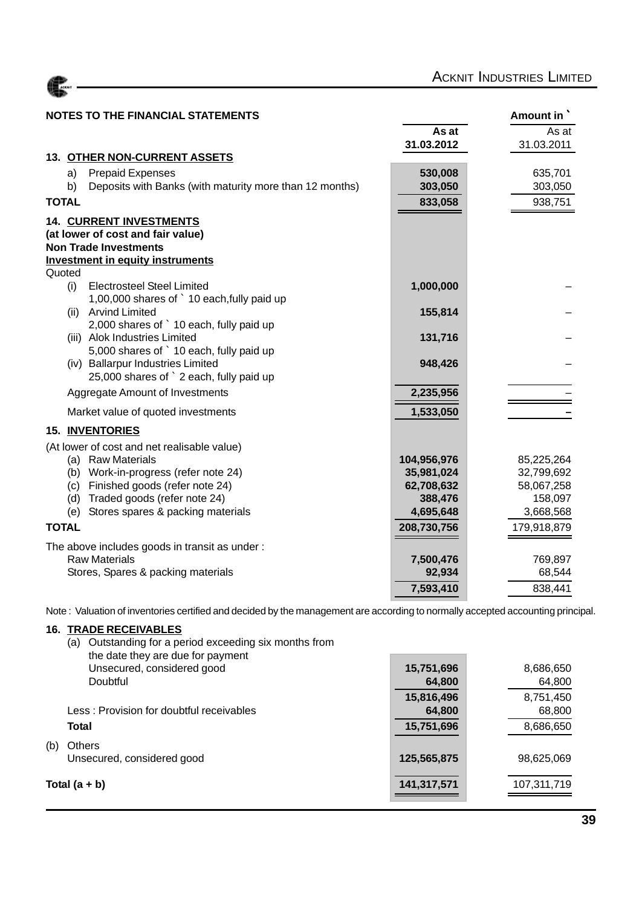

| <b>NOTES TO THE FINANCIAL STATEMENTS</b>                                     |             | Amount in   |
|------------------------------------------------------------------------------|-------------|-------------|
|                                                                              | As at       | As at       |
|                                                                              | 31.03.2012  | 31.03.2011  |
| <b>13. OTHER NON-CURRENT ASSETS</b>                                          |             |             |
| <b>Prepaid Expenses</b><br>a)                                                | 530,008     | 635,701     |
| Deposits with Banks (with maturity more than 12 months)<br>b)                | 303,050     | 303,050     |
| <b>TOTAL</b>                                                                 | 833,058     | 938,751     |
| <b>14. CURRENT INVESTMENTS</b>                                               |             |             |
| (at lower of cost and fair value)                                            |             |             |
| <b>Non Trade Investments</b>                                                 |             |             |
| <b>Investment in equity instruments</b>                                      |             |             |
| Quoted                                                                       |             |             |
| <b>Electrosteel Steel Limited</b><br>(i)                                     | 1,000,000   |             |
| 1,00,000 shares of ` 10 each, fully paid up<br><b>Arvind Limited</b><br>(ii) | 155,814     |             |
| 2,000 shares of ` 10 each, fully paid up                                     |             |             |
| (iii) Alok Industries Limited                                                | 131,716     |             |
| 5,000 shares of ` 10 each, fully paid up                                     |             |             |
| (iv) Ballarpur Industries Limited                                            | 948,426     |             |
| 25,000 shares of ` 2 each, fully paid up                                     |             |             |
| Aggregate Amount of Investments                                              | 2,235,956   |             |
| Market value of quoted investments                                           | 1,533,050   |             |
| 15. INVENTORIES                                                              |             |             |
| (At lower of cost and net realisable value)                                  |             |             |
| (a) Raw Materials                                                            | 104,956,976 | 85,225,264  |
| (b) Work-in-progress (refer note 24)                                         | 35,981,024  | 32,799,692  |
| Finished goods (refer note 24)<br>(c)                                        | 62,708,632  | 58,067,258  |
| Traded goods (refer note 24)<br>(d)                                          | 388,476     | 158,097     |
| Stores spares & packing materials<br>(e)                                     | 4,695,648   | 3,668,568   |
| <b>TOTAL</b>                                                                 | 208,730,756 | 179,918,879 |
| The above includes goods in transit as under:                                |             |             |
| <b>Raw Materials</b>                                                         | 7,500,476   | 769,897     |
| Stores, Spares & packing materials                                           | 92,934      | 68,544      |
|                                                                              | 7,593,410   | 838,441     |

Note : Valuation of inventories certified and decided by the management are according to normally accepted accounting principal.

#### **16. TRADE RECEIVABLES**

|     | Outstanding for a period exceeding six months from<br>(a)<br>the date they are due for payment |                      |                     |
|-----|------------------------------------------------------------------------------------------------|----------------------|---------------------|
|     | Unsecured, considered good<br>Doubtful                                                         | 15,751,696<br>64,800 | 8,686,650<br>64,800 |
|     | Less: Provision for doubtful receivables                                                       | 15,816,496<br>64,800 | 8,751,450<br>68,800 |
|     | Total                                                                                          | 15,751,696           | 8,686,650           |
| (b) | Others<br>Unsecured, considered good                                                           | 125,565,875          | 98,625,069          |
|     | Total $(a + b)$                                                                                | 141,317,571          | 107,311,719         |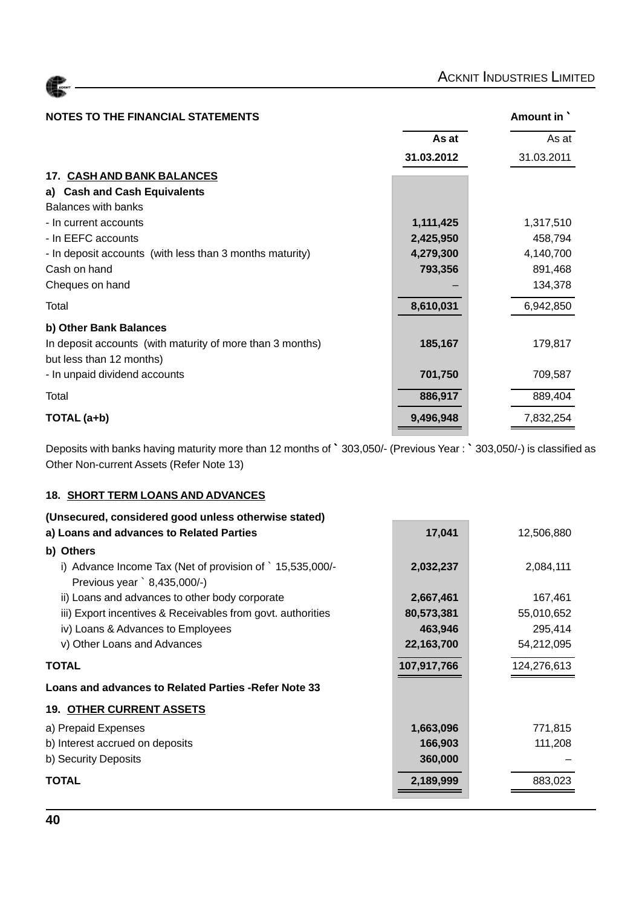| <b>ACKNIT</b> |  |
|---------------|--|
|               |  |

| <b>NOTES TO THE FINANCIAL STATEMENTS</b>                  |            | Amount in  |
|-----------------------------------------------------------|------------|------------|
|                                                           | As at      | As at      |
|                                                           | 31.03.2012 | 31.03.2011 |
| <b>17. CASH AND BANK BALANCES</b>                         |            |            |
| <b>Cash and Cash Equivalents</b><br>a)                    |            |            |
| <b>Balances with banks</b>                                |            |            |
| - In current accounts                                     | 1,111,425  | 1,317,510  |
| - In EEFC accounts                                        | 2,425,950  | 458,794    |
| - In deposit accounts (with less than 3 months maturity)  | 4,279,300  | 4,140,700  |
| Cash on hand                                              | 793,356    | 891,468    |
| Cheques on hand                                           |            | 134,378    |
| Total                                                     | 8,610,031  | 6,942,850  |
| b) Other Bank Balances                                    |            |            |
| In deposit accounts (with maturity of more than 3 months) | 185,167    | 179,817    |
| but less than 12 months)                                  |            |            |
| - In unpaid dividend accounts                             | 701,750    | 709,587    |
| Total                                                     | 886,917    | 889,404    |
| TOTAL (a+b)                                               | 9,496,948  | 7,832,254  |

Deposits with banks having maturity more than 12 months of ` 303,050/- (Previous Year : ` 303,050/-) is classified as Other Non-current Assets (Refer Note 13)

#### **18. SHORT TERM LOANS AND ADVANCES**

| (Unsecured, considered good unless otherwise stated)                                    |             |             |
|-----------------------------------------------------------------------------------------|-------------|-------------|
| a) Loans and advances to Related Parties                                                | 17,041      | 12,506,880  |
| b) Others                                                                               |             |             |
| i) Advance Income Tax (Net of provision of `15,535,000/-<br>Previous year `8,435,000/-) | 2,032,237   | 2,084,111   |
| ii) Loans and advances to other body corporate                                          | 2,667,461   | 167,461     |
| iii) Export incentives & Receivables from govt. authorities                             | 80,573,381  | 55,010,652  |
| iv) Loans & Advances to Employees                                                       | 463,946     | 295,414     |
| v) Other Loans and Advances                                                             | 22,163,700  | 54,212,095  |
| <b>TOTAL</b>                                                                            | 107,917,766 | 124,276,613 |
| Loans and advances to Related Parties - Refer Note 33                                   |             |             |
| <b>19. OTHER CURRENT ASSETS</b>                                                         |             |             |
| a) Prepaid Expenses                                                                     | 1,663,096   | 771,815     |
| b) Interest accrued on deposits                                                         | 166,903     | 111,208     |
| b) Security Deposits                                                                    | 360,000     |             |
| <b>TOTAL</b>                                                                            | 2,189,999   | 883,023     |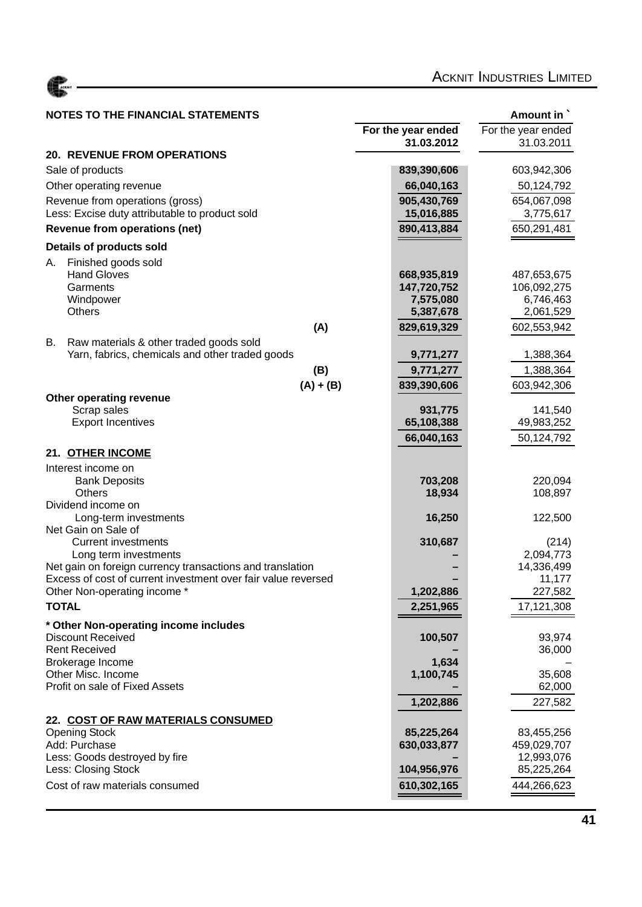

### **NOTES TO THE FINANCIAL STATEMENTS Amount in Amount in Amount in**

| UTL9 TU TITL I INANUAL STATLIWENTS                            |                        | Allivulit III          |
|---------------------------------------------------------------|------------------------|------------------------|
|                                                               | For the year ended     | For the year ended     |
|                                                               | 31.03.2012             | 31.03.2011             |
| <b>20. REVENUE FROM OPERATIONS</b>                            |                        |                        |
| Sale of products                                              | 839,390,606            | 603,942,306            |
| Other operating revenue                                       | 66,040,163             | 50,124,792             |
| Revenue from operations (gross)                               | 905,430,769            | 654,067,098            |
| Less: Excise duty attributable to product sold                | 15,016,885             | 3,775,617              |
| <b>Revenue from operations (net)</b>                          | 890,413,884            | 650,291,481            |
|                                                               |                        |                        |
| Details of products sold                                      |                        |                        |
| Finished goods sold<br>А.                                     |                        |                        |
| <b>Hand Gloves</b>                                            | 668,935,819            | 487,653,675            |
| Garments                                                      | 147,720,752            | 106,092,275            |
| Windpower<br><b>Others</b>                                    | 7,575,080<br>5,387,678 | 6,746,463<br>2,061,529 |
|                                                               |                        |                        |
| (A)                                                           | 829,619,329            | 602,553,942            |
| В.<br>Raw materials & other traded goods sold                 |                        |                        |
| Yarn, fabrics, chemicals and other traded goods               | 9,771,277              | 1,388,364              |
| (B)                                                           | 9,771,277              | 1,388,364              |
| $(A) + (B)$                                                   | 839,390,606            | 603,942,306            |
| Other operating revenue                                       |                        |                        |
| Scrap sales<br><b>Export Incentives</b>                       | 931,775<br>65,108,388  | 141,540<br>49,983,252  |
|                                                               |                        |                        |
|                                                               | 66,040,163             | 50,124,792             |
| 21. OTHER INCOME                                              |                        |                        |
| Interest income on                                            |                        |                        |
| <b>Bank Deposits</b>                                          | 703,208                | 220,094                |
| <b>Others</b>                                                 | 18,934                 | 108,897                |
| Dividend income on<br>Long-term investments                   | 16,250                 | 122,500                |
| Net Gain on Sale of                                           |                        |                        |
| <b>Current investments</b>                                    | 310,687                | (214)                  |
| Long term investments                                         |                        | 2,094,773              |
| Net gain on foreign currency transactions and translation     |                        | 14,336,499             |
| Excess of cost of current investment over fair value reversed |                        | 11,177                 |
| Other Non-operating income *                                  | 1,202,886              | 227,582                |
| <b>TOTAL</b>                                                  | 2,251,965              | 17,121,308             |
| * Other Non-operating income includes                         |                        |                        |
| <b>Discount Received</b>                                      | 100,507                | 93,974                 |
| <b>Rent Received</b>                                          |                        | 36,000                 |
| Brokerage Income                                              | 1,634                  |                        |
| Other Misc. Income                                            | 1,100,745              | 35,608                 |
| Profit on sale of Fixed Assets                                |                        | 62,000                 |
|                                                               | 1,202,886              | 227,582                |
| 22. COST OF RAW MATERIALS CONSUMED                            |                        |                        |
| <b>Opening Stock</b>                                          | 85,225,264             | 83,455,256             |
| Add: Purchase                                                 | 630,033,877            | 459,029,707            |
| Less: Goods destroyed by fire                                 |                        | 12,993,076             |
| Less: Closing Stock                                           | 104,956,976            | 85,225,264             |
| Cost of raw materials consumed                                | 610,302,165            | 444,266,623            |
|                                                               |                        |                        |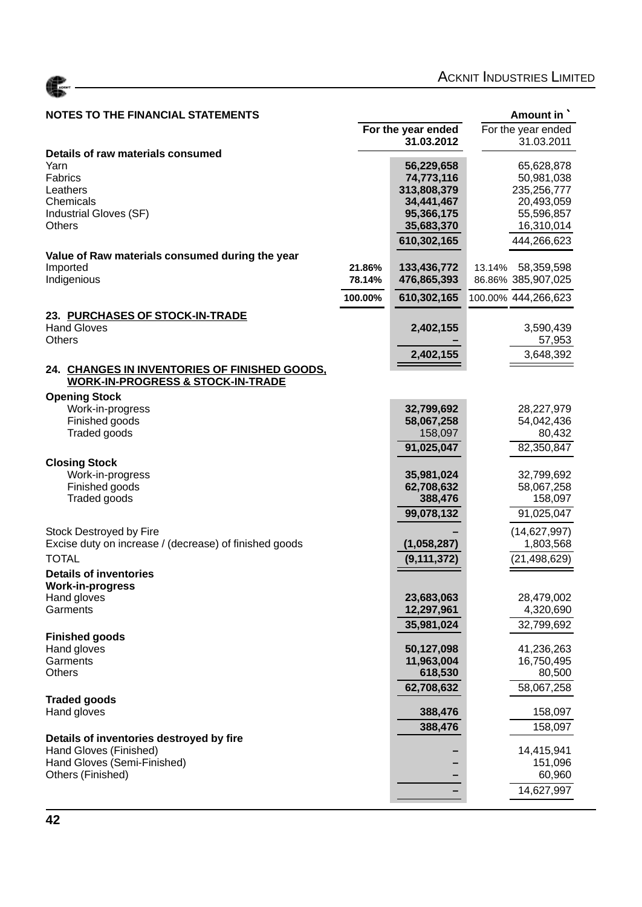

| <b>NOTES TO THE FINANCIAL STATEMENTS</b>                                                      |                  | Amount in                  |                                            |  |  |
|-----------------------------------------------------------------------------------------------|------------------|----------------------------|--------------------------------------------|--|--|
|                                                                                               |                  | For the year ended         | For the year ended                         |  |  |
|                                                                                               |                  | 31.03.2012                 | 31.03.2011                                 |  |  |
| Details of raw materials consumed<br>Yarn                                                     |                  | 56,229,658                 | 65,628,878                                 |  |  |
| Fabrics                                                                                       |                  | 74,773,116                 | 50,981,038                                 |  |  |
| Leathers                                                                                      |                  | 313,808,379                | 235,256,777                                |  |  |
| Chemicals                                                                                     |                  | 34,441,467                 | 20,493,059                                 |  |  |
| Industrial Gloves (SF)                                                                        |                  | 95,366,175                 | 55,596,857                                 |  |  |
| Others                                                                                        |                  | 35,683,370                 | 16,310,014                                 |  |  |
|                                                                                               |                  | 610,302,165                | 444,266,623                                |  |  |
| Value of Raw materials consumed during the year                                               |                  |                            |                                            |  |  |
| Imported<br>Indigenious                                                                       | 21.86%<br>78.14% | 133,436,772<br>476,865,393 | 13.14%<br>58,359,598<br>86.86% 385,907,025 |  |  |
|                                                                                               |                  |                            |                                            |  |  |
|                                                                                               | 100.00%          | 610,302,165                | 100.00% 444,266,623                        |  |  |
| 23. PURCHASES OF STOCK-IN-TRADE                                                               |                  |                            |                                            |  |  |
| <b>Hand Gloves</b>                                                                            |                  | 2,402,155                  | 3,590,439                                  |  |  |
| <b>Others</b>                                                                                 |                  |                            | 57,953                                     |  |  |
|                                                                                               |                  | 2,402,155                  | 3,648,392                                  |  |  |
| 24. CHANGES IN INVENTORIES OF FINISHED GOODS,<br><b>WORK-IN-PROGRESS &amp; STOCK-IN-TRADE</b> |                  |                            |                                            |  |  |
|                                                                                               |                  |                            |                                            |  |  |
| <b>Opening Stock</b><br>Work-in-progress                                                      |                  | 32,799,692                 | 28,227,979                                 |  |  |
| Finished goods                                                                                |                  | 58,067,258                 | 54,042,436                                 |  |  |
| Traded goods                                                                                  |                  | 158,097                    | 80,432                                     |  |  |
|                                                                                               |                  | 91,025,047                 | 82,350,847                                 |  |  |
| <b>Closing Stock</b>                                                                          |                  |                            |                                            |  |  |
| Work-in-progress                                                                              |                  | 35,981,024                 | 32,799,692                                 |  |  |
| Finished goods                                                                                |                  | 62,708,632                 | 58,067,258                                 |  |  |
| Traded goods                                                                                  |                  | 388,476                    | 158,097                                    |  |  |
|                                                                                               |                  | 99,078,132                 | 91,025,047                                 |  |  |
| Stock Destroyed by Fire                                                                       |                  |                            | (14,627,997)                               |  |  |
| Excise duty on increase / (decrease) of finished goods                                        |                  | (1,058,287)                | 1,803,568                                  |  |  |
| <b>TOTAL</b>                                                                                  |                  | (9, 111, 372)              | (21, 498, 629)                             |  |  |
| <b>Details of inventories</b>                                                                 |                  |                            |                                            |  |  |
| <b>Work-in-progress</b>                                                                       |                  |                            |                                            |  |  |
| Hand gloves<br>Garments                                                                       |                  | 23,683,063<br>12,297,961   | 28,479,002<br>4,320,690                    |  |  |
|                                                                                               |                  |                            | 32,799,692                                 |  |  |
| <b>Finished goods</b>                                                                         |                  | 35,981,024                 |                                            |  |  |
| Hand gloves                                                                                   |                  | 50,127,098                 | 41,236,263                                 |  |  |
| Garments                                                                                      |                  | 11,963,004                 | 16,750,495                                 |  |  |
| <b>Others</b>                                                                                 |                  | 618,530                    | 80,500                                     |  |  |
|                                                                                               |                  | 62,708,632                 | 58,067,258                                 |  |  |
| <b>Traded goods</b>                                                                           |                  |                            |                                            |  |  |
| Hand gloves                                                                                   |                  | 388,476                    | 158,097                                    |  |  |
| Details of inventories destroyed by fire                                                      |                  | 388,476                    | 158,097                                    |  |  |
| Hand Gloves (Finished)                                                                        |                  |                            | 14,415,941                                 |  |  |
| Hand Gloves (Semi-Finished)                                                                   |                  |                            | 151,096                                    |  |  |
| Others (Finished)                                                                             |                  |                            | 60,960                                     |  |  |
|                                                                                               |                  |                            | 14,627,997                                 |  |  |
|                                                                                               |                  |                            |                                            |  |  |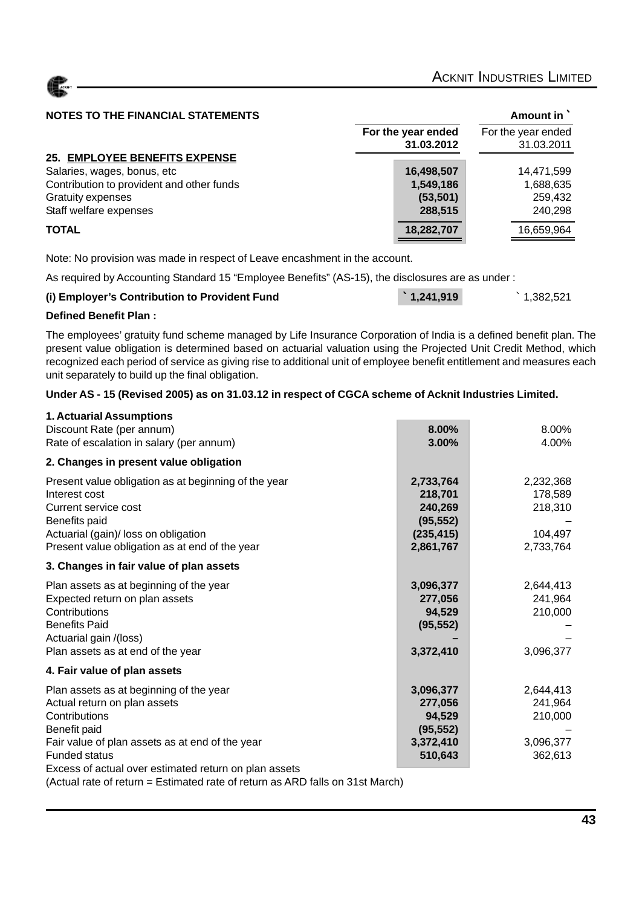#### **NOTES TO THE FINANCIAL STATEMENTS Amount in `** Amount in `

|                                           | For the year ended<br>31.03.2012 | For the year ended<br>31.03.2011 |
|-------------------------------------------|----------------------------------|----------------------------------|
| 25. EMPLOYEE BENEFITS EXPENSE             |                                  |                                  |
| Salaries, wages, bonus, etc               | 16,498,507                       | 14.471.599                       |
| Contribution to provident and other funds | 1,549,186                        | 1,688,635                        |
| <b>Gratuity expenses</b>                  | (53, 501)                        | 259,432                          |
| Staff welfare expenses                    | 288,515                          | 240,298                          |
| <b>TOTAL</b>                              | 18,282,707                       | 16,659,964                       |

Note: No provision was made in respect of Leave encashment in the account.

As required by Accounting Standard 15 "Employee Benefits" (AS-15), the disclosures are as under :

| (i) Employer's Contribution to Provident Fund | $\ddot{ }$ 1,241,919 | $\hat{}$ 1,382,521 |
|-----------------------------------------------|----------------------|--------------------|
|-----------------------------------------------|----------------------|--------------------|

#### **Defined Benefit Plan :**

The employees' gratuity fund scheme managed by Life Insurance Corporation of India is a defined benefit plan. The present value obligation is determined based on actuarial valuation using the Projected Unit Credit Method, which recognized each period of service as giving rise to additional unit of employee benefit entitlement and measures each unit separately to build up the final obligation.

#### **Under AS - 15 (Revised 2005) as on 31.03.12 in respect of CGCA scheme of Acknit Industries Limited.**

| 1. Actuarial Assumptions                              |            |           |
|-------------------------------------------------------|------------|-----------|
| Discount Rate (per annum)                             | 8.00%      | 8.00%     |
| Rate of escalation in salary (per annum)              | 3.00%      | 4.00%     |
| 2. Changes in present value obligation                |            |           |
| Present value obligation as at beginning of the year  | 2,733,764  | 2,232,368 |
| Interest cost                                         | 218,701    | 178,589   |
| Current service cost                                  | 240,269    | 218,310   |
| Benefits paid                                         | (95, 552)  |           |
| Actuarial (gain)/ loss on obligation                  | (235, 415) | 104,497   |
| Present value obligation as at end of the year        | 2,861,767  | 2,733,764 |
| 3. Changes in fair value of plan assets               |            |           |
| Plan assets as at beginning of the year               | 3,096,377  | 2,644,413 |
| Expected return on plan assets                        | 277,056    | 241,964   |
| Contributions                                         | 94,529     | 210,000   |
| <b>Benefits Paid</b>                                  | (95, 552)  |           |
| Actuarial gain /(loss)                                |            |           |
| Plan assets as at end of the year                     | 3,372,410  | 3,096,377 |
| 4. Fair value of plan assets                          |            |           |
| Plan assets as at beginning of the year               | 3,096,377  | 2,644,413 |
| Actual return on plan assets                          | 277,056    | 241,964   |
| Contributions                                         | 94,529     | 210,000   |
| Benefit paid                                          | (95, 552)  |           |
| Fair value of plan assets as at end of the year       | 3,372,410  | 3,096,377 |
| <b>Funded status</b>                                  | 510,643    | 362,613   |
| Excess of actual over estimated return on plan assets |            |           |

(Actual rate of return = Estimated rate of return as ARD falls on 31st March)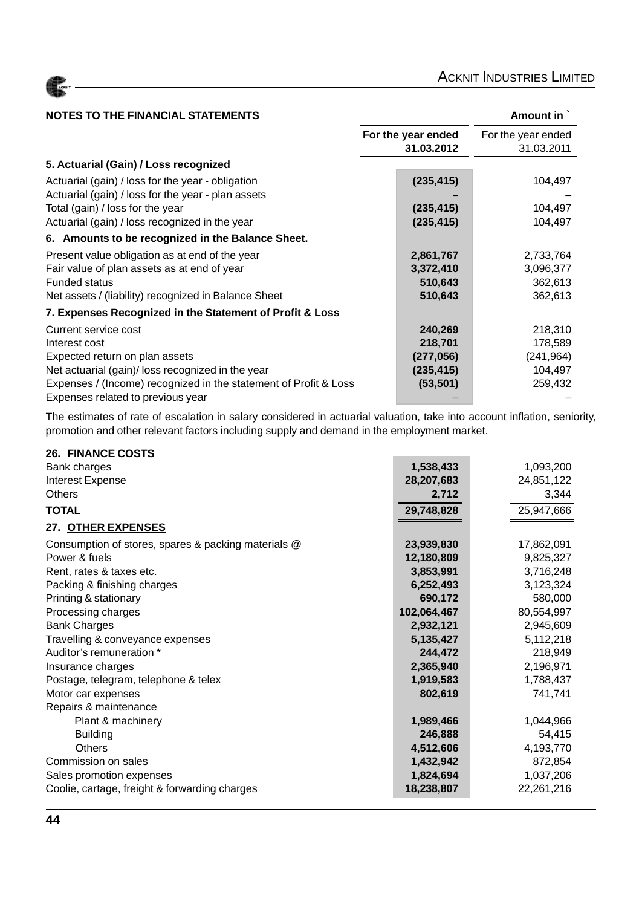| <b>NOTES TO THE FINANCIAL STATEMENTS</b>                         |                                  | Amount in `                      |
|------------------------------------------------------------------|----------------------------------|----------------------------------|
|                                                                  | For the year ended<br>31.03.2012 | For the year ended<br>31.03.2011 |
| 5. Actuarial (Gain) / Loss recognized                            |                                  |                                  |
| Actuarial (gain) / loss for the year - obligation                | (235, 415)                       | 104,497                          |
| Actuarial (gain) / loss for the year - plan assets               |                                  |                                  |
| Total (gain) / loss for the year                                 | (235, 415)                       | 104,497                          |
| Actuarial (gain) / loss recognized in the year                   | (235, 415)                       | 104,497                          |
| 6. Amounts to be recognized in the Balance Sheet.                |                                  |                                  |
| Present value obligation as at end of the year                   | 2,861,767                        | 2,733,764                        |
| Fair value of plan assets as at end of year                      | 3,372,410                        | 3,096,377                        |
| <b>Funded status</b>                                             | 510,643                          | 362,613                          |
| Net assets / (liability) recognized in Balance Sheet             | 510,643                          | 362,613                          |
| 7. Expenses Recognized in the Statement of Profit & Loss         |                                  |                                  |
| Current service cost                                             | 240,269                          | 218,310                          |
| Interest cost                                                    | 218,701                          | 178,589                          |
| Expected return on plan assets                                   | (277, 056)                       | (241, 964)                       |
| Net actuarial (gain)/ loss recognized in the year                | (235, 415)                       | 104,497                          |
| Expenses / (Income) recognized in the statement of Profit & Loss | (53, 501)                        | 259,432                          |
| Expenses related to previous year                                |                                  |                                  |

The estimates of rate of escalation in salary considered in actuarial valuation, take into account inflation, seniority, promotion and other relevant factors including supply and demand in the employment market.

| 26. FINANCE COSTS                                   |             |            |
|-----------------------------------------------------|-------------|------------|
| Bank charges                                        | 1,538,433   | 1,093,200  |
| Interest Expense                                    | 28,207,683  | 24,851,122 |
| <b>Others</b>                                       | 2,712       | 3,344      |
| <b>TOTAL</b>                                        | 29,748,828  | 25,947,666 |
| 27. OTHER EXPENSES                                  |             |            |
| Consumption of stores, spares & packing materials @ | 23,939,830  | 17,862,091 |
| Power & fuels                                       | 12,180,809  | 9,825,327  |
| Rent, rates & taxes etc.                            | 3,853,991   | 3,716,248  |
| Packing & finishing charges                         | 6,252,493   | 3,123,324  |
| Printing & stationary                               | 690,172     | 580,000    |
| Processing charges                                  | 102,064,467 | 80,554,997 |
| <b>Bank Charges</b>                                 | 2,932,121   | 2,945,609  |
| Travelling & conveyance expenses                    | 5,135,427   | 5,112,218  |
| Auditor's remuneration *                            | 244,472     | 218,949    |
| Insurance charges                                   | 2,365,940   | 2,196,971  |
| Postage, telegram, telephone & telex                | 1,919,583   | 1,788,437  |
| Motor car expenses                                  | 802,619     | 741,741    |
| Repairs & maintenance                               |             |            |
| Plant & machinery                                   | 1,989,466   | 1,044,966  |
| <b>Building</b>                                     | 246,888     | 54,415     |
| <b>Others</b>                                       | 4,512,606   | 4,193,770  |
| Commission on sales                                 | 1,432,942   | 872,854    |
| Sales promotion expenses                            | 1,824,694   | 1,037,206  |
| Coolie, cartage, freight & forwarding charges       | 18,238,807  | 22,261,216 |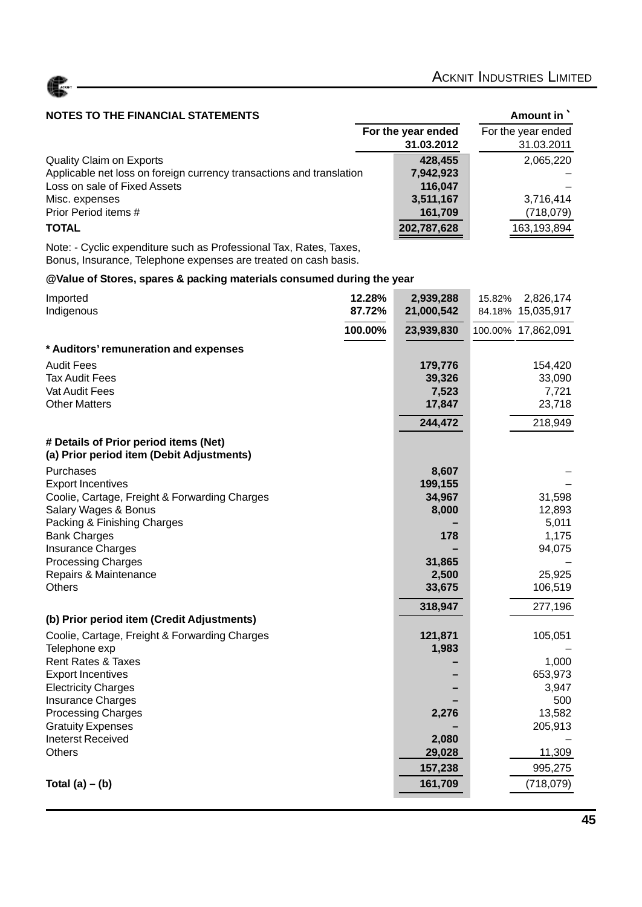

#### **NOTES TO THE FINANCIAL STATEMENTS AMOUNT AMOUNT AMOUNT AMOUNT IN**

|                                                                      | For the year ended<br>31.03.2012 | For the year ended<br>31.03.2011 |
|----------------------------------------------------------------------|----------------------------------|----------------------------------|
| Quality Claim on Exports                                             | 428.455                          | 2,065,220                        |
| Applicable net loss on foreign currency transactions and translation | 7,942,923                        |                                  |
| Loss on sale of Fixed Assets                                         | 116.047                          |                                  |
| Misc. expenses                                                       | 3,511,167                        | 3,716,414                        |
| Prior Period items #                                                 | 161,709                          | (718,079)                        |
| <b>TOTAL</b>                                                         | 202,787,628                      | 163,193,894                      |

Note: - Cyclic expenditure such as Professional Tax, Rates, Taxes, Bonus, Insurance, Telephone expenses are treated on cash basis.

#### **@Value of Stores, spares & packing materials consumed during the year**

| Imported<br>Indigenous                                                             | 12.28%<br>87.72% | 2,939,288<br>21,000,542 | 2,826,174<br>15.82%<br>84.18% 15,035,917 |
|------------------------------------------------------------------------------------|------------------|-------------------------|------------------------------------------|
|                                                                                    | 100.00%          | 23,939,830              | 100.00% 17,862,091                       |
| * Auditors' remuneration and expenses                                              |                  |                         |                                          |
| <b>Audit Fees</b>                                                                  |                  | 179,776                 | 154,420                                  |
| <b>Tax Audit Fees</b>                                                              |                  | 39,326                  | 33,090                                   |
| Vat Audit Fees                                                                     |                  | 7,523                   | 7,721                                    |
| <b>Other Matters</b>                                                               |                  | 17,847                  | 23,718                                   |
|                                                                                    |                  | 244,472                 | 218,949                                  |
| # Details of Prior period items (Net)<br>(a) Prior period item (Debit Adjustments) |                  |                         |                                          |
| Purchases                                                                          |                  | 8,607                   |                                          |
| <b>Export Incentives</b>                                                           |                  | 199,155                 |                                          |
| Coolie, Cartage, Freight & Forwarding Charges                                      |                  | 34,967                  | 31,598                                   |
| Salary Wages & Bonus                                                               |                  | 8,000                   | 12,893                                   |
| Packing & Finishing Charges                                                        |                  |                         | 5,011                                    |
| <b>Bank Charges</b><br><b>Insurance Charges</b>                                    |                  | 178                     | 1,175<br>94,075                          |
| <b>Processing Charges</b>                                                          |                  | 31,865                  |                                          |
| Repairs & Maintenance                                                              |                  | 2,500                   | 25,925                                   |
| <b>Others</b>                                                                      |                  | 33,675                  | 106,519                                  |
|                                                                                    |                  | 318,947                 | 277,196                                  |
| (b) Prior period item (Credit Adjustments)                                         |                  |                         |                                          |
| Coolie, Cartage, Freight & Forwarding Charges                                      |                  | 121,871                 | 105,051                                  |
| Telephone exp                                                                      |                  | 1,983                   |                                          |
| <b>Rent Rates &amp; Taxes</b>                                                      |                  |                         | 1,000                                    |
| <b>Export Incentives</b>                                                           |                  |                         | 653,973                                  |
| <b>Electricity Charges</b>                                                         |                  |                         | 3,947                                    |
| <b>Insurance Charges</b>                                                           |                  | 2,276                   | 500                                      |
| <b>Processing Charges</b><br><b>Gratuity Expenses</b>                              |                  |                         | 13,582<br>205,913                        |
| <b>Ineterst Received</b>                                                           |                  | 2,080                   |                                          |
| <b>Others</b>                                                                      |                  | 29,028                  | 11,309                                   |
|                                                                                    |                  | 157,238                 | 995,275                                  |
| Total $(a) - (b)$                                                                  |                  | 161,709                 | (718, 079)                               |
|                                                                                    |                  |                         |                                          |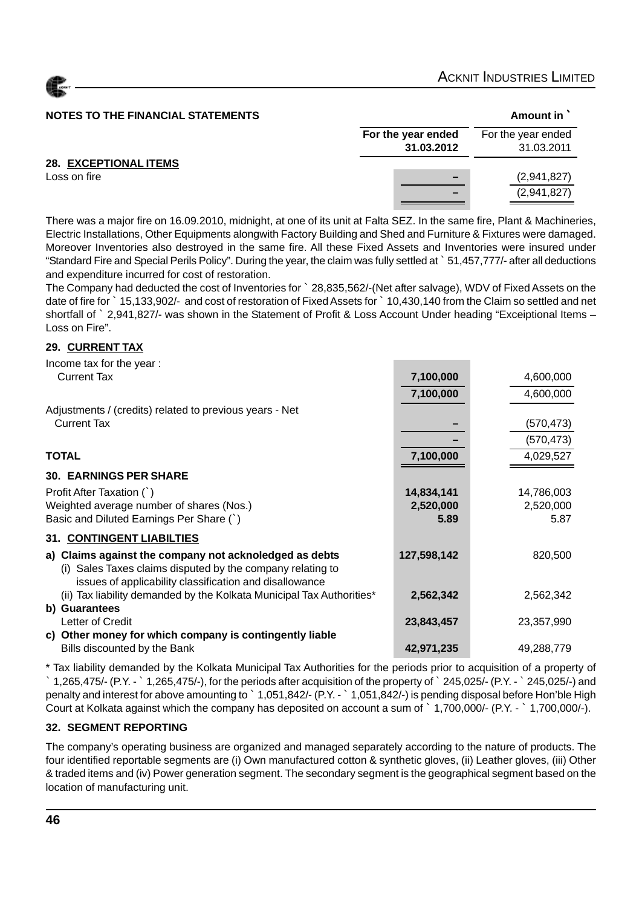

#### **NOTES TO THE FINANCIAL STATEMENTS Amount in `** Amount in `

| NUTES TU THE FINANCIAL STATEMENTS |                    | Alliount in        |
|-----------------------------------|--------------------|--------------------|
|                                   | For the year ended | For the year ended |
|                                   | 31.03.2012         | 31.03.2011         |
| <b>28. EXCEPTIONAL ITEMS</b>      |                    |                    |
| Loss on fire                      |                    | (2,941,827)        |
|                                   |                    | (2,941,827)        |
|                                   |                    |                    |

There was a major fire on 16.09.2010, midnight, at one of its unit at Falta SEZ. In the same fire, Plant & Machineries, Electric Installations, Other Equipments alongwith Factory Building and Shed and Furniture & Fixtures were damaged. Moreover Inventories also destroyed in the same fire. All these Fixed Assets and Inventories were insured under "Standard Fire and Special Perils Policy". During the year, the claim was fully settled at ` 51,457,777/- after all deductions and expenditure incurred for cost of restoration.

The Company had deducted the cost of Inventories for ` 28,835,562/-(Net after salvage), WDV of Fixed Assets on the date of fire for ` 15,133,902/- and cost of restoration of Fixed Assets for ` 10,430,140 from the Claim so settled and net shortfall of ` 2,941,827/- was shown in the Statement of Profit & Loss Account Under heading "Exceiptional Items – Loss on Fire".

#### **29. CURRENT TAX**

| Income tax for the year:                                                                                              |             |            |
|-----------------------------------------------------------------------------------------------------------------------|-------------|------------|
| <b>Current Tax</b>                                                                                                    | 7,100,000   | 4,600,000  |
|                                                                                                                       | 7,100,000   | 4,600,000  |
| Adjustments / (credits) related to previous years - Net                                                               |             |            |
| <b>Current Tax</b>                                                                                                    |             | (570, 473) |
|                                                                                                                       |             | (570, 473) |
| <b>TOTAL</b>                                                                                                          | 7,100,000   | 4,029,527  |
| <b>30. EARNINGS PER SHARE</b>                                                                                         |             |            |
| Profit After Taxation (`)                                                                                             | 14,834,141  | 14,786,003 |
| Weighted average number of shares (Nos.)                                                                              | 2,520,000   | 2,520,000  |
| Basic and Diluted Earnings Per Share (`)                                                                              | 5.89        | 5.87       |
| 31. CONTINGENT LIABILTIES                                                                                             |             |            |
| a) Claims against the company not acknoledged as debts                                                                | 127,598,142 | 820,500    |
| (i) Sales Taxes claims disputed by the company relating to<br>issues of applicability classification and disallowance |             |            |
| (ii) Tax liability demanded by the Kolkata Municipal Tax Authorities*                                                 | 2,562,342   | 2,562,342  |
| b) Guarantees                                                                                                         |             |            |
| Letter of Credit                                                                                                      | 23,843,457  | 23,357,990 |
| c) Other money for which company is contingently liable                                                               |             |            |
| Bills discounted by the Bank                                                                                          | 42,971,235  | 49,288,779 |

\* Tax liability demanded by the Kolkata Municipal Tax Authorities for the periods prior to acquisition of a property of ` 1,265,475/- (P.Y. - ` 1,265,475/-), for the periods after acquisition of the property of ` 245,025/- (P.Y. - ` 245,025/-) and penalty and interest for above amounting to ` 1,051,842/- (P.Y. - ` 1,051,842/-) is pending disposal before Hon'ble High Court at Kolkata against which the company has deposited on account a sum of ` 1,700,000/- (P.Y. - ` 1,700,000/-).

#### **32. SEGMENT REPORTING**

The company's operating business are organized and managed separately according to the nature of products. The four identified reportable segments are (i) Own manufactured cotton & synthetic gloves, (ii) Leather gloves, (iii) Other & traded items and (iv) Power generation segment. The secondary segment is the geographical segment based on the location of manufacturing unit.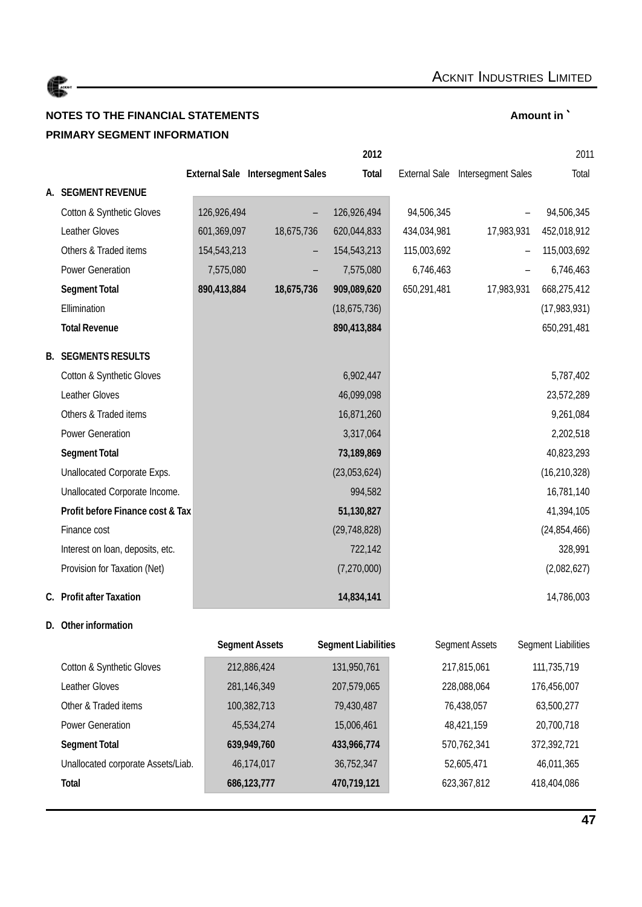

### **NOTES TO THE FINANCIAL STATEMENTS Amount in** ` **PRIMARY SEGMENT INFORMATION**

|    |                                  |             |                                         | 2012           |             |                                  | 2011           |
|----|----------------------------------|-------------|-----------------------------------------|----------------|-------------|----------------------------------|----------------|
|    |                                  |             | <b>External Sale Intersegment Sales</b> | <b>Total</b>   |             | External Sale Intersegment Sales | Total          |
| А. | <b>SEGMENT REVENUE</b>           |             |                                         |                |             |                                  |                |
|    | Cotton & Synthetic Gloves        | 126,926,494 |                                         | 126,926,494    | 94,506,345  |                                  | 94,506,345     |
|    | Leather Gloves                   | 601,369,097 | 18,675,736                              | 620,044,833    | 434,034,981 | 17,983,931                       | 452,018,912    |
|    | Others & Traded items            | 154,543,213 | -                                       | 154,543,213    | 115,003,692 |                                  | 115,003,692    |
|    | Power Generation                 | 7,575,080   |                                         | 7,575,080      | 6,746,463   |                                  | 6,746,463      |
|    | <b>Segment Total</b>             | 890,413,884 | 18,675,736                              | 909,089,620    | 650,291,481 | 17,983,931                       | 668,275,412    |
|    | Ellimination                     |             |                                         | (18, 675, 736) |             |                                  | (17,983,931)   |
|    | <b>Total Revenue</b>             |             |                                         | 890,413,884    |             |                                  | 650,291,481    |
|    | <b>B. SEGMENTS RESULTS</b>       |             |                                         |                |             |                                  |                |
|    | Cotton & Synthetic Gloves        |             |                                         | 6,902,447      |             |                                  | 5,787,402      |
|    | Leather Gloves                   |             |                                         | 46,099,098     |             |                                  | 23,572,289     |
|    | Others & Traded items            |             |                                         | 16,871,260     |             |                                  | 9,261,084      |
|    | <b>Power Generation</b>          |             |                                         | 3,317,064      |             |                                  | 2,202,518      |
|    | <b>Segment Total</b>             |             |                                         | 73,189,869     |             |                                  | 40,823,293     |
|    | Unallocated Corporate Exps.      |             |                                         | (23,053,624)   |             |                                  | (16, 210, 328) |
|    | Unallocated Corporate Income.    |             |                                         | 994,582        |             |                                  | 16,781,140     |
|    | Profit before Finance cost & Tax |             |                                         | 51,130,827     |             |                                  | 41,394,105     |
|    | Finance cost                     |             |                                         | (29, 748, 828) |             |                                  | (24, 854, 466) |
|    | Interest on loan, deposits, etc. |             |                                         | 722,142        |             |                                  | 328,991        |
|    | Provision for Taxation (Net)     |             |                                         | (7,270,000)    |             |                                  | (2,082,627)    |
|    | C. Profit after Taxation         |             |                                         | 14,834,141     |             |                                  | 14,786,003     |

# **D. Other information**

|                                    | <b>Segment Assets</b> | <b>Segment Liabilities</b> | Segment Assets | Segment Liabilities |
|------------------------------------|-----------------------|----------------------------|----------------|---------------------|
| Cotton & Synthetic Gloves          | 212,886,424           | 131,950,761                | 217,815,061    | 111,735,719         |
| Leather Gloves                     | 281,146,349           | 207,579,065                | 228,088,064    | 176,456,007         |
| Other & Traded items               | 100,382,713           | 79,430,487                 | 76,438,057     | 63,500,277          |
| <b>Power Generation</b>            | 45,534,274            | 15,006,461                 | 48,421,159     | 20,700,718          |
| <b>Segment Total</b>               | 639,949,760           | 433,966,774                | 570,762,341    | 372,392,721         |
| Unallocated corporate Assets/Liab. | 46,174,017            | 36,752,347                 | 52,605,471     | 46,011,365          |
| <b>Total</b>                       | 686,123,777           | 470,719,121                | 623,367,812    | 418,404,086         |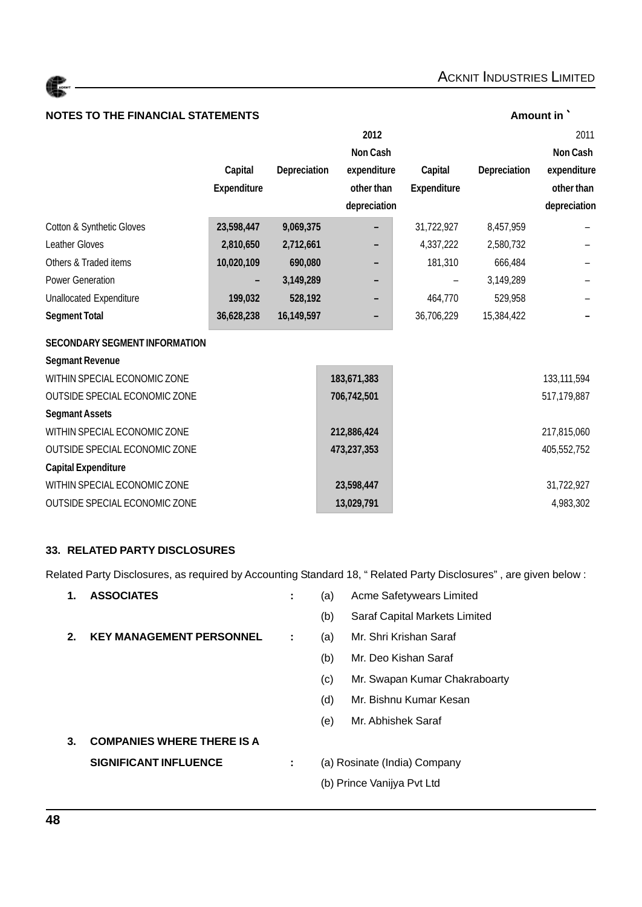| <b>NOTES TO THE FINANCIAL STATEMENTS</b> |                    |              |                 |                    |              | Amount in       |
|------------------------------------------|--------------------|--------------|-----------------|--------------------|--------------|-----------------|
|                                          |                    |              | 2012            |                    |              | 2011            |
|                                          |                    |              | <b>Non Cash</b> |                    |              | <b>Non Cash</b> |
|                                          | Capital            | Depreciation | expenditure     | Capital            | Depreciation | expenditure     |
|                                          | <b>Expenditure</b> |              | other than      | <b>Expenditure</b> |              | other than      |
|                                          |                    |              | depreciation    |                    |              | depreciation    |
| Cotton & Synthetic Gloves                | 23,598,447         | 9,069,375    |                 | 31,722,927         | 8,457,959    |                 |
| <b>Leather Gloves</b>                    | 2,810,650          | 2,712,661    |                 | 4,337,222          | 2,580,732    |                 |
| Others & Traded items                    | 10,020,109         | 690,080      |                 | 181,310            | 666,484      |                 |
| Power Generation                         |                    | 3,149,289    |                 |                    | 3,149,289    |                 |
| <b>Unallocated Expenditure</b>           | 199,032            | 528,192      |                 | 464,770            | 529,958      |                 |
| <b>Segment Total</b>                     | 36,628,238         | 16,149,597   |                 | 36,706,229         | 15,384,422   |                 |
| <b>SECONDARY SEGMENT INFORMATION</b>     |                    |              |                 |                    |              |                 |
| <b>Segmant Revenue</b>                   |                    |              |                 |                    |              |                 |
| WITHIN SPECIAL ECONOMIC ZONE             |                    |              | 183,671,383     |                    |              | 133,111,594     |
| <b>OUTSIDE SPECIAL ECONOMIC ZONE</b>     |                    |              | 706,742,501     |                    |              | 517,179,887     |
| <b>Segmant Assets</b>                    |                    |              |                 |                    |              |                 |
| WITHIN SPECIAL ECONOMIC ZONE             |                    |              | 212,886,424     |                    |              | 217,815,060     |
| OUTSIDE SPECIAL ECONOMIC ZONE            |                    |              | 473,237,353     |                    |              | 405,552,752     |
| <b>Capital Expenditure</b>               |                    |              |                 |                    |              |                 |
| WITHIN SPECIAL ECONOMIC ZONE             |                    |              | 23,598,447      |                    |              | 31,722,927      |
| <b>OUTSIDE SPECIAL ECONOMIC ZONE</b>     |                    |              | 13,029,791      |                    |              | 4,983,302       |

#### **33. RELATED PARTY DISCLOSURES**

Related Party Disclosures, as required by Accounting Standard 18, " Related Party Disclosures" , are given below :

| 1. | <b>ASSOCIATES</b>                 | ÷ | (a)                          | Acme Safetywears Limited      |  |
|----|-----------------------------------|---|------------------------------|-------------------------------|--|
|    |                                   |   | (b)                          | Saraf Capital Markets Limited |  |
| 2. | <b>KEY MANAGEMENT PERSONNEL</b>   | ÷ | (a)                          | Mr. Shri Krishan Saraf        |  |
|    |                                   |   | (b)                          | Mr. Deo Kishan Saraf          |  |
|    |                                   |   | (c)                          | Mr. Swapan Kumar Chakraboarty |  |
|    |                                   |   | (d)                          | Mr. Bishnu Kumar Kesan        |  |
|    |                                   |   | (e)                          | Mr. Abhishek Saraf            |  |
| З. | <b>COMPANIES WHERE THERE IS A</b> |   |                              |                               |  |
|    | <b>SIGNIFICANT INFLUENCE</b>      | ÷ | (a) Rosinate (India) Company |                               |  |
|    |                                   |   | (b) Prince Vanijya Pvt Ltd   |                               |  |
|    |                                   |   |                              |                               |  |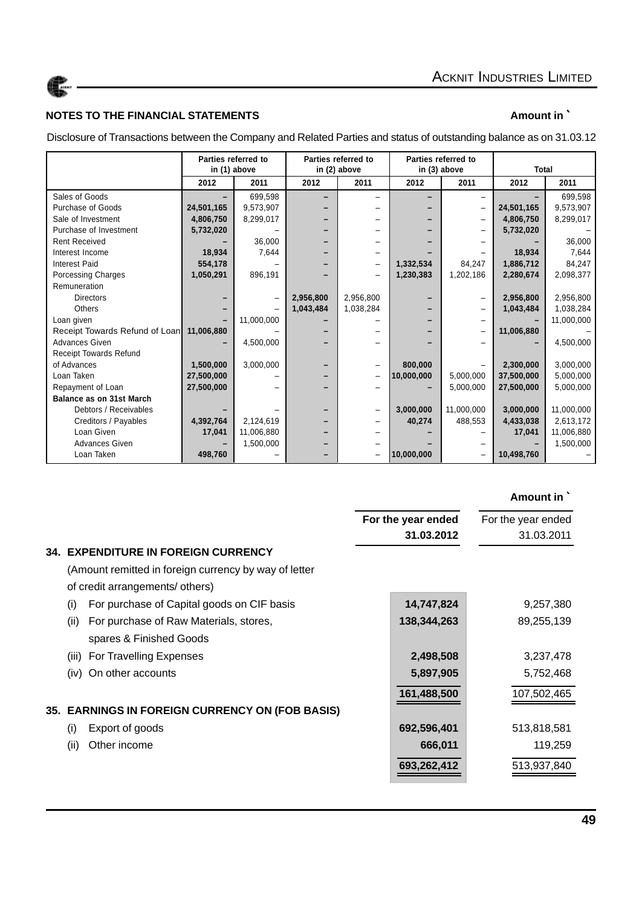

#### **NOTES TO THE FINANCIAL STATEMENTS Amount in `** Amount in `

Disclosure of Transactions between the Company and Related Parties and status of outstanding balance as on 31.03.12

|                                 | Parties referred to<br>in (1) above |            | Parties referred to<br>in (2) above |                   | Parties referred to<br>in (3) above |            | <b>Total</b> |            |
|---------------------------------|-------------------------------------|------------|-------------------------------------|-------------------|-------------------------------------|------------|--------------|------------|
|                                 | 2012                                | 2011       | 2012                                | 2011              | 2012                                | 2011       | 2012         | 2011       |
| Sales of Goods                  |                                     | 699,598    |                                     |                   |                                     |            |              | 699,598    |
| Purchase of Goods               | 24,501,165                          | 9,573,907  |                                     |                   |                                     |            | 24,501,165   | 9,573,907  |
| Sale of Investment              | 4,806,750                           | 8,299,017  |                                     |                   |                                     |            | 4,806,750    | 8,299,017  |
| Purchase of Investment          | 5,732,020                           |            |                                     |                   |                                     |            | 5,732,020    |            |
| <b>Rent Received</b>            |                                     | 36.000     |                                     |                   |                                     |            |              | 36,000     |
| Interest Income                 | 18,934                              | 7,644      |                                     |                   |                                     |            | 18,934       | 7,644      |
| <b>Interest Paid</b>            | 554,178                             |            |                                     |                   | 1,332,534                           | 84,247     | 1,886,712    | 84,247     |
| Porcessing Charges              | 1,050,291                           | 896,191    |                                     |                   | 1,230,383                           | 1,202,186  | 2,280,674    | 2,098,377  |
| Remuneration                    |                                     |            |                                     |                   |                                     |            |              |            |
| <b>Directors</b>                |                                     |            | 2,956,800                           | 2,956,800         |                                     |            | 2,956,800    | 2,956,800  |
| Others                          |                                     |            | 1,043,484                           | 1,038,284         |                                     |            | 1,043,484    | 1,038,284  |
| Loan given                      |                                     | 11,000,000 |                                     |                   |                                     |            |              | 11,000,000 |
| Receipt Towards Refund of Loan  | 11,006,880                          |            |                                     |                   |                                     |            | 11,006,880   |            |
| <b>Advances Given</b>           |                                     | 4,500,000  |                                     |                   |                                     |            |              | 4,500,000  |
| <b>Receipt Towards Refund</b>   |                                     |            |                                     |                   |                                     |            |              |            |
| of Advances                     | 1,500,000                           | 3,000,000  |                                     |                   | 800,000                             |            | 2,300,000    | 3,000,000  |
| Loan Taken                      | 27,500,000                          |            |                                     | $\qquad \qquad -$ | 10,000,000                          | 5,000,000  | 37,500,000   | 5,000,000  |
| Repayment of Loan               | 27,500,000                          |            |                                     |                   |                                     | 5,000,000  | 27,500,000   | 5,000,000  |
| <b>Balance as on 31st March</b> |                                     |            |                                     |                   |                                     |            |              |            |
| Debtors / Receivables           |                                     |            |                                     |                   | 3,000,000                           | 11,000,000 | 3,000,000    | 11,000,000 |
| Creditors / Payables            | 4,392,764                           | 2,124,619  |                                     |                   | 40,274                              | 488,553    | 4,433,038    | 2,613,172  |
| Loan Given                      | 17,041                              | 11,006,880 |                                     |                   |                                     |            | 17,041       | 11,006,880 |
| <b>Advances Given</b>           |                                     | 1,500,000  |                                     |                   |                                     |            |              | 1,500,000  |
| Loan Taken                      | 498,760                             |            |                                     | -                 | 10,000,000                          | -          | 10,498,760   |            |

|     |                                                        | For the year ended | For the year ended |
|-----|--------------------------------------------------------|--------------------|--------------------|
|     |                                                        | 31.03.2012         | 31.03.2011         |
| 34. | <b>EXPENDITURE IN FOREIGN CURRENCY</b>                 |                    |                    |
|     | (Amount remitted in foreign currency by way of letter  |                    |                    |
|     | of credit arrangements/ others)                        |                    |                    |
|     | For purchase of Capital goods on CIF basis<br>(i)      | 14,747,824         | 9,257,380          |
|     | For purchase of Raw Materials, stores,<br>(ii)         | 138,344,263        | 89,255,139         |
|     | spares & Finished Goods                                |                    |                    |
|     | For Travelling Expenses<br>(iii)                       | 2,498,508          | 3,237,478          |
|     | On other accounts<br>(iv)                              | 5,897,905          | 5,752,468          |
|     |                                                        | 161,488,500        | 107,502,465        |
|     | <b>35. EARNINGS IN FOREIGN CURRENCY ON (FOB BASIS)</b> |                    |                    |
|     | Export of goods<br>(i)                                 | 692,596,401        | 513,818,581        |
|     | Other income<br>(ii)                                   | 666,011            | 119,259            |
|     |                                                        | 693,262,412        | 513,937,840        |
|     |                                                        |                    |                    |